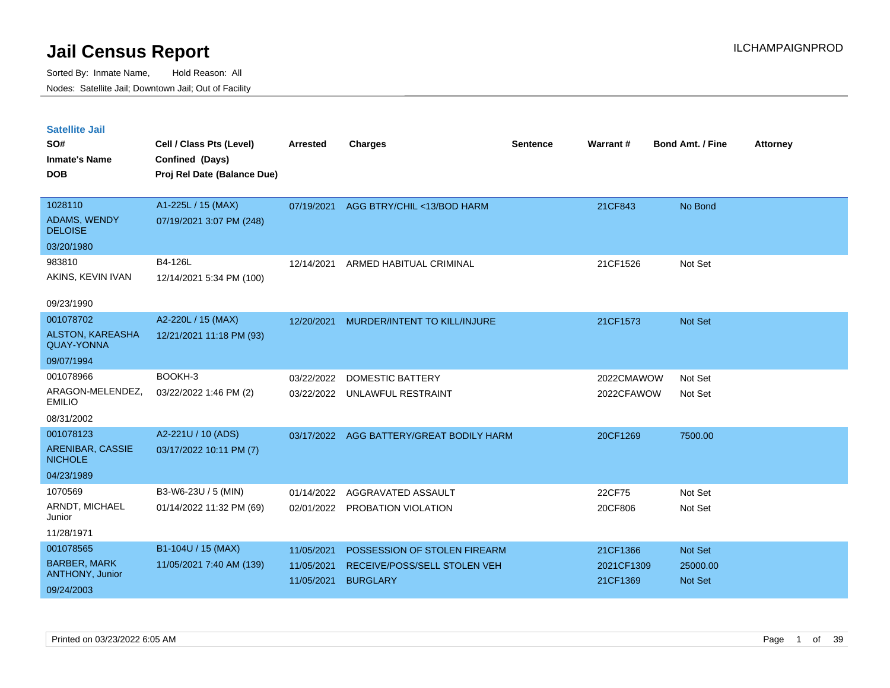| <b>Satellite Jail</b><br>SO#<br><b>Inmate's Name</b><br><b>DOB</b>       | Cell / Class Pts (Level)<br>Confined (Days)<br>Proj Rel Date (Balance Due) | <b>Arrested</b>                        | <b>Charges</b>                                                                  | <b>Sentence</b> | Warrant#                           | <b>Bond Amt. / Fine</b>        | <b>Attorney</b> |
|--------------------------------------------------------------------------|----------------------------------------------------------------------------|----------------------------------------|---------------------------------------------------------------------------------|-----------------|------------------------------------|--------------------------------|-----------------|
| 1028110<br>ADAMS, WENDY<br><b>DELOISE</b>                                | A1-225L / 15 (MAX)<br>07/19/2021 3:07 PM (248)                             | 07/19/2021                             | AGG BTRY/CHIL <13/BOD HARM                                                      |                 | 21CF843                            | No Bond                        |                 |
| 03/20/1980<br>983810<br>AKINS, KEVIN IVAN<br>09/23/1990                  | B4-126L<br>12/14/2021 5:34 PM (100)                                        | 12/14/2021                             | ARMED HABITUAL CRIMINAL                                                         |                 | 21CF1526                           | Not Set                        |                 |
| 001078702<br>ALSTON, KAREASHA<br><b>QUAY-YONNA</b><br>09/07/1994         | A2-220L / 15 (MAX)<br>12/21/2021 11:18 PM (93)                             | 12/20/2021                             | MURDER/INTENT TO KILL/INJURE                                                    |                 | 21CF1573                           | <b>Not Set</b>                 |                 |
| 001078966<br>ARAGON-MELENDEZ,<br><b>EMILIO</b><br>08/31/2002             | BOOKH-3<br>03/22/2022 1:46 PM (2)                                          | 03/22/2022<br>03/22/2022               | <b>DOMESTIC BATTERY</b><br>UNLAWFUL RESTRAINT                                   |                 | 2022CMAWOW<br>2022CFAWOW           | Not Set<br>Not Set             |                 |
| 001078123<br>ARENIBAR, CASSIE<br><b>NICHOLE</b><br>04/23/1989            | A2-221U / 10 (ADS)<br>03/17/2022 10:11 PM (7)                              | 03/17/2022                             | AGG BATTERY/GREAT BODILY HARM                                                   |                 | 20CF1269                           | 7500.00                        |                 |
| 1070569<br>ARNDT, MICHAEL<br>Junior<br>11/28/1971                        | B3-W6-23U / 5 (MIN)<br>01/14/2022 11:32 PM (69)                            | 01/14/2022<br>02/01/2022               | AGGRAVATED ASSAULT<br>PROBATION VIOLATION                                       |                 | 22CF75<br>20CF806                  | Not Set<br>Not Set             |                 |
| 001078565<br><b>BARBER, MARK</b><br><b>ANTHONY, Junior</b><br>09/24/2003 | B1-104U / 15 (MAX)<br>11/05/2021 7:40 AM (139)                             | 11/05/2021<br>11/05/2021<br>11/05/2021 | POSSESSION OF STOLEN FIREARM<br>RECEIVE/POSS/SELL STOLEN VEH<br><b>BURGLARY</b> |                 | 21CF1366<br>2021CF1309<br>21CF1369 | Not Set<br>25000.00<br>Not Set |                 |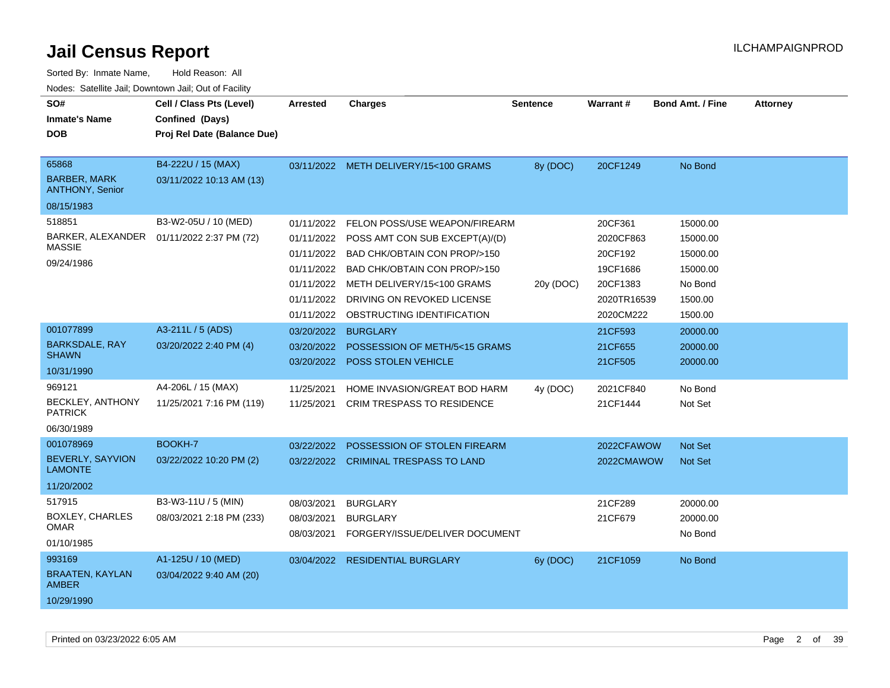| SO#                                           | Cell / Class Pts (Level)                   | <b>Arrested</b> | <b>Charges</b>                         | <b>Sentence</b> | <b>Warrant#</b> | <b>Bond Amt. / Fine</b> | <b>Attorney</b> |
|-----------------------------------------------|--------------------------------------------|-----------------|----------------------------------------|-----------------|-----------------|-------------------------|-----------------|
| <b>Inmate's Name</b>                          | Confined (Days)                            |                 |                                        |                 |                 |                         |                 |
| <b>DOB</b>                                    | Proj Rel Date (Balance Due)                |                 |                                        |                 |                 |                         |                 |
|                                               |                                            |                 |                                        |                 |                 |                         |                 |
| 65868                                         | B4-222U / 15 (MAX)                         |                 | 03/11/2022 METH DELIVERY/15<100 GRAMS  | 8y (DOC)        | 20CF1249        | No Bond                 |                 |
| <b>BARBER, MARK</b><br><b>ANTHONY, Senior</b> | 03/11/2022 10:13 AM (13)                   |                 |                                        |                 |                 |                         |                 |
| 08/15/1983                                    |                                            |                 |                                        |                 |                 |                         |                 |
| 518851                                        | B3-W2-05U / 10 (MED)                       | 01/11/2022      | FELON POSS/USE WEAPON/FIREARM          |                 | 20CF361         | 15000.00                |                 |
|                                               | BARKER, ALEXANDER  01/11/2022 2:37 PM (72) | 01/11/2022      | POSS AMT CON SUB EXCEPT(A)/(D)         |                 | 2020CF863       | 15000.00                |                 |
| <b>MASSIE</b>                                 |                                            | 01/11/2022      | BAD CHK/OBTAIN CON PROP/>150           |                 | 20CF192         | 15000.00                |                 |
| 09/24/1986                                    |                                            | 01/11/2022      | <b>BAD CHK/OBTAIN CON PROP/&gt;150</b> |                 | 19CF1686        | 15000.00                |                 |
|                                               |                                            | 01/11/2022      | METH DELIVERY/15<100 GRAMS             | 20y (DOC)       | 20CF1383        | No Bond                 |                 |
|                                               |                                            | 01/11/2022      | DRIVING ON REVOKED LICENSE             |                 | 2020TR16539     | 1500.00                 |                 |
|                                               |                                            | 01/11/2022      | OBSTRUCTING IDENTIFICATION             |                 | 2020CM222       | 1500.00                 |                 |
| 001077899                                     | A3-211L / 5 (ADS)                          | 03/20/2022      | <b>BURGLARY</b>                        |                 | 21CF593         | 20000.00                |                 |
| <b>BARKSDALE, RAY</b>                         | 03/20/2022 2:40 PM (4)                     | 03/20/2022      | POSSESSION OF METH/5<15 GRAMS          |                 | 21CF655         | 20000.00                |                 |
| <b>SHAWN</b>                                  |                                            | 03/20/2022      | <b>POSS STOLEN VEHICLE</b>             |                 | 21CF505         | 20000.00                |                 |
| 10/31/1990                                    |                                            |                 |                                        |                 |                 |                         |                 |
| 969121                                        | A4-206L / 15 (MAX)                         | 11/25/2021      | HOME INVASION/GREAT BOD HARM           | 4y (DOC)        | 2021CF840       | No Bond                 |                 |
| <b>BECKLEY, ANTHONY</b><br><b>PATRICK</b>     | 11/25/2021 7:16 PM (119)                   | 11/25/2021      | <b>CRIM TRESPASS TO RESIDENCE</b>      |                 | 21CF1444        | Not Set                 |                 |
| 06/30/1989                                    |                                            |                 |                                        |                 |                 |                         |                 |
| 001078969                                     | BOOKH-7                                    | 03/22/2022      | POSSESSION OF STOLEN FIREARM           |                 | 2022CFAWOW      | Not Set                 |                 |
| <b>BEVERLY, SAYVION</b><br><b>LAMONTE</b>     | 03/22/2022 10:20 PM (2)                    |                 | 03/22/2022 CRIMINAL TRESPASS TO LAND   |                 | 2022CMAWOW      | <b>Not Set</b>          |                 |
| 11/20/2002                                    |                                            |                 |                                        |                 |                 |                         |                 |
| 517915                                        | B3-W3-11U / 5 (MIN)                        | 08/03/2021      | <b>BURGLARY</b>                        |                 | 21CF289         | 20000.00                |                 |
| <b>BOXLEY, CHARLES</b>                        | 08/03/2021 2:18 PM (233)                   | 08/03/2021      | <b>BURGLARY</b>                        |                 | 21CF679         | 20000.00                |                 |
| <b>OMAR</b>                                   |                                            | 08/03/2021      | FORGERY/ISSUE/DELIVER DOCUMENT         |                 |                 | No Bond                 |                 |
| 01/10/1985                                    |                                            |                 |                                        |                 |                 |                         |                 |
| 993169                                        | A1-125U / 10 (MED)                         |                 | 03/04/2022 RESIDENTIAL BURGLARY        | 6y (DOC)        | 21CF1059        | No Bond                 |                 |
| <b>BRAATEN, KAYLAN</b><br><b>AMBER</b>        | 03/04/2022 9:40 AM (20)                    |                 |                                        |                 |                 |                         |                 |
| 10/29/1990                                    |                                            |                 |                                        |                 |                 |                         |                 |
|                                               |                                            |                 |                                        |                 |                 |                         |                 |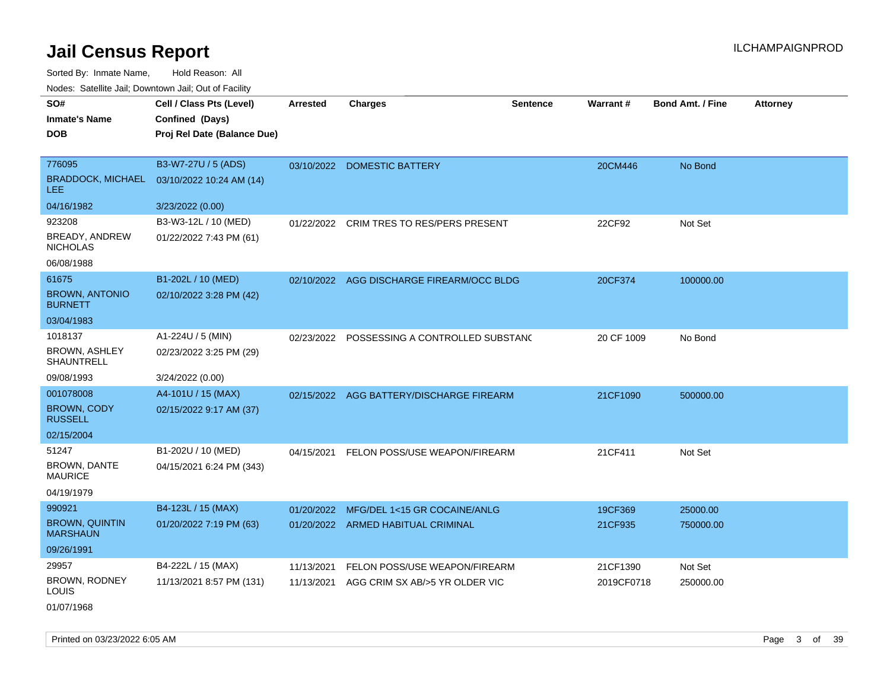Sorted By: Inmate Name, Hold Reason: All Nodes: Satellite Jail; Downtown Jail; Out of Facility

| SO#                                      | Cell / Class Pts (Level)    | <b>Arrested</b> | <b>Charges</b>                              | <b>Sentence</b> | <b>Warrant#</b> | <b>Bond Amt. / Fine</b> | Attorney |
|------------------------------------------|-----------------------------|-----------------|---------------------------------------------|-----------------|-----------------|-------------------------|----------|
| <b>Inmate's Name</b>                     | Confined (Days)             |                 |                                             |                 |                 |                         |          |
| <b>DOB</b>                               | Proj Rel Date (Balance Due) |                 |                                             |                 |                 |                         |          |
|                                          |                             |                 |                                             |                 |                 |                         |          |
| 776095                                   | B3-W7-27U / 5 (ADS)         |                 | 03/10/2022 DOMESTIC BATTERY                 |                 | 20CM446         | No Bond                 |          |
| <b>BRADDOCK, MICHAEL</b><br><b>LEE</b>   | 03/10/2022 10:24 AM (14)    |                 |                                             |                 |                 |                         |          |
| 04/16/1982                               | 3/23/2022 (0.00)            |                 |                                             |                 |                 |                         |          |
| 923208                                   | B3-W3-12L / 10 (MED)        | 01/22/2022      | CRIM TRES TO RES/PERS PRESENT               |                 | 22CF92          | Not Set                 |          |
| BREADY, ANDREW<br><b>NICHOLAS</b>        | 01/22/2022 7:43 PM (61)     |                 |                                             |                 |                 |                         |          |
| 06/08/1988                               |                             |                 |                                             |                 |                 |                         |          |
| 61675                                    | B1-202L / 10 (MED)          |                 | 02/10/2022 AGG DISCHARGE FIREARM/OCC BLDG   |                 | 20CF374         | 100000.00               |          |
| <b>BROWN, ANTONIO</b><br><b>BURNETT</b>  | 02/10/2022 3:28 PM (42)     |                 |                                             |                 |                 |                         |          |
| 03/04/1983                               |                             |                 |                                             |                 |                 |                         |          |
| 1018137                                  | A1-224U / 5 (MIN)           |                 | 02/23/2022 POSSESSING A CONTROLLED SUBSTANC |                 | 20 CF 1009      | No Bond                 |          |
| <b>BROWN, ASHLEY</b><br>SHAUNTRELL       | 02/23/2022 3:25 PM (29)     |                 |                                             |                 |                 |                         |          |
| 09/08/1993                               | 3/24/2022 (0.00)            |                 |                                             |                 |                 |                         |          |
| 001078008                                | A4-101U / 15 (MAX)          |                 | 02/15/2022 AGG BATTERY/DISCHARGE FIREARM    |                 | 21CF1090        | 500000.00               |          |
| BROWN, CODY<br><b>RUSSELL</b>            | 02/15/2022 9:17 AM (37)     |                 |                                             |                 |                 |                         |          |
| 02/15/2004                               |                             |                 |                                             |                 |                 |                         |          |
| 51247                                    | B1-202U / 10 (MED)          | 04/15/2021      | FELON POSS/USE WEAPON/FIREARM               |                 | 21CF411         | Not Set                 |          |
| <b>BROWN, DANTE</b><br><b>MAURICE</b>    | 04/15/2021 6:24 PM (343)    |                 |                                             |                 |                 |                         |          |
| 04/19/1979                               |                             |                 |                                             |                 |                 |                         |          |
| 990921                                   | B4-123L / 15 (MAX)          | 01/20/2022      | MFG/DEL 1<15 GR COCAINE/ANLG                |                 | 19CF369         | 25000.00                |          |
| <b>BROWN, QUINTIN</b><br><b>MARSHAUN</b> | 01/20/2022 7:19 PM (63)     |                 | 01/20/2022 ARMED HABITUAL CRIMINAL          |                 | 21CF935         | 750000.00               |          |
| 09/26/1991                               |                             |                 |                                             |                 |                 |                         |          |
| 29957                                    | B4-222L / 15 (MAX)          | 11/13/2021      | FELON POSS/USE WEAPON/FIREARM               |                 | 21CF1390        | Not Set                 |          |
| BROWN, RODNEY<br>LOUIS                   | 11/13/2021 8:57 PM (131)    | 11/13/2021      | AGG CRIM SX AB/>5 YR OLDER VIC              |                 | 2019CF0718      | 250000.00               |          |
|                                          |                             |                 |                                             |                 |                 |                         |          |

01/07/1968

Printed on 03/23/2022 6:05 AM Page 3 of 39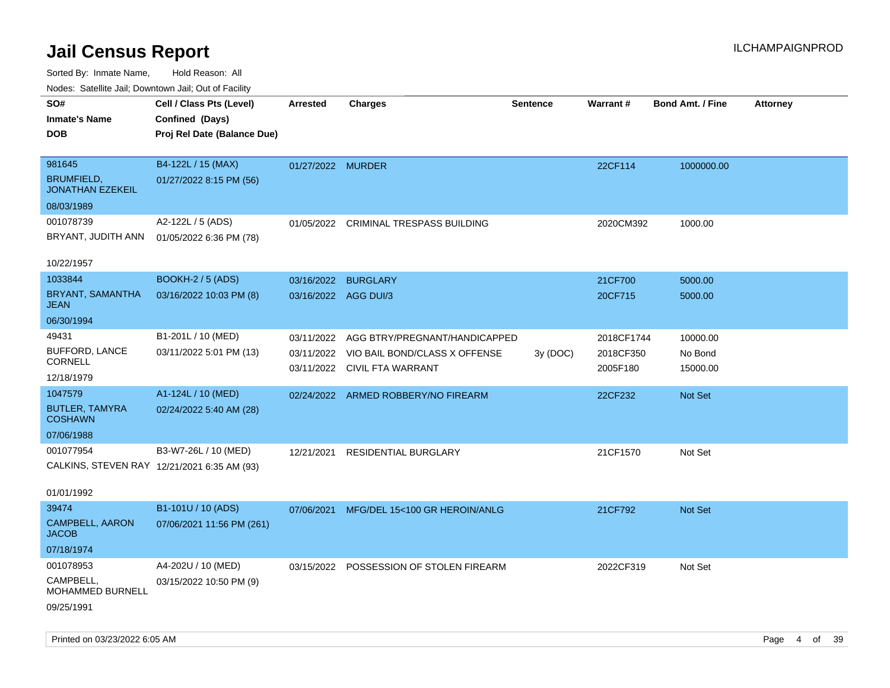| rougs. Calcing Jan, Downtown Jan, Out of Facility |                             |                      |                                         |                 |            |                         |                 |
|---------------------------------------------------|-----------------------------|----------------------|-----------------------------------------|-----------------|------------|-------------------------|-----------------|
| SO#                                               | Cell / Class Pts (Level)    | <b>Arrested</b>      | <b>Charges</b>                          | <b>Sentence</b> | Warrant#   | <b>Bond Amt. / Fine</b> | <b>Attorney</b> |
| <b>Inmate's Name</b>                              | Confined (Days)             |                      |                                         |                 |            |                         |                 |
| <b>DOB</b>                                        | Proj Rel Date (Balance Due) |                      |                                         |                 |            |                         |                 |
|                                                   |                             |                      |                                         |                 |            |                         |                 |
| 981645                                            | B4-122L / 15 (MAX)          | 01/27/2022 MURDER    |                                         |                 | 22CF114    | 1000000.00              |                 |
| <b>BRUMFIELD,</b><br><b>JONATHAN EZEKEIL</b>      | 01/27/2022 8:15 PM (56)     |                      |                                         |                 |            |                         |                 |
| 08/03/1989                                        |                             |                      |                                         |                 |            |                         |                 |
| 001078739                                         | A2-122L / 5 (ADS)           | 01/05/2022           | <b>CRIMINAL TRESPASS BUILDING</b>       |                 | 2020CM392  | 1000.00                 |                 |
| BRYANT, JUDITH ANN                                | 01/05/2022 6:36 PM (78)     |                      |                                         |                 |            |                         |                 |
|                                                   |                             |                      |                                         |                 |            |                         |                 |
| 10/22/1957                                        |                             |                      |                                         |                 |            |                         |                 |
| 1033844                                           | BOOKH-2 / 5 (ADS)           | 03/16/2022           | <b>BURGLARY</b>                         |                 | 21CF700    | 5000.00                 |                 |
| BRYANT, SAMANTHA<br><b>JEAN</b>                   | 03/16/2022 10:03 PM (8)     | 03/16/2022 AGG DUI/3 |                                         |                 | 20CF715    | 5000.00                 |                 |
| 06/30/1994                                        |                             |                      |                                         |                 |            |                         |                 |
| 49431                                             | B1-201L / 10 (MED)          | 03/11/2022           | AGG BTRY/PREGNANT/HANDICAPPED           |                 | 2018CF1744 | 10000.00                |                 |
| <b>BUFFORD, LANCE</b>                             | 03/11/2022 5:01 PM (13)     | 03/11/2022           | VIO BAIL BOND/CLASS X OFFENSE           | 3y (DOC)        | 2018CF350  | No Bond                 |                 |
| <b>CORNELL</b>                                    |                             |                      | 03/11/2022 CIVIL FTA WARRANT            |                 | 2005F180   | 15000.00                |                 |
| 12/18/1979                                        |                             |                      |                                         |                 |            |                         |                 |
| 1047579                                           | A1-124L / 10 (MED)          |                      | 02/24/2022 ARMED ROBBERY/NO FIREARM     |                 | 22CF232    | Not Set                 |                 |
| BUTLER, TAMYRA<br><b>COSHAWN</b>                  | 02/24/2022 5:40 AM (28)     |                      |                                         |                 |            |                         |                 |
| 07/06/1988                                        |                             |                      |                                         |                 |            |                         |                 |
| 001077954                                         | B3-W7-26L / 10 (MED)        | 12/21/2021           | <b>RESIDENTIAL BURGLARY</b>             |                 | 21CF1570   | Not Set                 |                 |
| CALKINS, STEVEN RAY 12/21/2021 6:35 AM (93)       |                             |                      |                                         |                 |            |                         |                 |
|                                                   |                             |                      |                                         |                 |            |                         |                 |
| 01/01/1992                                        |                             |                      |                                         |                 |            |                         |                 |
| 39474                                             | B1-101U / 10 (ADS)          | 07/06/2021           | MFG/DEL 15<100 GR HEROIN/ANLG           |                 | 21CF792    | Not Set                 |                 |
| CAMPBELL, AARON<br><b>JACOB</b>                   | 07/06/2021 11:56 PM (261)   |                      |                                         |                 |            |                         |                 |
| 07/18/1974                                        |                             |                      |                                         |                 |            |                         |                 |
| 001078953                                         | A4-202U / 10 (MED)          |                      | 03/15/2022 POSSESSION OF STOLEN FIREARM |                 | 2022CF319  | Not Set                 |                 |
| CAMPBELL,<br><b>MOHAMMED BURNELL</b>              | 03/15/2022 10:50 PM (9)     |                      |                                         |                 |            |                         |                 |
| 09/25/1991                                        |                             |                      |                                         |                 |            |                         |                 |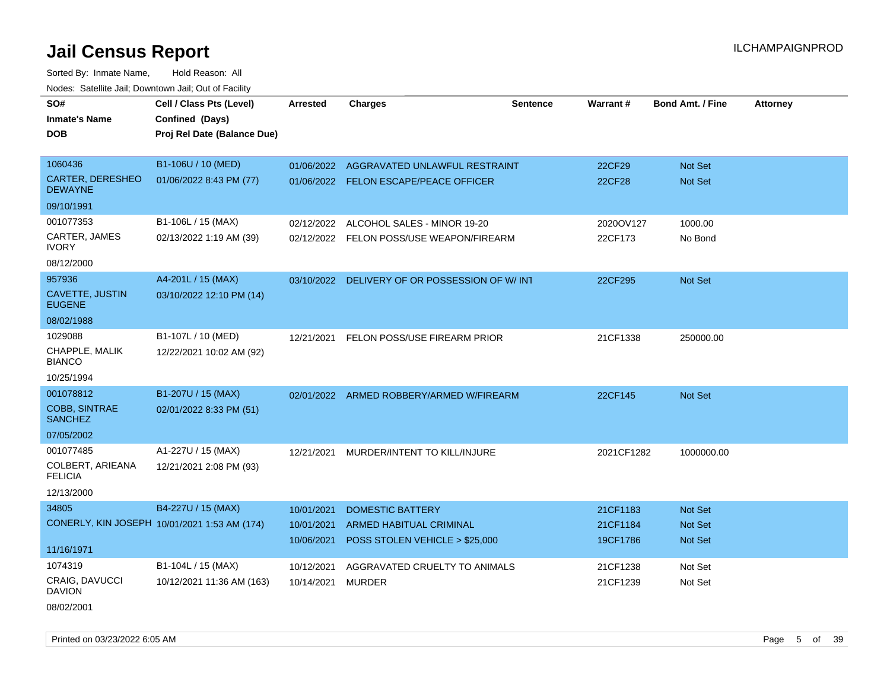Sorted By: Inmate Name, Hold Reason: All Nodes: Satellite Jail; Downtown Jail; Out of Facility

| SO#                                    | Cell / Class Pts (Level)                     | <b>Arrested</b> | <b>Charges</b>                                | <b>Sentence</b> | Warrant#   | <b>Bond Amt. / Fine</b> | <b>Attorney</b> |
|----------------------------------------|----------------------------------------------|-----------------|-----------------------------------------------|-----------------|------------|-------------------------|-----------------|
| <b>Inmate's Name</b>                   | Confined (Days)                              |                 |                                               |                 |            |                         |                 |
| <b>DOB</b>                             | Proj Rel Date (Balance Due)                  |                 |                                               |                 |            |                         |                 |
|                                        |                                              |                 |                                               |                 |            |                         |                 |
| 1060436                                | B1-106U / 10 (MED)                           |                 | 01/06/2022 AGGRAVATED UNLAWFUL RESTRAINT      |                 | 22CF29     | Not Set                 |                 |
| CARTER, DERESHEO<br><b>DEWAYNE</b>     | 01/06/2022 8:43 PM (77)                      |                 | 01/06/2022 FELON ESCAPE/PEACE OFFICER         |                 | 22CF28     | <b>Not Set</b>          |                 |
| 09/10/1991                             |                                              |                 |                                               |                 |            |                         |                 |
| 001077353                              | B1-106L / 15 (MAX)                           | 02/12/2022      | ALCOHOL SALES - MINOR 19-20                   |                 | 2020OV127  | 1000.00                 |                 |
| CARTER, JAMES<br><b>IVORY</b>          | 02/13/2022 1:19 AM (39)                      |                 | 02/12/2022 FELON POSS/USE WEAPON/FIREARM      |                 | 22CF173    | No Bond                 |                 |
| 08/12/2000                             |                                              |                 |                                               |                 |            |                         |                 |
| 957936                                 | A4-201L / 15 (MAX)                           |                 | 03/10/2022 DELIVERY OF OR POSSESSION OF W/INT |                 | 22CF295    | <b>Not Set</b>          |                 |
| CAVETTE, JUSTIN<br><b>EUGENE</b>       | 03/10/2022 12:10 PM (14)                     |                 |                                               |                 |            |                         |                 |
| 08/02/1988                             |                                              |                 |                                               |                 |            |                         |                 |
| 1029088                                | B1-107L / 10 (MED)                           |                 | 12/21/2021 FELON POSS/USE FIREARM PRIOR       |                 | 21CF1338   | 250000.00               |                 |
| CHAPPLE, MALIK<br><b>BIANCO</b>        | 12/22/2021 10:02 AM (92)                     |                 |                                               |                 |            |                         |                 |
| 10/25/1994                             |                                              |                 |                                               |                 |            |                         |                 |
| 001078812                              | B1-207U / 15 (MAX)                           |                 | 02/01/2022 ARMED ROBBERY/ARMED W/FIREARM      |                 | 22CF145    | Not Set                 |                 |
| <b>COBB, SINTRAE</b><br><b>SANCHEZ</b> | 02/01/2022 8:33 PM (51)                      |                 |                                               |                 |            |                         |                 |
| 07/05/2002                             |                                              |                 |                                               |                 |            |                         |                 |
| 001077485                              | A1-227U / 15 (MAX)                           |                 | 12/21/2021 MURDER/INTENT TO KILL/INJURE       |                 | 2021CF1282 | 1000000.00              |                 |
| COLBERT, ARIEANA<br><b>FELICIA</b>     | 12/21/2021 2:08 PM (93)                      |                 |                                               |                 |            |                         |                 |
| 12/13/2000                             |                                              |                 |                                               |                 |            |                         |                 |
| 34805                                  | B4-227U / 15 (MAX)                           | 10/01/2021      | <b>DOMESTIC BATTERY</b>                       |                 | 21CF1183   | <b>Not Set</b>          |                 |
|                                        | CONERLY, KIN JOSEPH 10/01/2021 1:53 AM (174) | 10/01/2021      | <b>ARMED HABITUAL CRIMINAL</b>                |                 | 21CF1184   | Not Set                 |                 |
|                                        |                                              | 10/06/2021      | POSS STOLEN VEHICLE > \$25,000                |                 | 19CF1786   | <b>Not Set</b>          |                 |
| 11/16/1971                             |                                              |                 |                                               |                 |            |                         |                 |
| 1074319                                | B1-104L / 15 (MAX)                           | 10/12/2021      | AGGRAVATED CRUELTY TO ANIMALS                 |                 | 21CF1238   | Not Set                 |                 |
| <b>CRAIG, DAVUCCI</b><br><b>DAVION</b> | 10/12/2021 11:36 AM (163)                    | 10/14/2021      | <b>MURDER</b>                                 |                 | 21CF1239   | Not Set                 |                 |
|                                        |                                              |                 |                                               |                 |            |                         |                 |

08/02/2001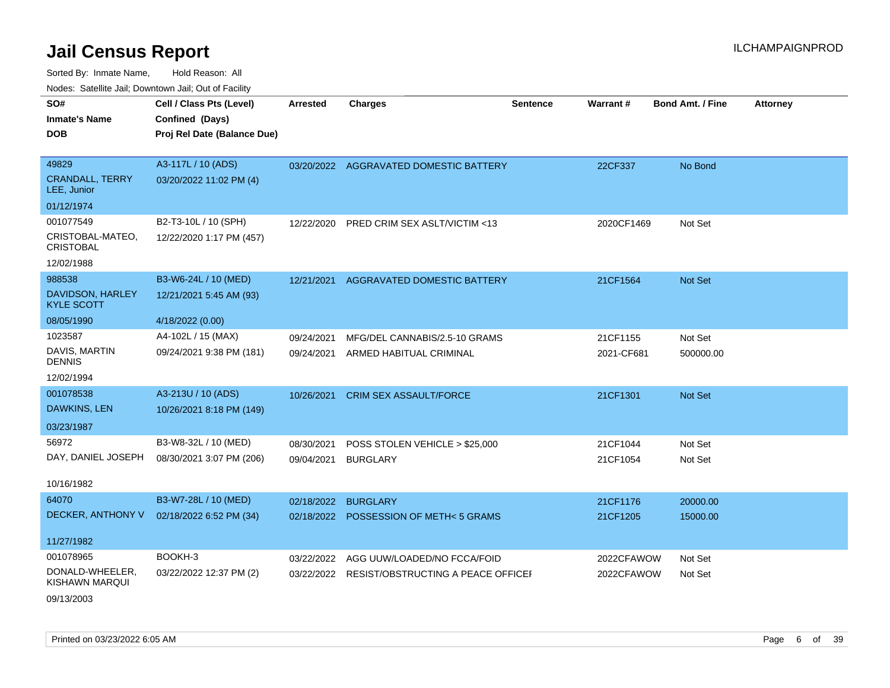Sorted By: Inmate Name, Hold Reason: All Nodes: Satellite Jail; Downtown Jail; Out of Facility

| SO#                                   | Cell / Class Pts (Level)    | <b>Arrested</b> | <b>Charges</b>                         | <b>Sentence</b> | Warrant#   | Bond Amt. / Fine | <b>Attorney</b> |
|---------------------------------------|-----------------------------|-----------------|----------------------------------------|-----------------|------------|------------------|-----------------|
| <b>Inmate's Name</b>                  | Confined (Days)             |                 |                                        |                 |            |                  |                 |
| <b>DOB</b>                            | Proj Rel Date (Balance Due) |                 |                                        |                 |            |                  |                 |
|                                       |                             |                 |                                        |                 |            |                  |                 |
| 49829                                 | A3-117L / 10 (ADS)          |                 | 03/20/2022 AGGRAVATED DOMESTIC BATTERY |                 | 22CF337    | No Bond          |                 |
| <b>CRANDALL, TERRY</b><br>LEE, Junior | 03/20/2022 11:02 PM (4)     |                 |                                        |                 |            |                  |                 |
| 01/12/1974                            |                             |                 |                                        |                 |            |                  |                 |
| 001077549                             | B2-T3-10L / 10 (SPH)        | 12/22/2020      | PRED CRIM SEX ASLT/VICTIM <13          |                 | 2020CF1469 | Not Set          |                 |
| CRISTOBAL-MATEO,<br><b>CRISTOBAL</b>  | 12/22/2020 1:17 PM (457)    |                 |                                        |                 |            |                  |                 |
| 12/02/1988                            |                             |                 |                                        |                 |            |                  |                 |
| 988538                                | B3-W6-24L / 10 (MED)        | 12/21/2021      | <b>AGGRAVATED DOMESTIC BATTERY</b>     |                 | 21CF1564   | Not Set          |                 |
| DAVIDSON, HARLEY<br><b>KYLE SCOTT</b> | 12/21/2021 5:45 AM (93)     |                 |                                        |                 |            |                  |                 |
| 08/05/1990                            | 4/18/2022 (0.00)            |                 |                                        |                 |            |                  |                 |
| 1023587                               | A4-102L / 15 (MAX)          | 09/24/2021      | MFG/DEL CANNABIS/2.5-10 GRAMS          |                 | 21CF1155   | Not Set          |                 |
| DAVIS, MARTIN<br>DENNIS               | 09/24/2021 9:38 PM (181)    | 09/24/2021      | ARMED HABITUAL CRIMINAL                |                 | 2021-CF681 | 500000.00        |                 |
| 12/02/1994                            |                             |                 |                                        |                 |            |                  |                 |
| 001078538                             | A3-213U / 10 (ADS)          | 10/26/2021      | <b>CRIM SEX ASSAULT/FORCE</b>          |                 | 21CF1301   | Not Set          |                 |
| DAWKINS, LEN                          | 10/26/2021 8:18 PM (149)    |                 |                                        |                 |            |                  |                 |
| 03/23/1987                            |                             |                 |                                        |                 |            |                  |                 |
| 56972                                 | B3-W8-32L / 10 (MED)        | 08/30/2021      | POSS STOLEN VEHICLE > \$25,000         |                 | 21CF1044   | Not Set          |                 |
| DAY, DANIEL JOSEPH                    | 08/30/2021 3:07 PM (206)    | 09/04/2021      | <b>BURGLARY</b>                        |                 | 21CF1054   | Not Set          |                 |
| 10/16/1982                            |                             |                 |                                        |                 |            |                  |                 |
| 64070                                 | B3-W7-28L / 10 (MED)        | 02/18/2022      | <b>BURGLARY</b>                        |                 | 21CF1176   | 20000.00         |                 |
| DECKER, ANTHONY V                     | 02/18/2022 6:52 PM (34)     |                 | 02/18/2022 POSSESSION OF METH<5 GRAMS  |                 | 21CF1205   | 15000.00         |                 |
|                                       |                             |                 |                                        |                 |            |                  |                 |
| 11/27/1982                            |                             |                 |                                        |                 |            |                  |                 |
| 001078965                             | BOOKH-3                     | 03/22/2022      | AGG UUW/LOADED/NO FCCA/FOID            |                 | 2022CFAWOW | Not Set          |                 |
| DONALD-WHEELER,<br>KISHAWN MARQUI     | 03/22/2022 12:37 PM (2)     | 03/22/2022      | RESIST/OBSTRUCTING A PEACE OFFICEI     |                 | 2022CFAWOW | Not Set          |                 |

09/13/2003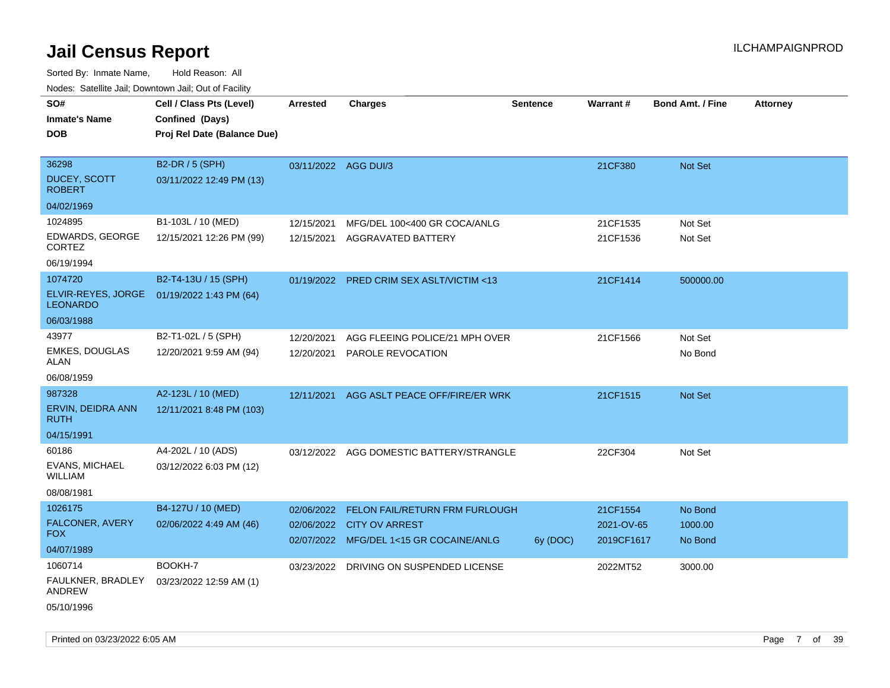Sorted By: Inmate Name, Hold Reason: All Nodes: Satellite Jail; Downtown Jail; Out of Facility

| ivuutos. Saltiilit Jali, Duwilluwii Jali, Oul of Facility |                             |                      |                                          |                 |            |                         |                 |
|-----------------------------------------------------------|-----------------------------|----------------------|------------------------------------------|-----------------|------------|-------------------------|-----------------|
| SO#                                                       | Cell / Class Pts (Level)    | <b>Arrested</b>      | <b>Charges</b>                           | <b>Sentence</b> | Warrant#   | <b>Bond Amt. / Fine</b> | <b>Attorney</b> |
| <b>Inmate's Name</b>                                      | Confined (Days)             |                      |                                          |                 |            |                         |                 |
| <b>DOB</b>                                                | Proj Rel Date (Balance Due) |                      |                                          |                 |            |                         |                 |
|                                                           |                             |                      |                                          |                 |            |                         |                 |
| 36298                                                     | B2-DR / 5 (SPH)             | 03/11/2022 AGG DUI/3 |                                          |                 | 21CF380    | Not Set                 |                 |
| <b>DUCEY, SCOTT</b><br><b>ROBERT</b>                      | 03/11/2022 12:49 PM (13)    |                      |                                          |                 |            |                         |                 |
| 04/02/1969                                                |                             |                      |                                          |                 |            |                         |                 |
| 1024895                                                   | B1-103L / 10 (MED)          | 12/15/2021           | MFG/DEL 100<400 GR COCA/ANLG             |                 | 21CF1535   | Not Set                 |                 |
| EDWARDS, GEORGE<br>CORTEZ                                 | 12/15/2021 12:26 PM (99)    | 12/15/2021           | AGGRAVATED BATTERY                       |                 | 21CF1536   | Not Set                 |                 |
| 06/19/1994                                                |                             |                      |                                          |                 |            |                         |                 |
| 1074720                                                   | B2-T4-13U / 15 (SPH)        |                      | 01/19/2022 PRED CRIM SEX ASLT/VICTIM <13 |                 | 21CF1414   | 500000.00               |                 |
| ELVIR-REYES, JORGE<br><b>LEONARDO</b>                     | 01/19/2022 1:43 PM (64)     |                      |                                          |                 |            |                         |                 |
| 06/03/1988                                                |                             |                      |                                          |                 |            |                         |                 |
| 43977                                                     | B2-T1-02L / 5 (SPH)         | 12/20/2021           | AGG FLEEING POLICE/21 MPH OVER           |                 | 21CF1566   | Not Set                 |                 |
| <b>EMKES, DOUGLAS</b><br>ALAN                             | 12/20/2021 9:59 AM (94)     | 12/20/2021           | <b>PAROLE REVOCATION</b>                 |                 |            | No Bond                 |                 |
| 06/08/1959                                                |                             |                      |                                          |                 |            |                         |                 |
| 987328                                                    | A2-123L / 10 (MED)          | 12/11/2021           | AGG ASLT PEACE OFF/FIRE/ER WRK           |                 | 21CF1515   | <b>Not Set</b>          |                 |
| ERVIN, DEIDRA ANN<br>RUTH                                 | 12/11/2021 8:48 PM (103)    |                      |                                          |                 |            |                         |                 |
| 04/15/1991                                                |                             |                      |                                          |                 |            |                         |                 |
| 60186                                                     | A4-202L / 10 (ADS)          |                      | 03/12/2022 AGG DOMESTIC BATTERY/STRANGLE |                 | 22CF304    | Not Set                 |                 |
| EVANS, MICHAEL<br><b>WILLIAM</b>                          | 03/12/2022 6:03 PM (12)     |                      |                                          |                 |            |                         |                 |
| 08/08/1981                                                |                             |                      |                                          |                 |            |                         |                 |
| 1026175                                                   | B4-127U / 10 (MED)          | 02/06/2022           | FELON FAIL/RETURN FRM FURLOUGH           |                 | 21CF1554   | No Bond                 |                 |
| FALCONER, AVERY                                           | 02/06/2022 4:49 AM (46)     |                      | 02/06/2022 CITY OV ARREST                |                 | 2021-OV-65 | 1000.00                 |                 |
| <b>FOX</b>                                                |                             |                      | 02/07/2022 MFG/DEL 1<15 GR COCAINE/ANLG  | 6y (DOC)        | 2019CF1617 | No Bond                 |                 |
| 04/07/1989                                                |                             |                      |                                          |                 |            |                         |                 |
| 1060714                                                   | BOOKH-7                     |                      | 03/23/2022 DRIVING ON SUSPENDED LICENSE  |                 | 2022MT52   | 3000.00                 |                 |
| FAULKNER, BRADLEY<br>ANDREW                               | 03/23/2022 12:59 AM (1)     |                      |                                          |                 |            |                         |                 |
| 05/10/1996                                                |                             |                      |                                          |                 |            |                         |                 |

Printed on 03/23/2022 6:05 AM Page 7 of 39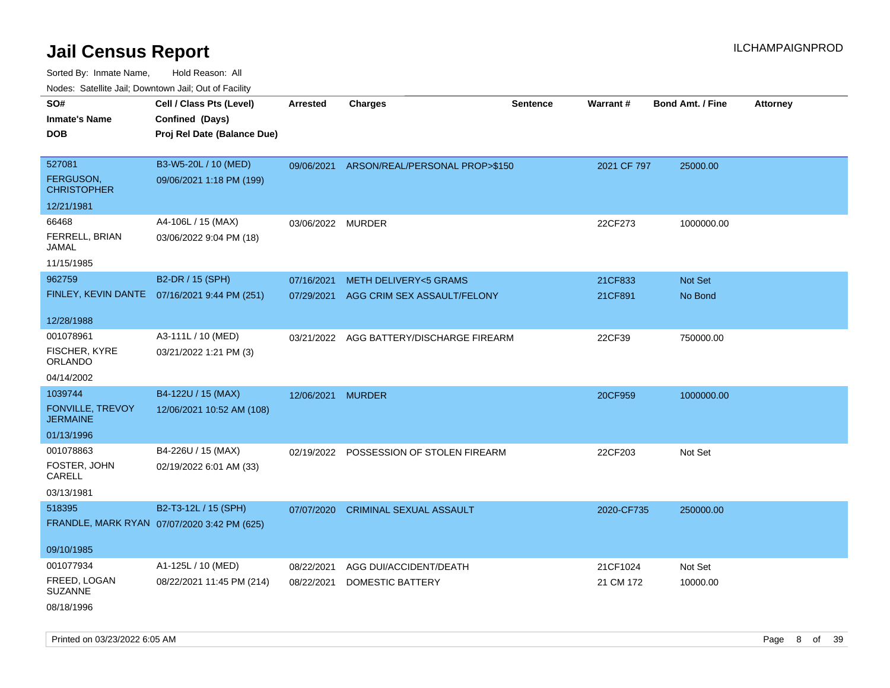Sorted By: Inmate Name, Hold Reason: All Nodes: Satellite Jail; Downtown Jail; Out of Facility

| roaco. Catolino dall, Downtown dall, Out of Fability |                                              |                 |                                 |                 |             |                         |                 |
|------------------------------------------------------|----------------------------------------------|-----------------|---------------------------------|-----------------|-------------|-------------------------|-----------------|
| SO#                                                  | Cell / Class Pts (Level)                     | <b>Arrested</b> | <b>Charges</b>                  | <b>Sentence</b> | Warrant#    | <b>Bond Amt. / Fine</b> | <b>Attorney</b> |
| <b>Inmate's Name</b>                                 | Confined (Days)                              |                 |                                 |                 |             |                         |                 |
| <b>DOB</b>                                           | Proj Rel Date (Balance Due)                  |                 |                                 |                 |             |                         |                 |
|                                                      |                                              |                 |                                 |                 |             |                         |                 |
| 527081                                               | B3-W5-20L / 10 (MED)                         | 09/06/2021      | ARSON/REAL/PERSONAL PROP>\$150  |                 | 2021 CF 797 | 25000.00                |                 |
| FERGUSON,<br><b>CHRISTOPHER</b>                      | 09/06/2021 1:18 PM (199)                     |                 |                                 |                 |             |                         |                 |
| 12/21/1981                                           |                                              |                 |                                 |                 |             |                         |                 |
| 66468                                                | A4-106L / 15 (MAX)                           | 03/06/2022      | <b>MURDER</b>                   |                 | 22CF273     | 1000000.00              |                 |
| FERRELL, BRIAN<br>JAMAL                              | 03/06/2022 9:04 PM (18)                      |                 |                                 |                 |             |                         |                 |
| 11/15/1985                                           |                                              |                 |                                 |                 |             |                         |                 |
| 962759                                               | B2-DR / 15 (SPH)                             | 07/16/2021      | <b>METH DELIVERY&lt;5 GRAMS</b> |                 | 21CF833     | Not Set                 |                 |
|                                                      | FINLEY, KEVIN DANTE 07/16/2021 9:44 PM (251) | 07/29/2021      | AGG CRIM SEX ASSAULT/FELONY     |                 | 21CF891     | No Bond                 |                 |
|                                                      |                                              |                 |                                 |                 |             |                         |                 |
| 12/28/1988                                           |                                              |                 |                                 |                 |             |                         |                 |
| 001078961                                            | A3-111L / 10 (MED)                           | 03/21/2022      | AGG BATTERY/DISCHARGE FIREARM   |                 | 22CF39      | 750000.00               |                 |
| FISCHER, KYRE<br>ORLANDO                             | 03/21/2022 1:21 PM (3)                       |                 |                                 |                 |             |                         |                 |
| 04/14/2002                                           |                                              |                 |                                 |                 |             |                         |                 |
| 1039744                                              | B4-122U / 15 (MAX)                           | 12/06/2021      | <b>MURDER</b>                   |                 | 20CF959     | 1000000.00              |                 |
| <b>FONVILLE, TREVOY</b><br><b>JERMAINE</b>           | 12/06/2021 10:52 AM (108)                    |                 |                                 |                 |             |                         |                 |
| 01/13/1996                                           |                                              |                 |                                 |                 |             |                         |                 |
| 001078863                                            | B4-226U / 15 (MAX)                           | 02/19/2022      | POSSESSION OF STOLEN FIREARM    |                 | 22CF203     | Not Set                 |                 |
| FOSTER, JOHN<br>CARELL                               | 02/19/2022 6:01 AM (33)                      |                 |                                 |                 |             |                         |                 |
| 03/13/1981                                           |                                              |                 |                                 |                 |             |                         |                 |
| 518395                                               | B2-T3-12L / 15 (SPH)                         | 07/07/2020      | <b>CRIMINAL SEXUAL ASSAULT</b>  |                 | 2020-CF735  | 250000.00               |                 |
|                                                      | FRANDLE, MARK RYAN 07/07/2020 3:42 PM (625)  |                 |                                 |                 |             |                         |                 |
|                                                      |                                              |                 |                                 |                 |             |                         |                 |
| 09/10/1985                                           |                                              |                 |                                 |                 |             |                         |                 |
| 001077934                                            | A1-125L / 10 (MED)                           | 08/22/2021      | AGG DUI/ACCIDENT/DEATH          |                 | 21CF1024    | Not Set                 |                 |
| FREED, LOGAN<br><b>SUZANNE</b>                       | 08/22/2021 11:45 PM (214)                    | 08/22/2021      | DOMESTIC BATTERY                |                 | 21 CM 172   | 10000.00                |                 |
| 08/18/1996                                           |                                              |                 |                                 |                 |             |                         |                 |

Printed on 03/23/2022 6:05 AM **Page 8** of 39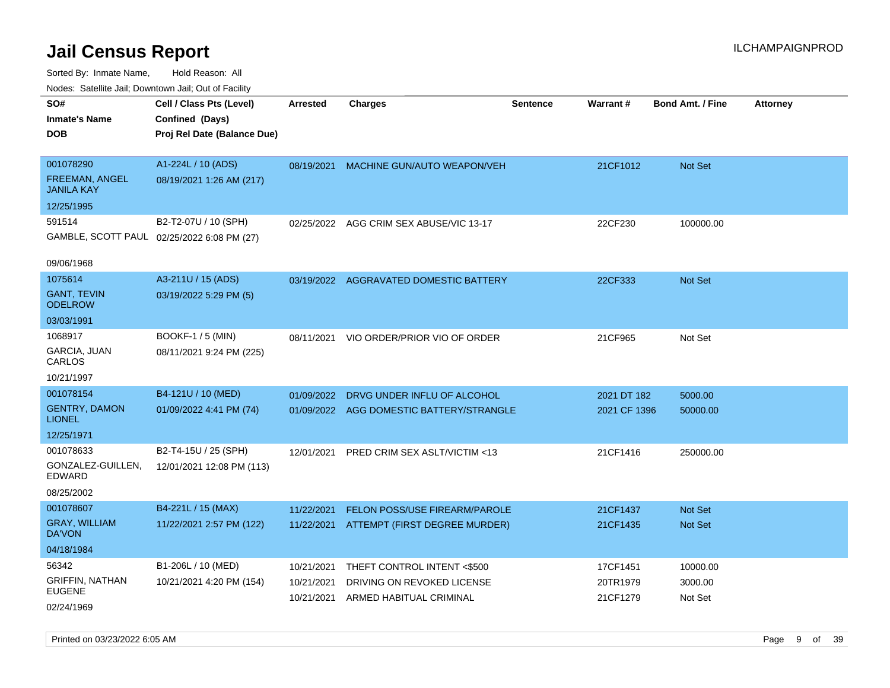| rouco. Calcinic Jan, Downtown Jan, Out of Facility               |                                                                            |                                        |                                                                                      |                 |                                  |                                  |                 |
|------------------------------------------------------------------|----------------------------------------------------------------------------|----------------------------------------|--------------------------------------------------------------------------------------|-----------------|----------------------------------|----------------------------------|-----------------|
| SO#<br>Inmate's Name<br>DOB                                      | Cell / Class Pts (Level)<br>Confined (Days)<br>Proj Rel Date (Balance Due) | <b>Arrested</b>                        | <b>Charges</b>                                                                       | <b>Sentence</b> | <b>Warrant#</b>                  | <b>Bond Amt. / Fine</b>          | <b>Attorney</b> |
| 001078290<br>FREEMAN, ANGEL<br><b>JANILA KAY</b>                 | A1-224L / 10 (ADS)<br>08/19/2021 1:26 AM (217)                             | 08/19/2021                             | MACHINE GUN/AUTO WEAPON/VEH                                                          |                 | 21CF1012                         | <b>Not Set</b>                   |                 |
| 12/25/1995<br>591514<br>09/06/1968                               | B2-T2-07U / 10 (SPH)<br>GAMBLE, SCOTT PAUL 02/25/2022 6:08 PM (27)         | 02/25/2022                             | AGG CRIM SEX ABUSE/VIC 13-17                                                         |                 | 22CF230                          | 100000.00                        |                 |
| 1075614<br><b>GANT, TEVIN</b><br><b>ODELROW</b><br>03/03/1991    | A3-211U / 15 (ADS)<br>03/19/2022 5:29 PM (5)                               |                                        | 03/19/2022 AGGRAVATED DOMESTIC BATTERY                                               |                 | 22CF333                          | <b>Not Set</b>                   |                 |
| 1068917<br><b>GARCIA, JUAN</b><br>CARLOS<br>10/21/1997           | <b>BOOKF-1 / 5 (MIN)</b><br>08/11/2021 9:24 PM (225)                       | 08/11/2021                             | VIO ORDER/PRIOR VIO OF ORDER                                                         |                 | 21CF965                          | Not Set                          |                 |
| 001078154<br><b>GENTRY, DAMON</b><br><b>LIONEL</b><br>12/25/1971 | B4-121U / 10 (MED)<br>01/09/2022 4:41 PM (74)                              | 01/09/2022                             | DRVG UNDER INFLU OF ALCOHOL<br>01/09/2022 AGG DOMESTIC BATTERY/STRANGLE              |                 | 2021 DT 182<br>2021 CF 1396      | 5000.00<br>50000.00              |                 |
| 001078633<br>GONZALEZ-GUILLEN.<br>EDWARD<br>08/25/2002           | B2-T4-15U / 25 (SPH)<br>12/01/2021 12:08 PM (113)                          | 12/01/2021                             | PRED CRIM SEX ASLT/VICTIM <13                                                        |                 | 21CF1416                         | 250000.00                        |                 |
| 001078607<br><b>GRAY, WILLIAM</b><br>DA'VON<br>04/18/1984        | B4-221L / 15 (MAX)<br>11/22/2021 2:57 PM (122)                             | 11/22/2021                             | <b>FELON POSS/USE FIREARM/PAROLE</b><br>11/22/2021 ATTEMPT (FIRST DEGREE MURDER)     |                 | 21CF1437<br>21CF1435             | <b>Not Set</b><br><b>Not Set</b> |                 |
| 56342<br><b>GRIFFIN, NATHAN</b><br>EUGENE<br>02/24/1969          | B1-206L / 10 (MED)<br>10/21/2021 4:20 PM (154)                             | 10/21/2021<br>10/21/2021<br>10/21/2021 | THEFT CONTROL INTENT <\$500<br>DRIVING ON REVOKED LICENSE<br>ARMED HABITUAL CRIMINAL |                 | 17CF1451<br>20TR1979<br>21CF1279 | 10000.00<br>3000.00<br>Not Set   |                 |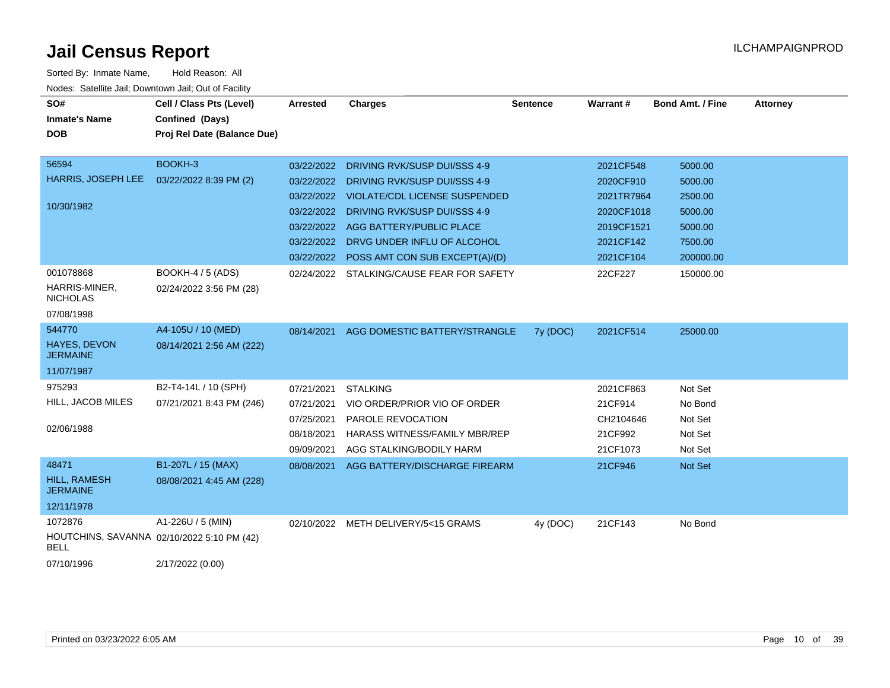| SO#<br><b>Inmate's Name</b>            | Cell / Class Pts (Level)<br>Confined (Days) | <b>Arrested</b> | <b>Charges</b>                           | <b>Sentence</b> | Warrant#   | <b>Bond Amt. / Fine</b> | <b>Attorney</b> |
|----------------------------------------|---------------------------------------------|-----------------|------------------------------------------|-----------------|------------|-------------------------|-----------------|
| <b>DOB</b>                             | Proj Rel Date (Balance Due)                 |                 |                                          |                 |            |                         |                 |
| 56594                                  | BOOKH-3                                     | 03/22/2022      | DRIVING RVK/SUSP DUI/SSS 4-9             |                 | 2021CF548  | 5000.00                 |                 |
| HARRIS, JOSEPH LEE                     | 03/22/2022 8:39 PM (2)                      |                 | 03/22/2022 DRIVING RVK/SUSP DUI/SSS 4-9  |                 | 2020CF910  | 5000.00                 |                 |
|                                        |                                             |                 | 03/22/2022 VIOLATE/CDL LICENSE SUSPENDED |                 | 2021TR7964 | 2500.00                 |                 |
| 10/30/1982                             |                                             | 03/22/2022      | DRIVING RVK/SUSP DUI/SSS 4-9             |                 | 2020CF1018 | 5000.00                 |                 |
|                                        |                                             | 03/22/2022      | AGG BATTERY/PUBLIC PLACE                 |                 | 2019CF1521 | 5000.00                 |                 |
|                                        |                                             | 03/22/2022      | DRVG UNDER INFLU OF ALCOHOL              |                 | 2021CF142  | 7500.00                 |                 |
|                                        |                                             | 03/22/2022      | POSS AMT CON SUB EXCEPT(A)/(D)           |                 | 2021CF104  | 200000.00               |                 |
| 001078868                              | <b>BOOKH-4 / 5 (ADS)</b>                    | 02/24/2022      | STALKING/CAUSE FEAR FOR SAFETY           |                 | 22CF227    | 150000.00               |                 |
| HARRIS-MINER,<br><b>NICHOLAS</b>       | 02/24/2022 3:56 PM (28)                     |                 |                                          |                 |            |                         |                 |
| 07/08/1998                             |                                             |                 |                                          |                 |            |                         |                 |
| 544770                                 | A4-105U / 10 (MED)                          | 08/14/2021      | AGG DOMESTIC BATTERY/STRANGLE            | 7y (DOC)        | 2021CF514  | 25000.00                |                 |
| HAYES, DEVON<br><b>JERMAINE</b>        | 08/14/2021 2:56 AM (222)                    |                 |                                          |                 |            |                         |                 |
| 11/07/1987                             |                                             |                 |                                          |                 |            |                         |                 |
| 975293                                 | B2-T4-14L / 10 (SPH)                        | 07/21/2021      | <b>STALKING</b>                          |                 | 2021CF863  | Not Set                 |                 |
| HILL, JACOB MILES                      | 07/21/2021 8:43 PM (246)                    | 07/21/2021      | VIO ORDER/PRIOR VIO OF ORDER             |                 | 21CF914    | No Bond                 |                 |
|                                        |                                             | 07/25/2021      | PAROLE REVOCATION                        |                 | CH2104646  | Not Set                 |                 |
| 02/06/1988                             |                                             | 08/18/2021      | <b>HARASS WITNESS/FAMILY MBR/REP</b>     |                 | 21CF992    | Not Set                 |                 |
|                                        |                                             | 09/09/2021      | AGG STALKING/BODILY HARM                 |                 | 21CF1073   | Not Set                 |                 |
| 48471                                  | B1-207L / 15 (MAX)                          | 08/08/2021      | AGG BATTERY/DISCHARGE FIREARM            |                 | 21CF946    | Not Set                 |                 |
| <b>HILL, RAMESH</b><br><b>JERMAINE</b> | 08/08/2021 4:45 AM (228)                    |                 |                                          |                 |            |                         |                 |
| 12/11/1978                             |                                             |                 |                                          |                 |            |                         |                 |
| 1072876                                | A1-226U / 5 (MIN)                           |                 | 02/10/2022 METH DELIVERY/5<15 GRAMS      | 4y (DOC)        | 21CF143    | No Bond                 |                 |
| <b>BELL</b>                            | HOUTCHINS, SAVANNA 02/10/2022 5:10 PM (42)  |                 |                                          |                 |            |                         |                 |
| 07/10/1996                             | 2/17/2022 (0.00)                            |                 |                                          |                 |            |                         |                 |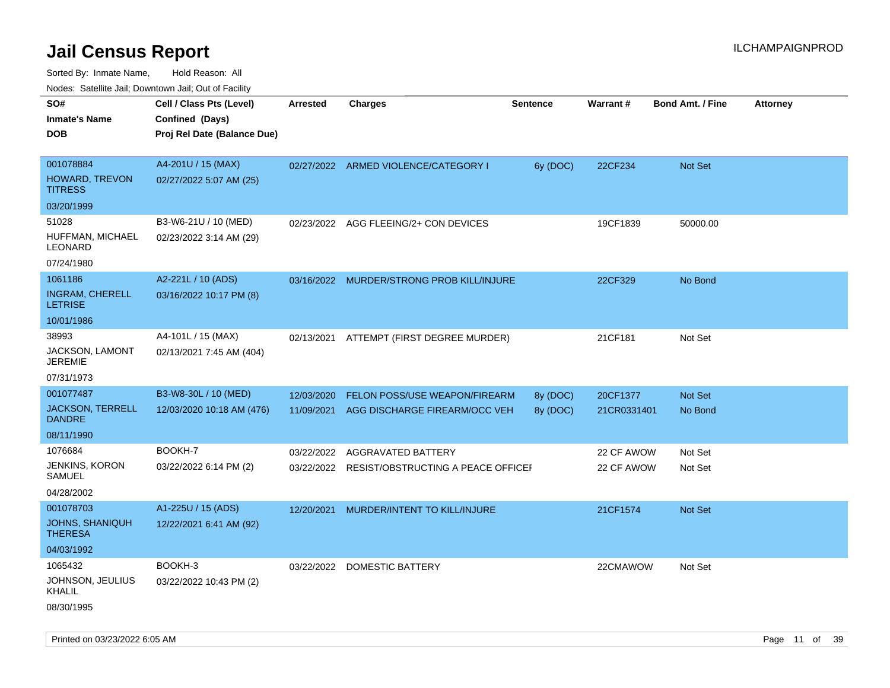|                                          | Nodes: Satellite Jail; Downtown Jail; Out of Facility |                 |                                               |                 |             |                         |                 |
|------------------------------------------|-------------------------------------------------------|-----------------|-----------------------------------------------|-----------------|-------------|-------------------------|-----------------|
| SO#                                      | Cell / Class Pts (Level)                              | <b>Arrested</b> | <b>Charges</b>                                | <b>Sentence</b> | Warrant#    | <b>Bond Amt. / Fine</b> | <b>Attorney</b> |
| <b>Inmate's Name</b>                     | Confined (Days)                                       |                 |                                               |                 |             |                         |                 |
| <b>DOB</b>                               | Proj Rel Date (Balance Due)                           |                 |                                               |                 |             |                         |                 |
|                                          |                                                       |                 |                                               |                 |             |                         |                 |
| 001078884                                | A4-201U / 15 (MAX)                                    |                 | 02/27/2022 ARMED VIOLENCE/CATEGORY I          | 6y (DOC)        | 22CF234     | Not Set                 |                 |
| HOWARD, TREVON<br><b>TITRESS</b>         | 02/27/2022 5:07 AM (25)                               |                 |                                               |                 |             |                         |                 |
| 03/20/1999                               |                                                       |                 |                                               |                 |             |                         |                 |
| 51028                                    | B3-W6-21U / 10 (MED)                                  |                 | 02/23/2022 AGG FLEEING/2+ CON DEVICES         |                 | 19CF1839    | 50000.00                |                 |
| HUFFMAN, MICHAEL<br><b>LEONARD</b>       | 02/23/2022 3:14 AM (29)                               |                 |                                               |                 |             |                         |                 |
| 07/24/1980                               |                                                       |                 |                                               |                 |             |                         |                 |
| 1061186                                  | A2-221L / 10 (ADS)                                    |                 | 03/16/2022 MURDER/STRONG PROB KILL/INJURE     |                 | 22CF329     | No Bond                 |                 |
| <b>INGRAM, CHERELL</b><br><b>LETRISE</b> | 03/16/2022 10:17 PM (8)                               |                 |                                               |                 |             |                         |                 |
| 10/01/1986                               |                                                       |                 |                                               |                 |             |                         |                 |
| 38993                                    | A4-101L / 15 (MAX)                                    | 02/13/2021      | ATTEMPT (FIRST DEGREE MURDER)                 |                 | 21CF181     | Not Set                 |                 |
| JACKSON, LAMONT<br><b>JEREMIE</b>        | 02/13/2021 7:45 AM (404)                              |                 |                                               |                 |             |                         |                 |
| 07/31/1973                               |                                                       |                 |                                               |                 |             |                         |                 |
| 001077487                                | B3-W8-30L / 10 (MED)                                  | 12/03/2020      | FELON POSS/USE WEAPON/FIREARM                 | 8y (DOC)        | 20CF1377    | Not Set                 |                 |
| <b>JACKSON, TERRELL</b><br><b>DANDRE</b> | 12/03/2020 10:18 AM (476)                             |                 | 11/09/2021 AGG DISCHARGE FIREARM/OCC VEH      | 8y (DOC)        | 21CR0331401 | No Bond                 |                 |
| 08/11/1990                               |                                                       |                 |                                               |                 |             |                         |                 |
| 1076684                                  | BOOKH-7                                               | 03/22/2022      | AGGRAVATED BATTERY                            |                 | 22 CF AWOW  | Not Set                 |                 |
| <b>JENKINS, KORON</b>                    | 03/22/2022 6:14 PM (2)                                |                 | 03/22/2022 RESIST/OBSTRUCTING A PEACE OFFICEF |                 | 22 CF AWOW  | Not Set                 |                 |
| <b>SAMUEL</b>                            |                                                       |                 |                                               |                 |             |                         |                 |
| 04/28/2002                               |                                                       |                 |                                               |                 |             |                         |                 |
| 001078703                                | A1-225U / 15 (ADS)                                    |                 | 12/20/2021 MURDER/INTENT TO KILL/INJURE       |                 | 21CF1574    | Not Set                 |                 |
| <b>JOHNS, SHANIQUH</b><br><b>THERESA</b> | 12/22/2021 6:41 AM (92)                               |                 |                                               |                 |             |                         |                 |
| 04/03/1992                               |                                                       |                 |                                               |                 |             |                         |                 |
| 1065432                                  | BOOKH-3                                               |                 | 03/22/2022 DOMESTIC BATTERY                   |                 | 22CMAWOW    | Not Set                 |                 |
| JOHNSON, JEULIUS<br><b>KHALIL</b>        | 03/22/2022 10:43 PM (2)                               |                 |                                               |                 |             |                         |                 |
| 08/30/1995                               |                                                       |                 |                                               |                 |             |                         |                 |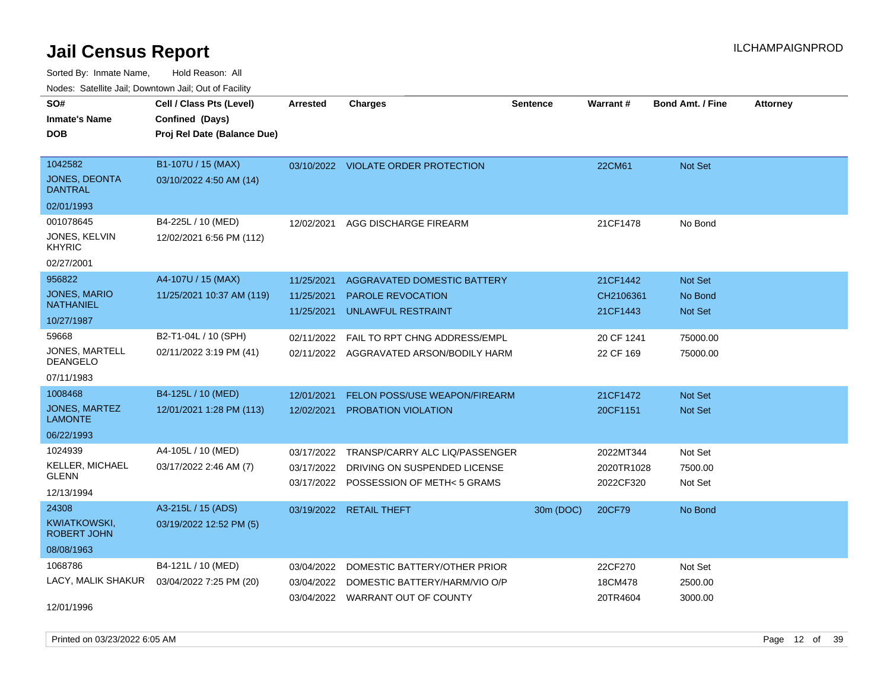Sorted By: Inmate Name, Hold Reason: All Nodes: Satellite Jail; Downtown Jail; Out of Facility

| Noucs. Calcinic Jail, Downtown Jail, Out of Facility |                             |                 |                                      |                 |            |                         |                 |
|------------------------------------------------------|-----------------------------|-----------------|--------------------------------------|-----------------|------------|-------------------------|-----------------|
| SO#                                                  | Cell / Class Pts (Level)    | <b>Arrested</b> | Charges                              | <b>Sentence</b> | Warrant#   | <b>Bond Amt. / Fine</b> | <b>Attorney</b> |
| Inmate's Name                                        | Confined (Days)             |                 |                                      |                 |            |                         |                 |
| <b>DOB</b>                                           | Proj Rel Date (Balance Due) |                 |                                      |                 |            |                         |                 |
|                                                      |                             |                 |                                      |                 |            |                         |                 |
| 1042582                                              | B1-107U / 15 (MAX)          |                 | 03/10/2022 VIOLATE ORDER PROTECTION  |                 | 22CM61     | Not Set                 |                 |
| <b>JONES, DEONTA</b><br><b>DANTRAL</b>               | 03/10/2022 4:50 AM (14)     |                 |                                      |                 |            |                         |                 |
| 02/01/1993                                           |                             |                 |                                      |                 |            |                         |                 |
| 001078645                                            | B4-225L / 10 (MED)          | 12/02/2021      | AGG DISCHARGE FIREARM                |                 | 21CF1478   | No Bond                 |                 |
| JONES, KELVIN<br>KHYRIC                              | 12/02/2021 6:56 PM (112)    |                 |                                      |                 |            |                         |                 |
| 02/27/2001                                           |                             |                 |                                      |                 |            |                         |                 |
| 956822                                               | A4-107U / 15 (MAX)          | 11/25/2021      | AGGRAVATED DOMESTIC BATTERY          |                 | 21CF1442   | Not Set                 |                 |
| JONES, MARIO                                         | 11/25/2021 10:37 AM (119)   | 11/25/2021      | <b>PAROLE REVOCATION</b>             |                 | CH2106361  | No Bond                 |                 |
| NATHANIEL                                            |                             | 11/25/2021      | UNLAWFUL RESTRAINT                   |                 | 21CF1443   | Not Set                 |                 |
| 10/27/1987                                           |                             |                 |                                      |                 |            |                         |                 |
| 59668                                                | B2-T1-04L / 10 (SPH)        | 02/11/2022      | FAIL TO RPT CHNG ADDRESS/EMPL        |                 | 20 CF 1241 | 75000.00                |                 |
| JONES, MARTELL<br>DEANGELO                           | 02/11/2022 3:19 PM (41)     | 02/11/2022      | AGGRAVATED ARSON/BODILY HARM         |                 | 22 CF 169  | 75000.00                |                 |
| 07/11/1983                                           |                             |                 |                                      |                 |            |                         |                 |
| 1008468                                              | B4-125L / 10 (MED)          | 12/01/2021      | <b>FELON POSS/USE WEAPON/FIREARM</b> |                 | 21CF1472   | <b>Not Set</b>          |                 |
| JONES, MARTEZ<br>LAMONTE                             | 12/01/2021 1:28 PM (113)    | 12/02/2021      | PROBATION VIOLATION                  |                 | 20CF1151   | Not Set                 |                 |
| 06/22/1993                                           |                             |                 |                                      |                 |            |                         |                 |
| 1024939                                              | A4-105L / 10 (MED)          | 03/17/2022      | TRANSP/CARRY ALC LIQ/PASSENGER       |                 | 2022MT344  | Not Set                 |                 |
| KELLER, MICHAEL                                      | 03/17/2022 2:46 AM (7)      | 03/17/2022      | DRIVING ON SUSPENDED LICENSE         |                 | 2020TR1028 | 7500.00                 |                 |
| GLENN                                                |                             | 03/17/2022      | POSSESSION OF METH< 5 GRAMS          |                 | 2022CF320  | Not Set                 |                 |
| 12/13/1994                                           |                             |                 |                                      |                 |            |                         |                 |
| 24308                                                | A3-215L / 15 (ADS)          |                 | 03/19/2022 RETAIL THEFT              | 30m (DOC)       | 20CF79     | No Bond                 |                 |
| KWIATKOWSKI,<br>ROBERT JOHN                          | 03/19/2022 12:52 PM (5)     |                 |                                      |                 |            |                         |                 |
| 08/08/1963                                           |                             |                 |                                      |                 |            |                         |                 |
| 1068786                                              | B4-121L / 10 (MED)          | 03/04/2022      | DOMESTIC BATTERY/OTHER PRIOR         |                 | 22CF270    | Not Set                 |                 |
| LACY, MALIK SHAKUR                                   | 03/04/2022 7:25 PM (20)     | 03/04/2022      | DOMESTIC BATTERY/HARM/VIO O/P        |                 | 18CM478    | 2500.00                 |                 |
|                                                      |                             |                 | 03/04/2022 WARRANT OUT OF COUNTY     |                 | 20TR4604   | 3000.00                 |                 |
| 12/01/1996                                           |                             |                 |                                      |                 |            |                         |                 |

Printed on 03/23/2022 6:05 AM Page 12 of 39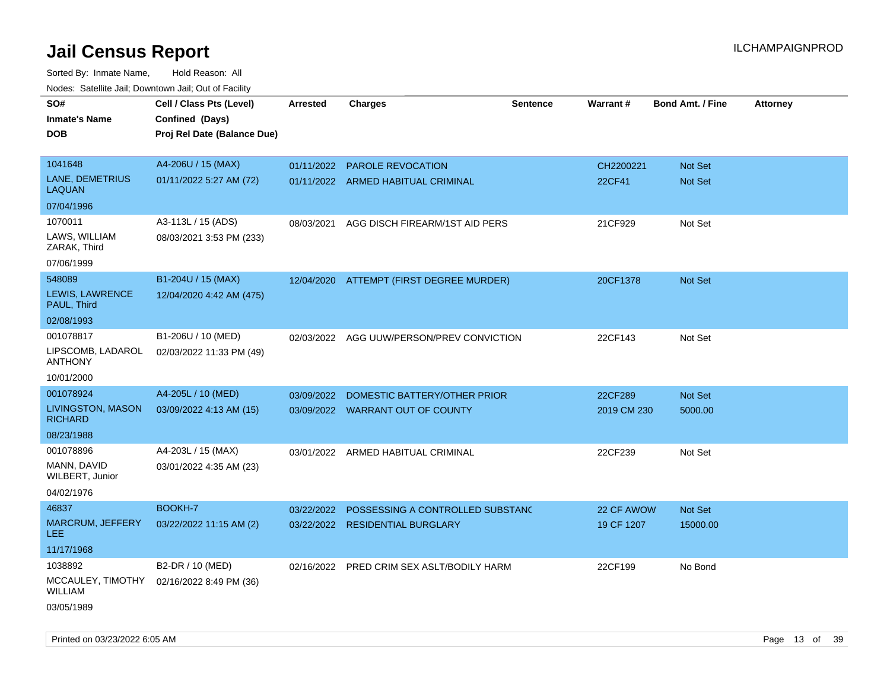| roaco. Calcinio dan, Downtown dan, Cal or Fability |                             |            |                                           |                 |                 |                         |                 |
|----------------------------------------------------|-----------------------------|------------|-------------------------------------------|-----------------|-----------------|-------------------------|-----------------|
| SO#                                                | Cell / Class Pts (Level)    | Arrested   | <b>Charges</b>                            | <b>Sentence</b> | <b>Warrant#</b> | <b>Bond Amt. / Fine</b> | <b>Attorney</b> |
| Inmate's Name                                      | Confined (Days)             |            |                                           |                 |                 |                         |                 |
| DOB                                                | Proj Rel Date (Balance Due) |            |                                           |                 |                 |                         |                 |
|                                                    |                             |            |                                           |                 |                 |                         |                 |
| 1041648                                            | A4-206U / 15 (MAX)          | 01/11/2022 | PAROLE REVOCATION                         |                 | CH2200221       | <b>Not Set</b>          |                 |
| LANE, DEMETRIUS<br>LAQUAN                          | 01/11/2022 5:27 AM (72)     |            | 01/11/2022 ARMED HABITUAL CRIMINAL        |                 | 22CF41          | Not Set                 |                 |
| 07/04/1996                                         |                             |            |                                           |                 |                 |                         |                 |
| 1070011                                            | A3-113L / 15 (ADS)          | 08/03/2021 | AGG DISCH FIREARM/1ST AID PERS            |                 | 21CF929         | Not Set                 |                 |
| LAWS, WILLIAM<br>ZARAK, Third                      | 08/03/2021 3:53 PM (233)    |            |                                           |                 |                 |                         |                 |
| 07/06/1999                                         |                             |            |                                           |                 |                 |                         |                 |
| 548089                                             | B1-204U / 15 (MAX)          |            | 12/04/2020 ATTEMPT (FIRST DEGREE MURDER)  |                 | 20CF1378        | <b>Not Set</b>          |                 |
| LEWIS, LAWRENCE<br>PAUL, Third                     | 12/04/2020 4:42 AM (475)    |            |                                           |                 |                 |                         |                 |
| 02/08/1993                                         |                             |            |                                           |                 |                 |                         |                 |
| 001078817                                          | B1-206U / 10 (MED)          |            | 02/03/2022 AGG UUW/PERSON/PREV CONVICTION |                 | 22CF143         | Not Set                 |                 |
| LIPSCOMB, LADAROL<br>ANTHONY                       | 02/03/2022 11:33 PM (49)    |            |                                           |                 |                 |                         |                 |
| 10/01/2000                                         |                             |            |                                           |                 |                 |                         |                 |
| 001078924                                          | A4-205L / 10 (MED)          | 03/09/2022 | DOMESTIC BATTERY/OTHER PRIOR              |                 | 22CF289         | <b>Not Set</b>          |                 |
| <b>LIVINGSTON, MASON</b><br><b>RICHARD</b>         | 03/09/2022 4:13 AM (15)     |            | 03/09/2022 WARRANT OUT OF COUNTY          |                 | 2019 CM 230     | 5000.00                 |                 |
| 08/23/1988                                         |                             |            |                                           |                 |                 |                         |                 |
| 001078896                                          | A4-203L / 15 (MAX)          |            | 03/01/2022 ARMED HABITUAL CRIMINAL        |                 | 22CF239         | Not Set                 |                 |
| MANN, DAVID<br>WILBERT, Junior                     | 03/01/2022 4:35 AM (23)     |            |                                           |                 |                 |                         |                 |
| 04/02/1976                                         |                             |            |                                           |                 |                 |                         |                 |
| 46837                                              | BOOKH-7                     | 03/22/2022 | POSSESSING A CONTROLLED SUBSTAND          |                 | 22 CF AWOW      | <b>Not Set</b>          |                 |
| <b>MARCRUM, JEFFERY</b><br>LEE.                    | 03/22/2022 11:15 AM (2)     | 03/22/2022 | <b>RESIDENTIAL BURGLARY</b>               |                 | 19 CF 1207      | 15000.00                |                 |
| 11/17/1968                                         |                             |            |                                           |                 |                 |                         |                 |
| 1038892                                            | B2-DR / 10 (MED)            |            | 02/16/2022 PRED CRIM SEX ASLT/BODILY HARM |                 | 22CF199         | No Bond                 |                 |
| MCCAULEY, TIMOTHY<br>WILLIAM                       | 02/16/2022 8:49 PM (36)     |            |                                           |                 |                 |                         |                 |
| 03/05/1989                                         |                             |            |                                           |                 |                 |                         |                 |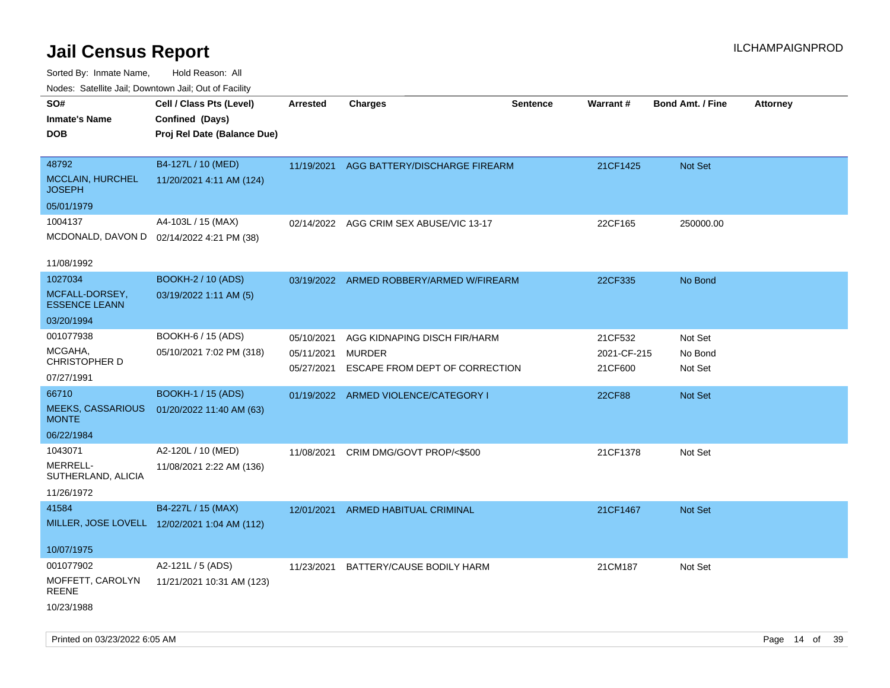| roaco. Odichile Jan, Downtown Jan, Out of Facility             |                                                                            |                                        |                                                                                 |                 |                                   |                               |                 |
|----------------------------------------------------------------|----------------------------------------------------------------------------|----------------------------------------|---------------------------------------------------------------------------------|-----------------|-----------------------------------|-------------------------------|-----------------|
| SO#<br><b>Inmate's Name</b><br><b>DOB</b>                      | Cell / Class Pts (Level)<br>Confined (Days)<br>Proj Rel Date (Balance Due) | <b>Arrested</b>                        | <b>Charges</b>                                                                  | <b>Sentence</b> | <b>Warrant#</b>                   | <b>Bond Amt. / Fine</b>       | <b>Attorney</b> |
| 48792<br>MCCLAIN, HURCHEL<br><b>JOSEPH</b>                     | B4-127L / 10 (MED)<br>11/20/2021 4:11 AM (124)                             |                                        | 11/19/2021 AGG BATTERY/DISCHARGE FIREARM                                        |                 | 21CF1425                          | Not Set                       |                 |
| 05/01/1979                                                     |                                                                            |                                        |                                                                                 |                 |                                   |                               |                 |
| 1004137                                                        | A4-103L / 15 (MAX)<br>MCDONALD, DAVON D 02/14/2022 4:21 PM (38)            |                                        | 02/14/2022 AGG CRIM SEX ABUSE/VIC 13-17                                         |                 | 22CF165                           | 250000.00                     |                 |
| 11/08/1992                                                     |                                                                            |                                        |                                                                                 |                 |                                   |                               |                 |
| 1027034<br>MCFALL-DORSEY,<br><b>ESSENCE LEANN</b>              | <b>BOOKH-2 / 10 (ADS)</b><br>03/19/2022 1:11 AM (5)                        |                                        | 03/19/2022 ARMED ROBBERY/ARMED W/FIREARM                                        |                 | 22CF335                           | No Bond                       |                 |
| 03/20/1994                                                     |                                                                            |                                        |                                                                                 |                 |                                   |                               |                 |
| 001077938<br>MCGAHA,<br>CHRISTOPHER D<br>07/27/1991            | BOOKH-6 / 15 (ADS)<br>05/10/2021 7:02 PM (318)                             | 05/10/2021<br>05/11/2021<br>05/27/2021 | AGG KIDNAPING DISCH FIR/HARM<br><b>MURDER</b><br>ESCAPE FROM DEPT OF CORRECTION |                 | 21CF532<br>2021-CF-215<br>21CF600 | Not Set<br>No Bond<br>Not Set |                 |
| 66710                                                          | <b>BOOKH-1 / 15 (ADS)</b>                                                  |                                        | 01/19/2022 ARMED VIOLENCE/CATEGORY I                                            |                 | <b>22CF88</b>                     | Not Set                       |                 |
| <b>MEEKS, CASSARIOUS</b><br><b>MONTE</b>                       | 01/20/2022 11:40 AM (63)                                                   |                                        |                                                                                 |                 |                                   |                               |                 |
| 06/22/1984                                                     |                                                                            |                                        |                                                                                 |                 |                                   |                               |                 |
| 1043071<br><b>MERRELL-</b><br>SUTHERLAND, ALICIA<br>11/26/1972 | A2-120L / 10 (MED)<br>11/08/2021 2:22 AM (136)                             | 11/08/2021                             | CRIM DMG/GOVT PROP/<\$500                                                       |                 | 21CF1378                          | Not Set                       |                 |
| 41584                                                          | B4-227L / 15 (MAX)<br>MILLER, JOSE LOVELL 12/02/2021 1:04 AM (112)         |                                        | 12/01/2021 ARMED HABITUAL CRIMINAL                                              |                 | 21CF1467                          | Not Set                       |                 |
| 10/07/1975                                                     |                                                                            |                                        |                                                                                 |                 |                                   |                               |                 |
| 001077902<br>MOFFETT, CAROLYN<br><b>REENE</b><br>10/23/1988    | A2-121L / 5 (ADS)<br>11/21/2021 10:31 AM (123)                             |                                        | 11/23/2021 BATTERY/CAUSE BODILY HARM                                            |                 | 21CM187                           | Not Set                       |                 |
|                                                                |                                                                            |                                        |                                                                                 |                 |                                   |                               |                 |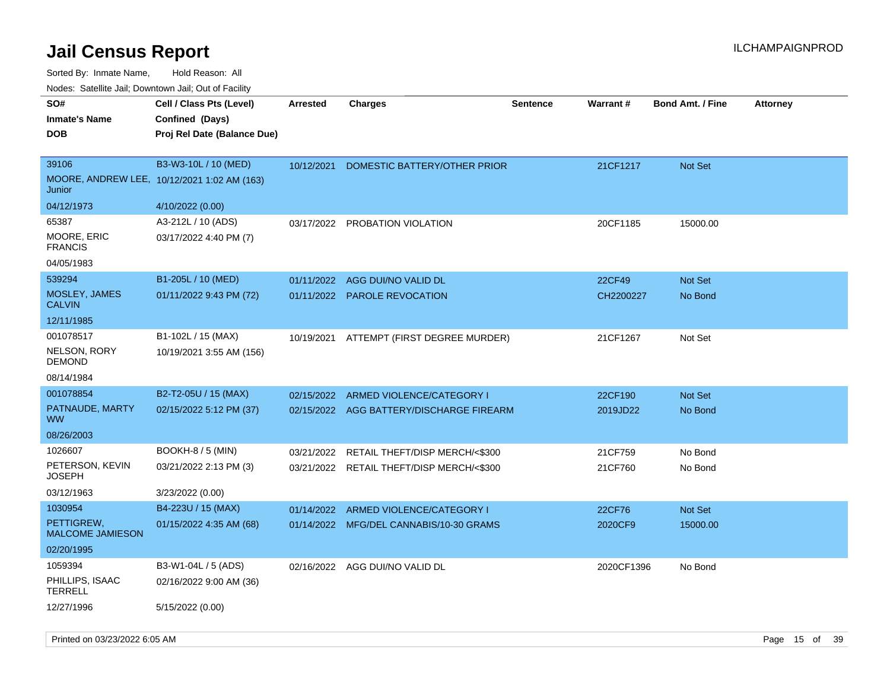| rouco. Calcinic Jan, Downtown Jan, Out of Facility |                                             |                 |                                           |                 |                 |                         |                 |
|----------------------------------------------------|---------------------------------------------|-----------------|-------------------------------------------|-----------------|-----------------|-------------------------|-----------------|
| SO#                                                | Cell / Class Pts (Level)                    | <b>Arrested</b> | <b>Charges</b>                            | <b>Sentence</b> | <b>Warrant#</b> | <b>Bond Amt. / Fine</b> | <b>Attorney</b> |
| Inmate's Name                                      | Confined (Days)                             |                 |                                           |                 |                 |                         |                 |
| <b>DOB</b>                                         | Proj Rel Date (Balance Due)                 |                 |                                           |                 |                 |                         |                 |
|                                                    |                                             |                 |                                           |                 |                 |                         |                 |
| 39106                                              | B3-W3-10L / 10 (MED)                        | 10/12/2021      | DOMESTIC BATTERY/OTHER PRIOR              |                 | 21CF1217        | Not Set                 |                 |
| Junior                                             | MOORE, ANDREW LEE, 10/12/2021 1:02 AM (163) |                 |                                           |                 |                 |                         |                 |
| 04/12/1973                                         | 4/10/2022 (0.00)                            |                 |                                           |                 |                 |                         |                 |
| 65387                                              | A3-212L / 10 (ADS)                          | 03/17/2022      | PROBATION VIOLATION                       |                 | 20CF1185        | 15000.00                |                 |
| MOORE, ERIC<br><b>FRANCIS</b>                      | 03/17/2022 4:40 PM (7)                      |                 |                                           |                 |                 |                         |                 |
| 04/05/1983                                         |                                             |                 |                                           |                 |                 |                         |                 |
| 539294                                             | B1-205L / 10 (MED)                          | 01/11/2022      | AGG DUI/NO VALID DL                       |                 | 22CF49          | <b>Not Set</b>          |                 |
| <b>MOSLEY, JAMES</b><br><b>CALVIN</b>              | 01/11/2022 9:43 PM (72)                     |                 | 01/11/2022 PAROLE REVOCATION              |                 | CH2200227       | No Bond                 |                 |
| 12/11/1985                                         |                                             |                 |                                           |                 |                 |                         |                 |
| 001078517                                          | B1-102L / 15 (MAX)                          |                 | 10/19/2021 ATTEMPT (FIRST DEGREE MURDER)  |                 | 21CF1267        | Not Set                 |                 |
| NELSON, RORY<br>DEMOND                             | 10/19/2021 3:55 AM (156)                    |                 |                                           |                 |                 |                         |                 |
| 08/14/1984                                         |                                             |                 |                                           |                 |                 |                         |                 |
| 001078854                                          | B2-T2-05U / 15 (MAX)                        | 02/15/2022      | ARMED VIOLENCE/CATEGORY I                 |                 | 22CF190         | Not Set                 |                 |
| PATNAUDE, MARTY<br>ww                              | 02/15/2022 5:12 PM (37)                     |                 | 02/15/2022 AGG BATTERY/DISCHARGE FIREARM  |                 | 2019JD22        | No Bond                 |                 |
| 08/26/2003                                         |                                             |                 |                                           |                 |                 |                         |                 |
| 1026607                                            | BOOKH-8 / 5 (MIN)                           | 03/21/2022      | RETAIL THEFT/DISP MERCH/<\$300            |                 | 21CF759         | No Bond                 |                 |
| PETERSON, KEVIN<br>JOSEPH                          | 03/21/2022 2:13 PM (3)                      |                 | 03/21/2022 RETAIL THEFT/DISP MERCH/<\$300 |                 | 21CF760         | No Bond                 |                 |
| 03/12/1963                                         | 3/23/2022 (0.00)                            |                 |                                           |                 |                 |                         |                 |
| 1030954                                            | B4-223U / 15 (MAX)                          | 01/14/2022      | ARMED VIOLENCE/CATEGORY I                 |                 | 22CF76          | Not Set                 |                 |
| PETTIGREW,<br><b>MALCOME JAMIESON</b>              | 01/15/2022 4:35 AM (68)                     |                 | 01/14/2022 MFG/DEL CANNABIS/10-30 GRAMS   |                 | 2020CF9         | 15000.00                |                 |
| 02/20/1995                                         |                                             |                 |                                           |                 |                 |                         |                 |
| 1059394                                            | B3-W1-04L / 5 (ADS)                         |                 | 02/16/2022 AGG DUI/NO VALID DL            |                 | 2020CF1396      | No Bond                 |                 |
| PHILLIPS, ISAAC<br>TERRELL                         | 02/16/2022 9:00 AM (36)                     |                 |                                           |                 |                 |                         |                 |
| 12/27/1996                                         | 5/15/2022 (0.00)                            |                 |                                           |                 |                 |                         |                 |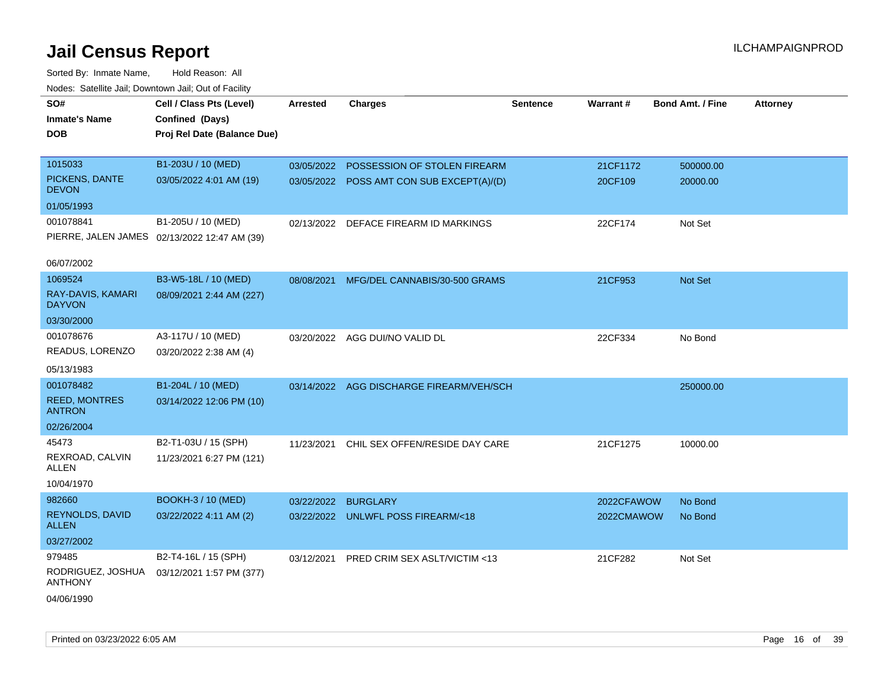| SO#                                   | Cell / Class Pts (Level)                     |            | <b>Charges</b>                            | <b>Sentence</b> | Warrant#   | <b>Bond Amt. / Fine</b> |                 |
|---------------------------------------|----------------------------------------------|------------|-------------------------------------------|-----------------|------------|-------------------------|-----------------|
|                                       |                                              | Arrested   |                                           |                 |            |                         | <b>Attorney</b> |
| <b>Inmate's Name</b>                  | Confined (Days)                              |            |                                           |                 |            |                         |                 |
| <b>DOB</b>                            | Proj Rel Date (Balance Due)                  |            |                                           |                 |            |                         |                 |
| 1015033                               | B1-203U / 10 (MED)                           | 03/05/2022 | POSSESSION OF STOLEN FIREARM              |                 | 21CF1172   | 500000.00               |                 |
| PICKENS, DANTE                        | 03/05/2022 4:01 AM (19)                      |            |                                           |                 |            |                         |                 |
| <b>DEVON</b>                          |                                              |            | 03/05/2022 POSS AMT CON SUB EXCEPT(A)/(D) |                 | 20CF109    | 20000.00                |                 |
| 01/05/1993                            |                                              |            |                                           |                 |            |                         |                 |
| 001078841                             | B1-205U / 10 (MED)                           |            | 02/13/2022 DEFACE FIREARM ID MARKINGS     |                 | 22CF174    | Not Set                 |                 |
|                                       | PIERRE, JALEN JAMES 02/13/2022 12:47 AM (39) |            |                                           |                 |            |                         |                 |
| 06/07/2002                            |                                              |            |                                           |                 |            |                         |                 |
| 1069524                               | B3-W5-18L / 10 (MED)                         | 08/08/2021 | MFG/DEL CANNABIS/30-500 GRAMS             |                 | 21CF953    | Not Set                 |                 |
| RAY-DAVIS, KAMARI<br><b>DAYVON</b>    | 08/09/2021 2:44 AM (227)                     |            |                                           |                 |            |                         |                 |
| 03/30/2000                            |                                              |            |                                           |                 |            |                         |                 |
| 001078676                             | A3-117U / 10 (MED)                           |            | 03/20/2022 AGG DUI/NO VALID DL            |                 | 22CF334    | No Bond                 |                 |
| READUS, LORENZO                       | 03/20/2022 2:38 AM (4)                       |            |                                           |                 |            |                         |                 |
| 05/13/1983                            |                                              |            |                                           |                 |            |                         |                 |
| 001078482                             | B1-204L / 10 (MED)                           |            | 03/14/2022 AGG DISCHARGE FIREARM/VEH/SCH  |                 |            | 250000.00               |                 |
| <b>REED, MONTRES</b><br><b>ANTRON</b> | 03/14/2022 12:06 PM (10)                     |            |                                           |                 |            |                         |                 |
| 02/26/2004                            |                                              |            |                                           |                 |            |                         |                 |
| 45473                                 | B2-T1-03U / 15 (SPH)                         | 11/23/2021 | CHIL SEX OFFEN/RESIDE DAY CARE            |                 | 21CF1275   | 10000.00                |                 |
| REXROAD, CALVIN<br><b>ALLEN</b>       | 11/23/2021 6:27 PM (121)                     |            |                                           |                 |            |                         |                 |
| 10/04/1970                            |                                              |            |                                           |                 |            |                         |                 |
| 982660                                | <b>BOOKH-3 / 10 (MED)</b>                    | 03/22/2022 | <b>BURGLARY</b>                           |                 | 2022CFAWOW | No Bond                 |                 |
| REYNOLDS, DAVID<br><b>ALLEN</b>       | 03/22/2022 4:11 AM (2)                       |            | 03/22/2022 UNLWFL POSS FIREARM/<18        |                 | 2022CMAWOW | No Bond                 |                 |
| 03/27/2002                            |                                              |            |                                           |                 |            |                         |                 |
| 979485                                | B2-T4-16L / 15 (SPH)                         | 03/12/2021 | PRED CRIM SEX ASLT/VICTIM <13             |                 | 21CF282    | Not Set                 |                 |
| RODRIGUEZ, JOSHUA<br><b>ANTHONY</b>   | 03/12/2021 1:57 PM (377)                     |            |                                           |                 |            |                         |                 |
| 04/06/1990                            |                                              |            |                                           |                 |            |                         |                 |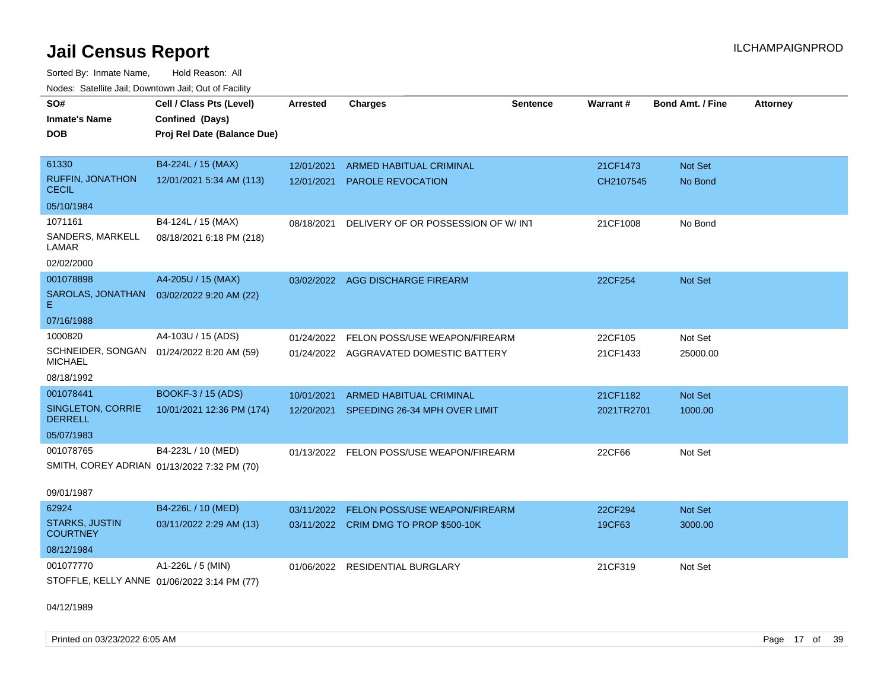Sorted By: Inmate Name, Hold Reason: All Nodes: Satellite Jail; Downtown Jail; Out of Facility

| SO#                                                         | Cell / Class Pts (Level)    | <b>Arrested</b> | <b>Charges</b>                           | <b>Sentence</b> | Warrant#   | <b>Bond Amt. / Fine</b> | <b>Attorney</b> |
|-------------------------------------------------------------|-----------------------------|-----------------|------------------------------------------|-----------------|------------|-------------------------|-----------------|
| <b>Inmate's Name</b>                                        | Confined (Days)             |                 |                                          |                 |            |                         |                 |
| <b>DOB</b>                                                  | Proj Rel Date (Balance Due) |                 |                                          |                 |            |                         |                 |
| 61330                                                       | B4-224L / 15 (MAX)          | 12/01/2021      | <b>ARMED HABITUAL CRIMINAL</b>           |                 | 21CF1473   | Not Set                 |                 |
| RUFFIN, JONATHON<br><b>CECIL</b>                            | 12/01/2021 5:34 AM (113)    | 12/01/2021      | <b>PAROLE REVOCATION</b>                 |                 | CH2107545  | No Bond                 |                 |
| 05/10/1984                                                  |                             |                 |                                          |                 |            |                         |                 |
| 1071161                                                     | B4-124L / 15 (MAX)          | 08/18/2021      | DELIVERY OF OR POSSESSION OF W/ INT      |                 | 21CF1008   | No Bond                 |                 |
| SANDERS, MARKELL<br>LAMAR                                   | 08/18/2021 6:18 PM (218)    |                 |                                          |                 |            |                         |                 |
| 02/02/2000                                                  |                             |                 |                                          |                 |            |                         |                 |
| 001078898                                                   | A4-205U / 15 (MAX)          |                 | 03/02/2022 AGG DISCHARGE FIREARM         |                 | 22CF254    | Not Set                 |                 |
| SAROLAS, JONATHAN<br>Е.                                     | 03/02/2022 9:20 AM (22)     |                 |                                          |                 |            |                         |                 |
| 07/16/1988                                                  |                             |                 |                                          |                 |            |                         |                 |
| 1000820                                                     | A4-103U / 15 (ADS)          | 01/24/2022      | FELON POSS/USE WEAPON/FIREARM            |                 | 22CF105    | Not Set                 |                 |
| SCHNEIDER, SONGAN 01/24/2022 8:20 AM (59)<br><b>MICHAEL</b> |                             |                 | 01/24/2022 AGGRAVATED DOMESTIC BATTERY   |                 | 21CF1433   | 25000.00                |                 |
| 08/18/1992                                                  |                             |                 |                                          |                 |            |                         |                 |
| 001078441                                                   | <b>BOOKF-3 / 15 (ADS)</b>   | 10/01/2021      | ARMED HABITUAL CRIMINAL                  |                 | 21CF1182   | <b>Not Set</b>          |                 |
| SINGLETON, CORRIE<br><b>DERRELL</b>                         | 10/01/2021 12:36 PM (174)   | 12/20/2021      | SPEEDING 26-34 MPH OVER LIMIT            |                 | 2021TR2701 | 1000.00                 |                 |
| 05/07/1983                                                  |                             |                 |                                          |                 |            |                         |                 |
| 001078765                                                   | B4-223L / 10 (MED)          |                 | 01/13/2022 FELON POSS/USE WEAPON/FIREARM |                 | 22CF66     | Not Set                 |                 |
| SMITH, COREY ADRIAN 01/13/2022 7:32 PM (70)                 |                             |                 |                                          |                 |            |                         |                 |
| 09/01/1987                                                  |                             |                 |                                          |                 |            |                         |                 |
| 62924                                                       | B4-226L / 10 (MED)          | 03/11/2022      | <b>FELON POSS/USE WEAPON/FIREARM</b>     |                 | 22CF294    | Not Set                 |                 |
| <b>STARKS, JUSTIN</b><br><b>COURTNEY</b>                    | 03/11/2022 2:29 AM (13)     |                 | 03/11/2022 CRIM DMG TO PROP \$500-10K    |                 | 19CF63     | 3000.00                 |                 |
| 08/12/1984                                                  |                             |                 |                                          |                 |            |                         |                 |
| 001077770<br>STOFFLE, KELLY ANNE 01/06/2022 3:14 PM (77)    | A1-226L / 5 (MIN)           |                 | 01/06/2022 RESIDENTIAL BURGLARY          |                 | 21CF319    | Not Set                 |                 |

04/12/1989

Printed on 03/23/2022 6:05 AM Page 17 of 39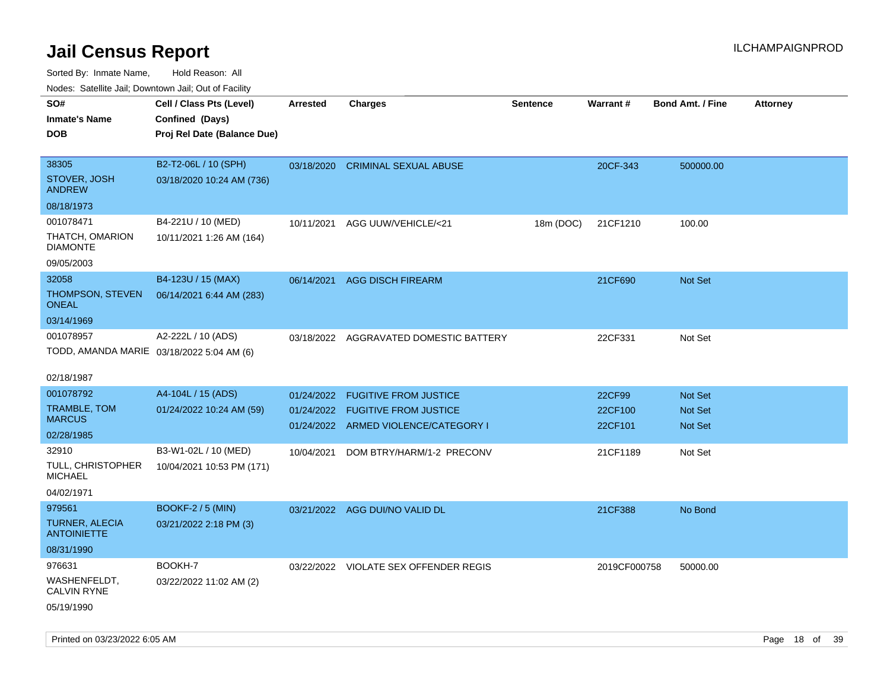| Nodes: Satellite Jali, Downtown Jali, Out of Facility<br>SO# | Cell / Class Pts (Level)    | Arrested   | <b>Charges</b>                         | <b>Sentence</b> | <b>Warrant#</b> | <b>Bond Amt. / Fine</b> | <b>Attorney</b> |
|--------------------------------------------------------------|-----------------------------|------------|----------------------------------------|-----------------|-----------------|-------------------------|-----------------|
| <b>Inmate's Name</b>                                         | Confined (Days)             |            |                                        |                 |                 |                         |                 |
| <b>DOB</b>                                                   | Proj Rel Date (Balance Due) |            |                                        |                 |                 |                         |                 |
|                                                              |                             |            |                                        |                 |                 |                         |                 |
| 38305                                                        | B2-T2-06L / 10 (SPH)        |            | 03/18/2020 CRIMINAL SEXUAL ABUSE       |                 | 20CF-343        | 500000.00               |                 |
| STOVER, JOSH<br><b>ANDREW</b>                                | 03/18/2020 10:24 AM (736)   |            |                                        |                 |                 |                         |                 |
| 08/18/1973                                                   |                             |            |                                        |                 |                 |                         |                 |
| 001078471                                                    | B4-221U / 10 (MED)          | 10/11/2021 | AGG UUW/VEHICLE/<21                    | 18m (DOC)       | 21CF1210        | 100.00                  |                 |
| THATCH, OMARION<br><b>DIAMONTE</b>                           | 10/11/2021 1:26 AM (164)    |            |                                        |                 |                 |                         |                 |
| 09/05/2003                                                   |                             |            |                                        |                 |                 |                         |                 |
| 32058                                                        | B4-123U / 15 (MAX)          | 06/14/2021 | <b>AGG DISCH FIREARM</b>               |                 | 21CF690         | Not Set                 |                 |
| THOMPSON, STEVEN<br><b>ONEAL</b>                             | 06/14/2021 6:44 AM (283)    |            |                                        |                 |                 |                         |                 |
| 03/14/1969                                                   |                             |            |                                        |                 |                 |                         |                 |
| 001078957                                                    | A2-222L / 10 (ADS)          |            | 03/18/2022 AGGRAVATED DOMESTIC BATTERY |                 | 22CF331         | Not Set                 |                 |
| TODD, AMANDA MARIE 03/18/2022 5:04 AM (6)                    |                             |            |                                        |                 |                 |                         |                 |
|                                                              |                             |            |                                        |                 |                 |                         |                 |
| 02/18/1987                                                   |                             |            |                                        |                 |                 |                         |                 |
| 001078792                                                    | A4-104L / 15 (ADS)          | 01/24/2022 | <b>FUGITIVE FROM JUSTICE</b>           |                 | 22CF99          | Not Set                 |                 |
| <b>TRAMBLE, TOM</b><br><b>MARCUS</b>                         | 01/24/2022 10:24 AM (59)    | 01/24/2022 | <b>FUGITIVE FROM JUSTICE</b>           |                 | 22CF100         | <b>Not Set</b>          |                 |
| 02/28/1985                                                   |                             |            | 01/24/2022 ARMED VIOLENCE/CATEGORY I   |                 | 22CF101         | Not Set                 |                 |
| 32910                                                        | B3-W1-02L / 10 (MED)        | 10/04/2021 | DOM BTRY/HARM/1-2 PRECONV              |                 | 21CF1189        | Not Set                 |                 |
| TULL, CHRISTOPHER<br><b>MICHAEL</b>                          | 10/04/2021 10:53 PM (171)   |            |                                        |                 |                 |                         |                 |
| 04/02/1971                                                   |                             |            |                                        |                 |                 |                         |                 |
| 979561                                                       | <b>BOOKF-2 / 5 (MIN)</b>    |            | 03/21/2022 AGG DUI/NO VALID DL         |                 | 21CF388         | No Bond                 |                 |
| TURNER, ALECIA<br><b>ANTOINIETTE</b>                         | 03/21/2022 2:18 PM (3)      |            |                                        |                 |                 |                         |                 |
| 08/31/1990                                                   |                             |            |                                        |                 |                 |                         |                 |
| 976631                                                       | BOOKH-7                     |            | 03/22/2022 VIOLATE SEX OFFENDER REGIS  |                 | 2019CF000758    | 50000.00                |                 |
| WASHENFELDT,<br><b>CALVIN RYNE</b>                           | 03/22/2022 11:02 AM (2)     |            |                                        |                 |                 |                         |                 |
| 05/19/1990                                                   |                             |            |                                        |                 |                 |                         |                 |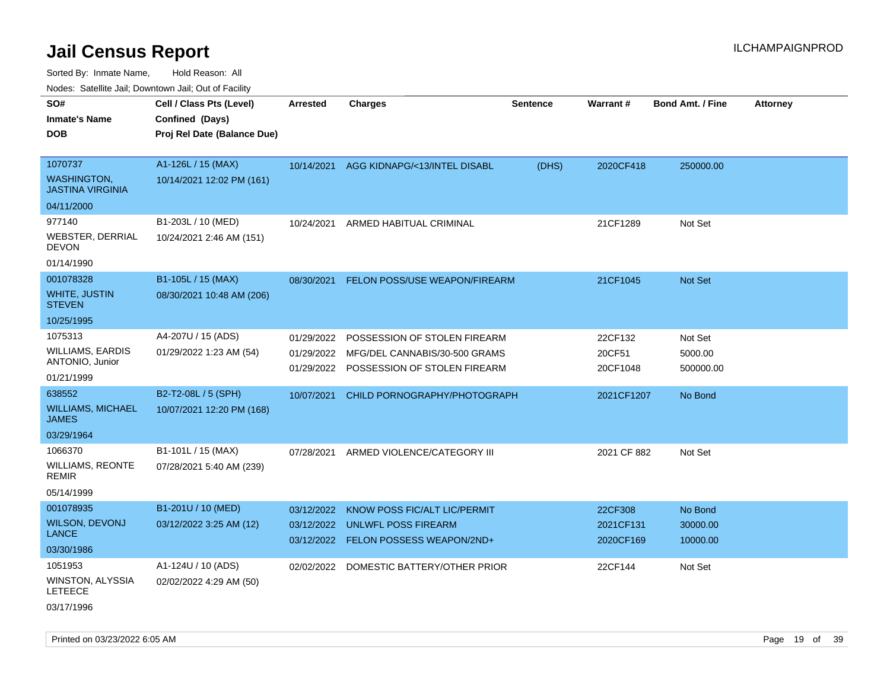Sorted By: Inmate Name, Hold Reason: All

Nodes: Satellite Jail; Downtown Jail; Out of Facility

| ivuutos. Saltiilit Jali, Duwilluwii Jali, Oul of Facility |                             |            |                                  |          |                 |                         |                 |
|-----------------------------------------------------------|-----------------------------|------------|----------------------------------|----------|-----------------|-------------------------|-----------------|
| SO#                                                       | Cell / Class Pts (Level)    | Arrested   | <b>Charges</b>                   | Sentence | <b>Warrant#</b> | <b>Bond Amt. / Fine</b> | <b>Attorney</b> |
| <b>Inmate's Name</b>                                      | Confined (Days)             |            |                                  |          |                 |                         |                 |
| <b>DOB</b>                                                | Proj Rel Date (Balance Due) |            |                                  |          |                 |                         |                 |
|                                                           |                             |            |                                  |          |                 |                         |                 |
| 1070737                                                   | A1-126L / 15 (MAX)          | 10/14/2021 | AGG KIDNAPG/<13/INTEL DISABL     | (DHS)    | 2020CF418       | 250000.00               |                 |
| <b>WASHINGTON,</b><br><b>JASTINA VIRGINIA</b>             | 10/14/2021 12:02 PM (161)   |            |                                  |          |                 |                         |                 |
| 04/11/2000                                                |                             |            |                                  |          |                 |                         |                 |
| 977140                                                    | B1-203L / 10 (MED)          | 10/24/2021 | ARMED HABITUAL CRIMINAL          |          | 21CF1289        | Not Set                 |                 |
| <b>WEBSTER, DERRIAL</b><br><b>DEVON</b>                   | 10/24/2021 2:46 AM (151)    |            |                                  |          |                 |                         |                 |
| 01/14/1990                                                |                             |            |                                  |          |                 |                         |                 |
| 001078328                                                 | B1-105L / 15 (MAX)          | 08/30/2021 | FELON POSS/USE WEAPON/FIREARM    |          | 21CF1045        | Not Set                 |                 |
| WHITE, JUSTIN<br><b>STEVEN</b>                            | 08/30/2021 10:48 AM (206)   |            |                                  |          |                 |                         |                 |
| 10/25/1995                                                |                             |            |                                  |          |                 |                         |                 |
| 1075313                                                   | A4-207U / 15 (ADS)          | 01/29/2022 | POSSESSION OF STOLEN FIREARM     |          | 22CF132         | Not Set                 |                 |
| <b>WILLIAMS, EARDIS</b>                                   | 01/29/2022 1:23 AM (54)     | 01/29/2022 | MFG/DEL CANNABIS/30-500 GRAMS    |          | 20CF51          | 5000.00                 |                 |
| ANTONIO, Junior                                           |                             | 01/29/2022 | POSSESSION OF STOLEN FIREARM     |          | 20CF1048        | 500000.00               |                 |
| 01/21/1999                                                |                             |            |                                  |          |                 |                         |                 |
| 638552                                                    | B2-T2-08L / 5 (SPH)         | 10/07/2021 | CHILD PORNOGRAPHY/PHOTOGRAPH     |          | 2021CF1207      | No Bond                 |                 |
| <b>WILLIAMS, MICHAEL</b><br><b>JAMES</b>                  | 10/07/2021 12:20 PM (168)   |            |                                  |          |                 |                         |                 |
| 03/29/1964                                                |                             |            |                                  |          |                 |                         |                 |
| 1066370                                                   | B1-101L / 15 (MAX)          | 07/28/2021 | ARMED VIOLENCE/CATEGORY III      |          | 2021 CF 882     | Not Set                 |                 |
| <b>WILLIAMS, REONTE</b><br><b>REMIR</b>                   | 07/28/2021 5:40 AM (239)    |            |                                  |          |                 |                         |                 |
| 05/14/1999                                                |                             |            |                                  |          |                 |                         |                 |
| 001078935                                                 | B1-201U / 10 (MED)          | 03/12/2022 | KNOW POSS FIC/ALT LIC/PERMIT     |          | 22CF308         | No Bond                 |                 |
| <b>WILSON, DEVONJ</b>                                     | 03/12/2022 3:25 AM (12)     | 03/12/2022 | <b>UNLWFL POSS FIREARM</b>       |          | 2021CF131       | 30000.00                |                 |
| <b>LANCE</b>                                              |                             | 03/12/2022 | <b>FELON POSSESS WEAPON/2ND+</b> |          | 2020CF169       | 10000.00                |                 |
| 03/30/1986                                                |                             |            |                                  |          |                 |                         |                 |
| 1051953                                                   | A1-124U / 10 (ADS)          | 02/02/2022 | DOMESTIC BATTERY/OTHER PRIOR     |          | 22CF144         | Not Set                 |                 |
| WINSTON, ALYSSIA<br><b>LETEECE</b>                        | 02/02/2022 4:29 AM (50)     |            |                                  |          |                 |                         |                 |
| 03/17/1996                                                |                             |            |                                  |          |                 |                         |                 |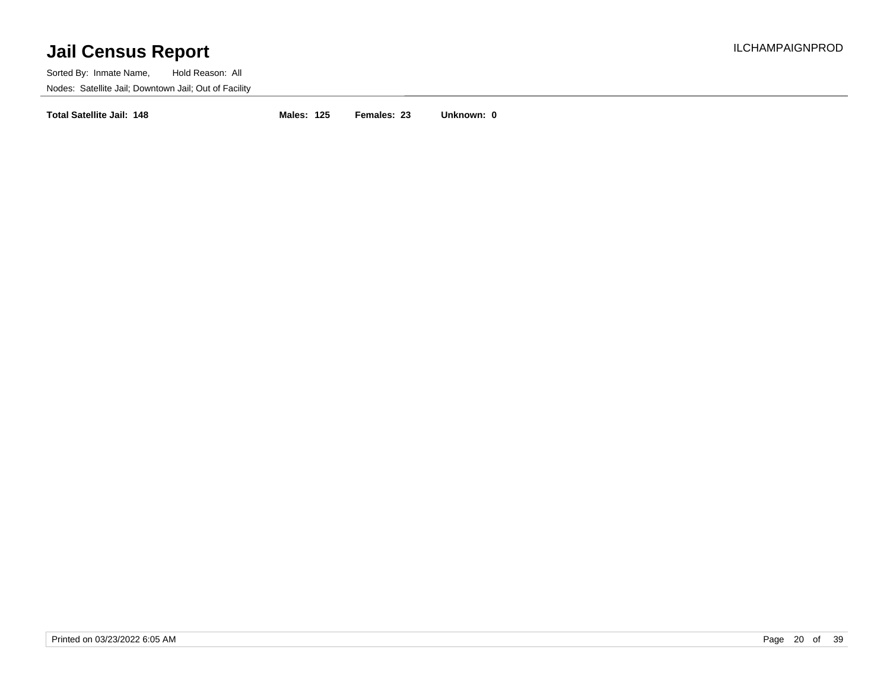Sorted By: Inmate Name, Hold Reason: All Nodes: Satellite Jail; Downtown Jail; Out of Facility

**Total Satellite Jail: 148 Males: 125 Females: 23 Unknown: 0**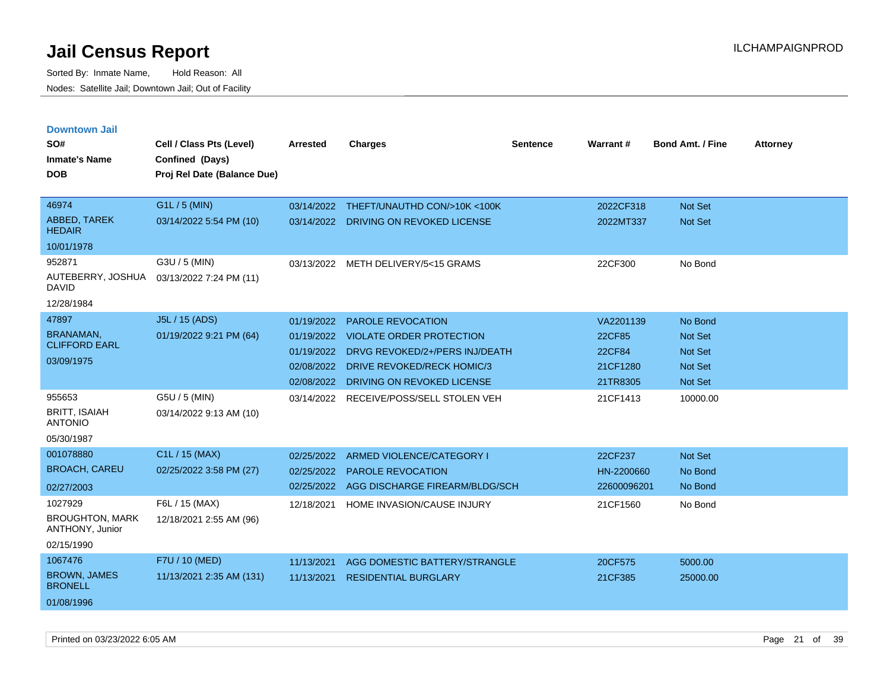| <b>Downtown Jail</b>                      |                             |            |                                         |                 |                 |                         |                 |
|-------------------------------------------|-----------------------------|------------|-----------------------------------------|-----------------|-----------------|-------------------------|-----------------|
| SO#                                       | Cell / Class Pts (Level)    | Arrested   | <b>Charges</b>                          | <b>Sentence</b> | <b>Warrant#</b> | <b>Bond Amt. / Fine</b> | <b>Attorney</b> |
| <b>Inmate's Name</b>                      | Confined (Days)             |            |                                         |                 |                 |                         |                 |
| <b>DOB</b>                                | Proj Rel Date (Balance Due) |            |                                         |                 |                 |                         |                 |
|                                           |                             |            |                                         |                 |                 |                         |                 |
| 46974                                     | G1L / 5 (MIN)               |            | 03/14/2022 THEFT/UNAUTHD CON/>10K <100K |                 | 2022CF318       | Not Set                 |                 |
| ABBED, TAREK<br><b>HEDAIR</b>             | 03/14/2022 5:54 PM (10)     | 03/14/2022 | DRIVING ON REVOKED LICENSE              |                 | 2022MT337       | Not Set                 |                 |
| 10/01/1978                                |                             |            |                                         |                 |                 |                         |                 |
| 952871                                    | G3U / 5 (MIN)               | 03/13/2022 | METH DELIVERY/5<15 GRAMS                |                 | 22CF300         | No Bond                 |                 |
| AUTEBERRY, JOSHUA<br><b>DAVID</b>         | 03/13/2022 7:24 PM (11)     |            |                                         |                 |                 |                         |                 |
| 12/28/1984                                |                             |            |                                         |                 |                 |                         |                 |
| 47897                                     | J5L / 15 (ADS)              | 01/19/2022 | <b>PAROLE REVOCATION</b>                |                 | VA2201139       | No Bond                 |                 |
| <b>BRANAMAN,</b>                          | 01/19/2022 9:21 PM (64)     |            | 01/19/2022 VIOLATE ORDER PROTECTION     |                 | 22CF85          | Not Set                 |                 |
| <b>CLIFFORD EARL</b>                      |                             | 01/19/2022 | DRVG REVOKED/2+/PERS INJ/DEATH          |                 | 22CF84          | Not Set                 |                 |
| 03/09/1975                                |                             | 02/08/2022 | DRIVE REVOKED/RECK HOMIC/3              |                 | 21CF1280        | <b>Not Set</b>          |                 |
|                                           |                             | 02/08/2022 | DRIVING ON REVOKED LICENSE              |                 | 21TR8305        | Not Set                 |                 |
| 955653                                    | G5U / 5 (MIN)               |            | 03/14/2022 RECEIVE/POSS/SELL STOLEN VEH |                 | 21CF1413        | 10000.00                |                 |
| <b>BRITT, ISAIAH</b><br><b>ANTONIO</b>    | 03/14/2022 9:13 AM (10)     |            |                                         |                 |                 |                         |                 |
| 05/30/1987                                |                             |            |                                         |                 |                 |                         |                 |
| 001078880                                 | C1L / 15 (MAX)              | 02/25/2022 | ARMED VIOLENCE/CATEGORY I               |                 | 22CF237         | Not Set                 |                 |
| <b>BROACH, CAREU</b>                      | 02/25/2022 3:58 PM (27)     | 02/25/2022 | PAROLE REVOCATION                       |                 | HN-2200660      | No Bond                 |                 |
| 02/27/2003                                |                             | 02/25/2022 | AGG DISCHARGE FIREARM/BLDG/SCH          |                 | 22600096201     | No Bond                 |                 |
| 1027929                                   | F6L / 15 (MAX)              | 12/18/2021 | HOME INVASION/CAUSE INJURY              |                 | 21CF1560        | No Bond                 |                 |
| <b>BROUGHTON, MARK</b><br>ANTHONY, Junior | 12/18/2021 2:55 AM (96)     |            |                                         |                 |                 |                         |                 |
| 02/15/1990                                |                             |            |                                         |                 |                 |                         |                 |
| 1067476                                   | F7U / 10 (MED)              | 11/13/2021 | AGG DOMESTIC BATTERY/STRANGLE           |                 | 20CF575         | 5000.00                 |                 |
| <b>BROWN, JAMES</b><br><b>BRONELL</b>     | 11/13/2021 2:35 AM (131)    | 11/13/2021 | <b>RESIDENTIAL BURGLARY</b>             |                 | 21CF385         | 25000.00                |                 |
| 01/08/1996                                |                             |            |                                         |                 |                 |                         |                 |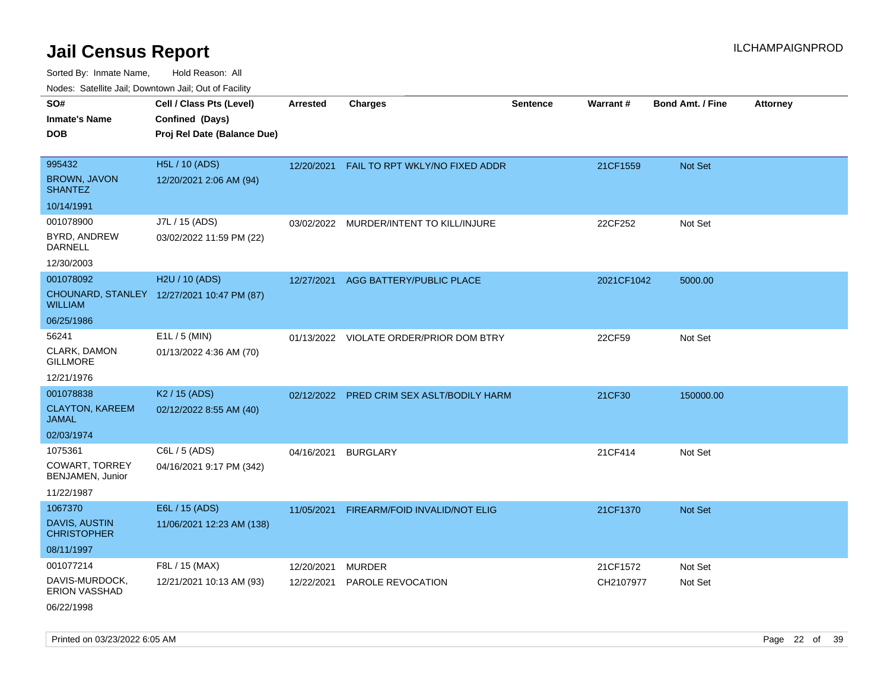Sorted By: Inmate Name, Hold Reason: All Nodes: Satellite Jail; Downtown Jail; Out of Facility

| SO#                                        | Cell / Class Pts (Level)                   | Arrested   | <b>Charges</b>                          | <b>Sentence</b> | Warrant#   | <b>Bond Amt. / Fine</b> | <b>Attorney</b> |
|--------------------------------------------|--------------------------------------------|------------|-----------------------------------------|-----------------|------------|-------------------------|-----------------|
| <b>Inmate's Name</b>                       | Confined (Days)                            |            |                                         |                 |            |                         |                 |
| <b>DOB</b>                                 | Proj Rel Date (Balance Due)                |            |                                         |                 |            |                         |                 |
|                                            |                                            |            |                                         |                 |            |                         |                 |
| 995432                                     | H5L / 10 (ADS)                             | 12/20/2021 | FAIL TO RPT WKLY/NO FIXED ADDR          |                 | 21CF1559   | Not Set                 |                 |
| <b>BROWN, JAVON</b><br><b>SHANTEZ</b>      | 12/20/2021 2:06 AM (94)                    |            |                                         |                 |            |                         |                 |
| 10/14/1991                                 |                                            |            |                                         |                 |            |                         |                 |
| 001078900                                  | J7L / 15 (ADS)                             |            | 03/02/2022 MURDER/INTENT TO KILL/INJURE |                 | 22CF252    | Not Set                 |                 |
| BYRD, ANDREW<br><b>DARNELL</b>             | 03/02/2022 11:59 PM (22)                   |            |                                         |                 |            |                         |                 |
| 12/30/2003                                 |                                            |            |                                         |                 |            |                         |                 |
| 001078092                                  | H <sub>2</sub> U / 10 (ADS)                | 12/27/2021 | AGG BATTERY/PUBLIC PLACE                |                 | 2021CF1042 | 5000.00                 |                 |
| <b>WILLIAM</b>                             | CHOUNARD, STANLEY 12/27/2021 10:47 PM (87) |            |                                         |                 |            |                         |                 |
| 06/25/1986                                 |                                            |            |                                         |                 |            |                         |                 |
| 56241                                      | $E1L / 5$ (MIN)                            |            | 01/13/2022 VIOLATE ORDER/PRIOR DOM BTRY |                 | 22CF59     | Not Set                 |                 |
| CLARK, DAMON<br><b>GILLMORE</b>            | 01/13/2022 4:36 AM (70)                    |            |                                         |                 |            |                         |                 |
| 12/21/1976                                 |                                            |            |                                         |                 |            |                         |                 |
| 001078838                                  | K <sub>2</sub> / 15 (ADS)                  | 02/12/2022 | PRED CRIM SEX ASLT/BODILY HARM          |                 | 21CF30     | 150000.00               |                 |
| <b>CLAYTON, KAREEM</b><br><b>JAMAL</b>     | 02/12/2022 8:55 AM (40)                    |            |                                         |                 |            |                         |                 |
| 02/03/1974                                 |                                            |            |                                         |                 |            |                         |                 |
| 1075361                                    | C6L / 5 (ADS)                              | 04/16/2021 | <b>BURGLARY</b>                         |                 | 21CF414    | Not Set                 |                 |
| COWART, TORREY<br>BENJAMEN, Junior         | 04/16/2021 9:17 PM (342)                   |            |                                         |                 |            |                         |                 |
| 11/22/1987                                 |                                            |            |                                         |                 |            |                         |                 |
| 1067370                                    | E6L / 15 (ADS)                             | 11/05/2021 | FIREARM/FOID INVALID/NOT ELIG           |                 | 21CF1370   | Not Set                 |                 |
| <b>DAVIS, AUSTIN</b><br><b>CHRISTOPHER</b> | 11/06/2021 12:23 AM (138)                  |            |                                         |                 |            |                         |                 |
| 08/11/1997                                 |                                            |            |                                         |                 |            |                         |                 |
| 001077214                                  | F8L / 15 (MAX)                             | 12/20/2021 | <b>MURDER</b>                           |                 | 21CF1572   | Not Set                 |                 |
| DAVIS-MURDOCK,<br><b>ERION VASSHAD</b>     | 12/21/2021 10:13 AM (93)                   | 12/22/2021 | <b>PAROLE REVOCATION</b>                |                 | CH2107977  | Not Set                 |                 |
| 06/22/1998                                 |                                            |            |                                         |                 |            |                         |                 |

Printed on 03/23/2022 6:05 AM Page 22 of 39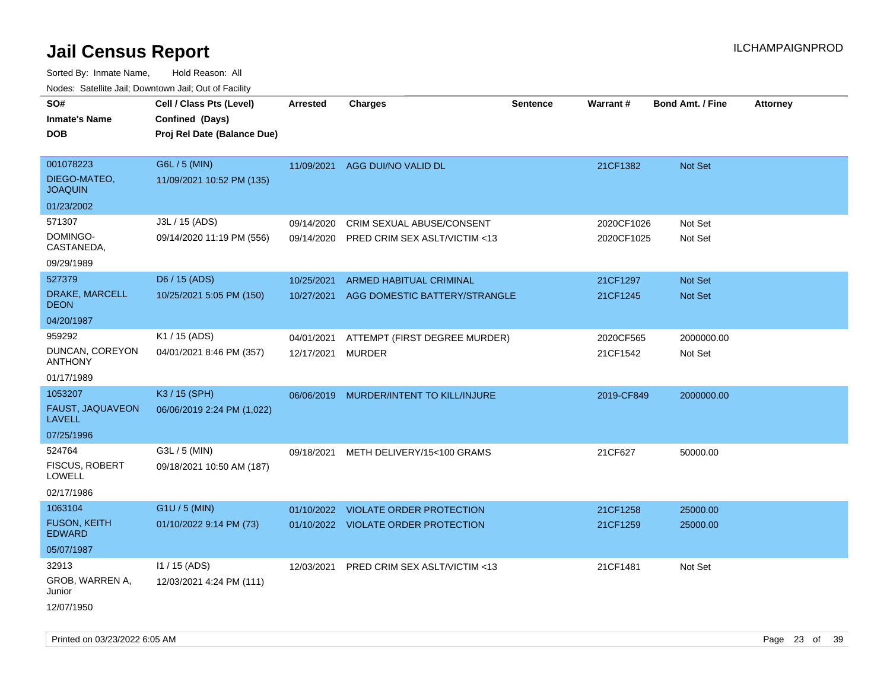| SO#<br><b>Inmate's Name</b>                                   | Cell / Class Pts (Level)<br>Confined (Days) | <b>Arrested</b>          | <b>Charges</b>                                                         | <b>Sentence</b> | Warrant#                 | <b>Bond Amt. / Fine</b> | <b>Attorney</b> |
|---------------------------------------------------------------|---------------------------------------------|--------------------------|------------------------------------------------------------------------|-----------------|--------------------------|-------------------------|-----------------|
| <b>DOB</b>                                                    | Proj Rel Date (Balance Due)                 |                          |                                                                        |                 |                          |                         |                 |
| 001078223<br>DIEGO-MATEO,<br><b>JOAQUIN</b>                   | G6L / 5 (MIN)<br>11/09/2021 10:52 PM (135)  | 11/09/2021               | AGG DUI/NO VALID DL                                                    |                 | 21CF1382                 | Not Set                 |                 |
| 01/23/2002                                                    |                                             |                          |                                                                        |                 |                          |                         |                 |
| 571307<br>DOMINGO-<br>CASTANEDA,                              | J3L / 15 (ADS)<br>09/14/2020 11:19 PM (556) | 09/14/2020<br>09/14/2020 | CRIM SEXUAL ABUSE/CONSENT<br>PRED CRIM SEX ASLT/VICTIM <13             |                 | 2020CF1026<br>2020CF1025 | Not Set<br>Not Set      |                 |
| 09/29/1989                                                    |                                             |                          |                                                                        |                 |                          |                         |                 |
| 527379<br>DRAKE, MARCELL<br><b>DEON</b>                       | D6 / 15 (ADS)<br>10/25/2021 5:05 PM (150)   | 10/25/2021<br>10/27/2021 | <b>ARMED HABITUAL CRIMINAL</b><br>AGG DOMESTIC BATTERY/STRANGLE        |                 | 21CF1297<br>21CF1245     | Not Set<br>Not Set      |                 |
| 04/20/1987                                                    |                                             |                          |                                                                        |                 |                          |                         |                 |
| 959292<br>DUNCAN, COREYON<br>ANTHONY                          | K1 / 15 (ADS)<br>04/01/2021 8:46 PM (357)   | 04/01/2021<br>12/17/2021 | ATTEMPT (FIRST DEGREE MURDER)<br>MURDER                                |                 | 2020CF565<br>21CF1542    | 2000000.00<br>Not Set   |                 |
| 01/17/1989                                                    |                                             |                          |                                                                        |                 |                          |                         |                 |
| 1053207<br>FAUST, JAQUAVEON<br><b>LAVELL</b><br>07/25/1996    | K3 / 15 (SPH)<br>06/06/2019 2:24 PM (1,022) | 06/06/2019               | MURDER/INTENT TO KILL/INJURE                                           |                 | 2019-CF849               | 2000000.00              |                 |
| 524764<br><b>FISCUS, ROBERT</b><br>LOWELL<br>02/17/1986       | G3L / 5 (MIN)<br>09/18/2021 10:50 AM (187)  |                          | 09/18/2021 METH DELIVERY/15<100 GRAMS                                  |                 | 21CF627                  | 50000.00                |                 |
| 1063104<br><b>FUSON, KEITH</b><br><b>EDWARD</b><br>05/07/1987 | G1U / 5 (MIN)<br>01/10/2022 9:14 PM (73)    | 01/10/2022               | <b>VIOLATE ORDER PROTECTION</b><br>01/10/2022 VIOLATE ORDER PROTECTION |                 | 21CF1258<br>21CF1259     | 25000.00<br>25000.00    |                 |
| 32913<br>GROB, WARREN A,<br>Junior<br>12/07/1950              | I1 / 15 (ADS)<br>12/03/2021 4:24 PM (111)   | 12/03/2021               | PRED CRIM SEX ASLT/VICTIM <13                                          |                 | 21CF1481                 | Not Set                 |                 |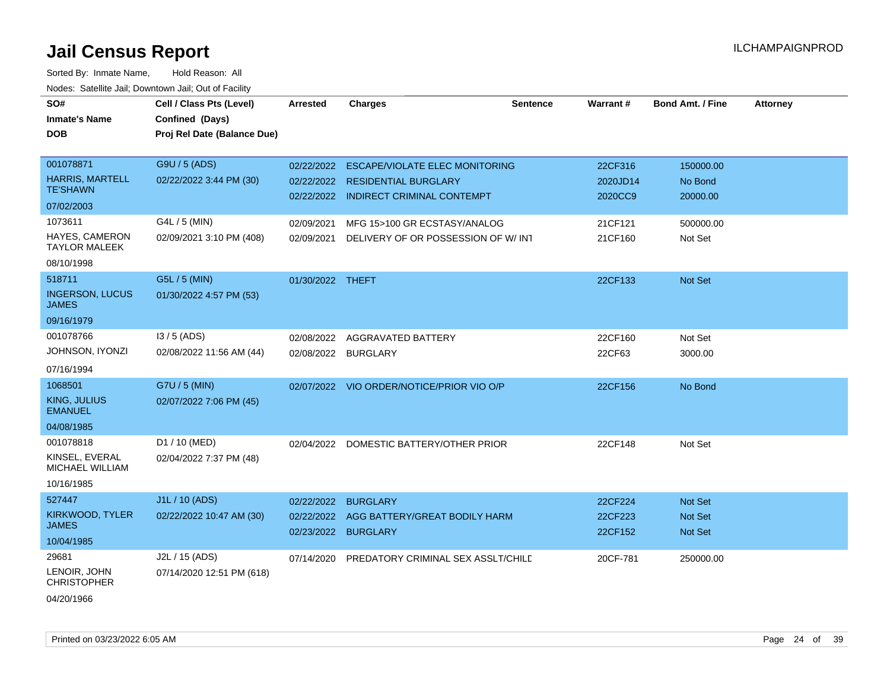| roaco. Catolino cali, Downtown cali, Out of Facility |                             |                     |                                               |                 |          |                         |                 |
|------------------------------------------------------|-----------------------------|---------------------|-----------------------------------------------|-----------------|----------|-------------------------|-----------------|
| SO#                                                  | Cell / Class Pts (Level)    | <b>Arrested</b>     | <b>Charges</b>                                | <b>Sentence</b> | Warrant# | <b>Bond Amt. / Fine</b> | <b>Attorney</b> |
| <b>Inmate's Name</b>                                 | Confined (Days)             |                     |                                               |                 |          |                         |                 |
| DOB                                                  | Proj Rel Date (Balance Due) |                     |                                               |                 |          |                         |                 |
|                                                      |                             |                     |                                               |                 |          |                         |                 |
| 001078871                                            | G9U / 5 (ADS)               | 02/22/2022          | <b>ESCAPE/VIOLATE ELEC MONITORING</b>         |                 | 22CF316  | 150000.00               |                 |
| <b>HARRIS, MARTELL</b><br><b>TE'SHAWN</b>            | 02/22/2022 3:44 PM (30)     | 02/22/2022          | <b>RESIDENTIAL BURGLARY</b>                   |                 | 2020JD14 | No Bond                 |                 |
|                                                      |                             |                     | 02/22/2022 INDIRECT CRIMINAL CONTEMPT         |                 | 2020CC9  | 20000.00                |                 |
| 07/02/2003                                           |                             |                     |                                               |                 |          |                         |                 |
| 1073611                                              | G4L / 5 (MIN)               | 02/09/2021          | MFG 15>100 GR ECSTASY/ANALOG                  |                 | 21CF121  | 500000.00               |                 |
| HAYES, CAMERON<br><b>TAYLOR MALEEK</b>               | 02/09/2021 3:10 PM (408)    | 02/09/2021          | DELIVERY OF OR POSSESSION OF W/INT            |                 | 21CF160  | Not Set                 |                 |
| 08/10/1998                                           |                             |                     |                                               |                 |          |                         |                 |
| 518711                                               | G5L / 5 (MIN)               | 01/30/2022 THEFT    |                                               |                 | 22CF133  | Not Set                 |                 |
| <b>INGERSON, LUCUS</b><br><b>JAMES</b>               | 01/30/2022 4:57 PM (53)     |                     |                                               |                 |          |                         |                 |
| 09/16/1979                                           |                             |                     |                                               |                 |          |                         |                 |
| 001078766                                            | $13/5$ (ADS)                | 02/08/2022          | <b>AGGRAVATED BATTERY</b>                     |                 | 22CF160  | Not Set                 |                 |
| Johnson, Iyonzi                                      | 02/08/2022 11:56 AM (44)    | 02/08/2022          | <b>BURGLARY</b>                               |                 | 22CF63   | 3000.00                 |                 |
| 07/16/1994                                           |                             |                     |                                               |                 |          |                         |                 |
| 1068501                                              | G7U / 5 (MIN)               | 02/07/2022          | VIO ORDER/NOTICE/PRIOR VIO O/P                |                 | 22CF156  | No Bond                 |                 |
| KING, JULIUS<br><b>EMANUEL</b>                       | 02/07/2022 7:06 PM (45)     |                     |                                               |                 |          |                         |                 |
| 04/08/1985                                           |                             |                     |                                               |                 |          |                         |                 |
| 001078818                                            | D1 / 10 (MED)               | 02/04/2022          | DOMESTIC BATTERY/OTHER PRIOR                  |                 | 22CF148  | Not Set                 |                 |
| KINSEL, EVERAL<br><b>MICHAEL WILLIAM</b>             | 02/04/2022 7:37 PM (48)     |                     |                                               |                 |          |                         |                 |
| 10/16/1985                                           |                             |                     |                                               |                 |          |                         |                 |
| 527447                                               | J1L / 10 (ADS)              | 02/22/2022          | <b>BURGLARY</b>                               |                 | 22CF224  | <b>Not Set</b>          |                 |
| KIRKWOOD, TYLER                                      | 02/22/2022 10:47 AM (30)    | 02/22/2022          | AGG BATTERY/GREAT BODILY HARM                 |                 | 22CF223  | <b>Not Set</b>          |                 |
| <b>JAMES</b>                                         |                             | 02/23/2022 BURGLARY |                                               |                 | 22CF152  | <b>Not Set</b>          |                 |
| 10/04/1985                                           |                             |                     |                                               |                 |          |                         |                 |
| 29681                                                | J2L / 15 (ADS)              |                     | 07/14/2020 PREDATORY CRIMINAL SEX ASSLT/CHILD |                 | 20CF-781 | 250000.00               |                 |
| LENOIR, JOHN<br><b>CHRISTOPHER</b>                   | 07/14/2020 12:51 PM (618)   |                     |                                               |                 |          |                         |                 |
| 04/20/1966                                           |                             |                     |                                               |                 |          |                         |                 |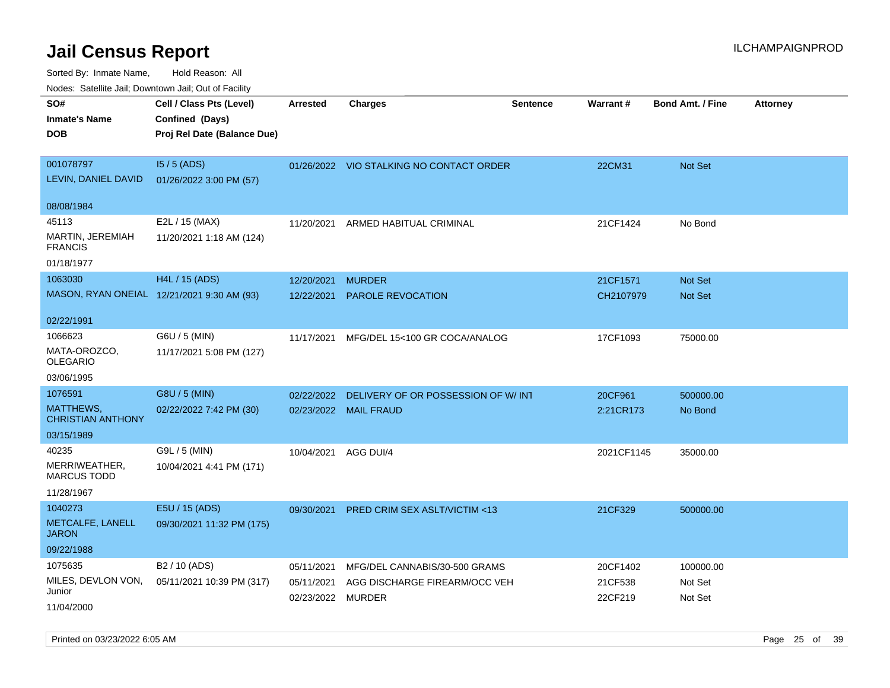Sorted By: Inmate Name, Hold Reason: All Nodes: Satellite Jail; Downtown Jail; Out of Facility

| ivuutta. Saltiilitti valli, Duwilluwii Jalli, Out ol Facility |                                            |                   |                                          |                 |            |                         |                 |
|---------------------------------------------------------------|--------------------------------------------|-------------------|------------------------------------------|-----------------|------------|-------------------------|-----------------|
| SO#                                                           | Cell / Class Pts (Level)                   | <b>Arrested</b>   | <b>Charges</b>                           | <b>Sentence</b> | Warrant#   | <b>Bond Amt. / Fine</b> | <b>Attorney</b> |
| Inmate's Name                                                 | Confined (Days)                            |                   |                                          |                 |            |                         |                 |
| <b>DOB</b>                                                    | Proj Rel Date (Balance Due)                |                   |                                          |                 |            |                         |                 |
|                                                               |                                            |                   |                                          |                 |            |                         |                 |
| 001078797                                                     | $15/5$ (ADS)                               |                   | 01/26/2022 VIO STALKING NO CONTACT ORDER |                 | 22CM31     | Not Set                 |                 |
| LEVIN, DANIEL DAVID                                           | 01/26/2022 3:00 PM (57)                    |                   |                                          |                 |            |                         |                 |
| 08/08/1984                                                    |                                            |                   |                                          |                 |            |                         |                 |
| 45113                                                         | E2L / 15 (MAX)                             | 11/20/2021        | ARMED HABITUAL CRIMINAL                  |                 | 21CF1424   | No Bond                 |                 |
| MARTIN, JEREMIAH<br><b>FRANCIS</b>                            | 11/20/2021 1:18 AM (124)                   |                   |                                          |                 |            |                         |                 |
| 01/18/1977                                                    |                                            |                   |                                          |                 |            |                         |                 |
| 1063030                                                       | H4L / 15 (ADS)                             | 12/20/2021        | <b>MURDER</b>                            |                 | 21CF1571   | <b>Not Set</b>          |                 |
|                                                               | MASON, RYAN ONEIAL 12/21/2021 9:30 AM (93) | 12/22/2021        | <b>PAROLE REVOCATION</b>                 |                 | CH2107979  | <b>Not Set</b>          |                 |
|                                                               |                                            |                   |                                          |                 |            |                         |                 |
| 02/22/1991                                                    |                                            |                   |                                          |                 |            |                         |                 |
| 1066623                                                       | G6U / 5 (MIN)                              | 11/17/2021        | MFG/DEL 15<100 GR COCA/ANALOG            |                 | 17CF1093   | 75000.00                |                 |
| MATA-OROZCO,<br>OLEGARIO                                      | 11/17/2021 5:08 PM (127)                   |                   |                                          |                 |            |                         |                 |
| 03/06/1995                                                    |                                            |                   |                                          |                 |            |                         |                 |
| 1076591                                                       | G8U / 5 (MIN)                              | 02/22/2022        | DELIVERY OF OR POSSESSION OF W/INT       |                 | 20CF961    | 500000.00               |                 |
| MATTHEWS,<br><b>CHRISTIAN ANTHONY</b>                         | 02/22/2022 7:42 PM (30)                    |                   | 02/23/2022 MAIL FRAUD                    |                 | 2:21CR173  | No Bond                 |                 |
| 03/15/1989                                                    |                                            |                   |                                          |                 |            |                         |                 |
| 40235                                                         | G9L / 5 (MIN)                              | 10/04/2021        | AGG DUI/4                                |                 | 2021CF1145 | 35000.00                |                 |
| MERRIWEATHER,<br>MARCUS TODD                                  | 10/04/2021 4:41 PM (171)                   |                   |                                          |                 |            |                         |                 |
| 11/28/1967                                                    |                                            |                   |                                          |                 |            |                         |                 |
| 1040273                                                       | E5U / 15 (ADS)                             | 09/30/2021        | <b>PRED CRIM SEX ASLT/VICTIM &lt;13</b>  |                 | 21CF329    | 500000.00               |                 |
| METCALFE, LANELL<br>JARON                                     | 09/30/2021 11:32 PM (175)                  |                   |                                          |                 |            |                         |                 |
| 09/22/1988                                                    |                                            |                   |                                          |                 |            |                         |                 |
| 1075635                                                       | B <sub>2</sub> / 10 (ADS)                  | 05/11/2021        | MFG/DEL CANNABIS/30-500 GRAMS            |                 | 20CF1402   | 100000.00               |                 |
| MILES, DEVLON VON,                                            | 05/11/2021 10:39 PM (317)                  | 05/11/2021        | AGG DISCHARGE FIREARM/OCC VEH            |                 | 21CF538    | Not Set                 |                 |
| Junior                                                        |                                            | 02/23/2022 MURDER |                                          |                 | 22CF219    | Not Set                 |                 |
| 11/04/2000                                                    |                                            |                   |                                          |                 |            |                         |                 |

Printed on 03/23/2022 6:05 AM Page 25 of 39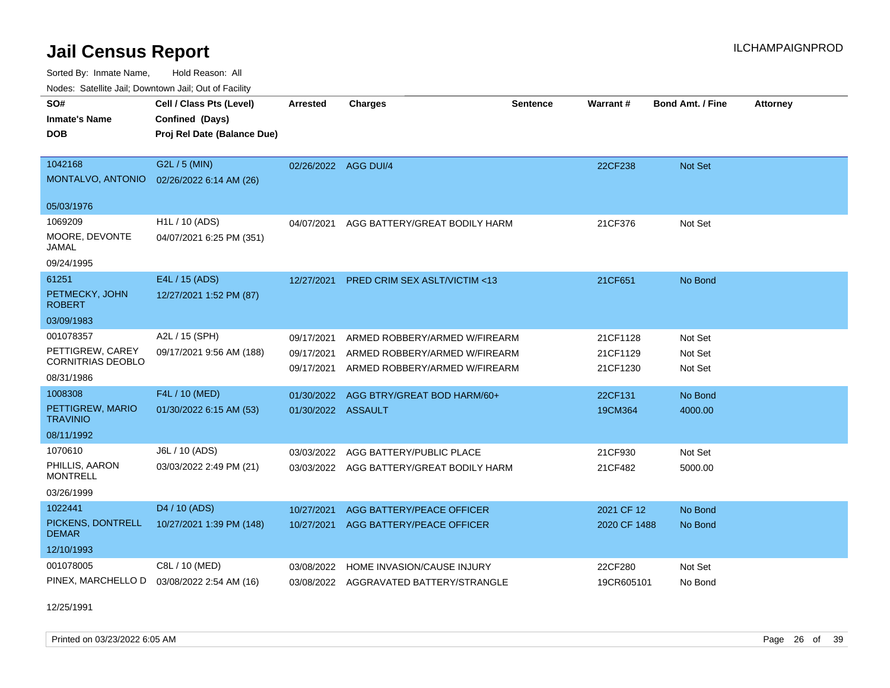Sorted By: Inmate Name, Hold Reason: All Nodes: Satellite Jail; Downtown Jail; Out of Facility

| Nodes. Satellite Jali, Downtown Jali, Out of Facility |                             |                          |                                                                |                 |                      |                         |                 |
|-------------------------------------------------------|-----------------------------|--------------------------|----------------------------------------------------------------|-----------------|----------------------|-------------------------|-----------------|
| SO#                                                   | Cell / Class Pts (Level)    | <b>Arrested</b>          | <b>Charges</b>                                                 | <b>Sentence</b> | Warrant#             | <b>Bond Amt. / Fine</b> | <b>Attorney</b> |
| <b>Inmate's Name</b>                                  | Confined (Days)             |                          |                                                                |                 |                      |                         |                 |
| <b>DOB</b>                                            | Proj Rel Date (Balance Due) |                          |                                                                |                 |                      |                         |                 |
|                                                       |                             |                          |                                                                |                 |                      |                         |                 |
| 1042168                                               | G2L / 5 (MIN)               | 02/26/2022 AGG DUI/4     |                                                                |                 | 22CF238              | <b>Not Set</b>          |                 |
| MONTALVO, ANTONIO                                     | 02/26/2022 6:14 AM (26)     |                          |                                                                |                 |                      |                         |                 |
| 05/03/1976                                            |                             |                          |                                                                |                 |                      |                         |                 |
| 1069209                                               | H <sub>1</sub> L / 10 (ADS) | 04/07/2021               | AGG BATTERY/GREAT BODILY HARM                                  |                 | 21CF376              | Not Set                 |                 |
| MOORE, DEVONTE<br>JAMAL                               | 04/07/2021 6:25 PM (351)    |                          |                                                                |                 |                      |                         |                 |
| 09/24/1995                                            |                             |                          |                                                                |                 |                      |                         |                 |
| 61251                                                 | E4L / 15 (ADS)              | 12/27/2021               | PRED CRIM SEX ASLT/VICTIM <13                                  |                 | 21CF651              | No Bond                 |                 |
| PETMECKY, JOHN<br><b>ROBERT</b>                       | 12/27/2021 1:52 PM (87)     |                          |                                                                |                 |                      |                         |                 |
| 03/09/1983                                            |                             |                          |                                                                |                 |                      |                         |                 |
| 001078357                                             | A2L / 15 (SPH)              | 09/17/2021               | ARMED ROBBERY/ARMED W/FIREARM                                  |                 | 21CF1128             | Not Set                 |                 |
| PETTIGREW, CAREY<br>CORNITRIAS DEOBLO                 | 09/17/2021 9:56 AM (188)    | 09/17/2021<br>09/17/2021 | ARMED ROBBERY/ARMED W/FIREARM<br>ARMED ROBBERY/ARMED W/FIREARM |                 | 21CF1129<br>21CF1230 | Not Set<br>Not Set      |                 |
| 08/31/1986                                            |                             |                          |                                                                |                 |                      |                         |                 |
| 1008308                                               | F4L / 10 (MED)              | 01/30/2022               | AGG BTRY/GREAT BOD HARM/60+                                    |                 | 22CF131              | No Bond                 |                 |
| PETTIGREW, MARIO<br><b>TRAVINIO</b>                   | 01/30/2022 6:15 AM (53)     | 01/30/2022 ASSAULT       |                                                                |                 | 19CM364              | 4000.00                 |                 |
| 08/11/1992                                            |                             |                          |                                                                |                 |                      |                         |                 |
| 1070610                                               | J6L / 10 (ADS)              | 03/03/2022               | AGG BATTERY/PUBLIC PLACE                                       |                 | 21CF930              | Not Set                 |                 |
| PHILLIS, AARON<br><b>MONTRELL</b>                     | 03/03/2022 2:49 PM (21)     |                          | 03/03/2022 AGG BATTERY/GREAT BODILY HARM                       |                 | 21CF482              | 5000.00                 |                 |
| 03/26/1999                                            |                             |                          |                                                                |                 |                      |                         |                 |
| 1022441                                               | D4 / 10 (ADS)               | 10/27/2021               | AGG BATTERY/PEACE OFFICER                                      |                 | 2021 CF 12           | No Bond                 |                 |
| PICKENS, DONTRELL<br><b>DEMAR</b>                     | 10/27/2021 1:39 PM (148)    | 10/27/2021               | AGG BATTERY/PEACE OFFICER                                      |                 | 2020 CF 1488         | No Bond                 |                 |
| 12/10/1993                                            |                             |                          |                                                                |                 |                      |                         |                 |
| 001078005                                             | C8L / 10 (MED)              | 03/08/2022               | HOME INVASION/CAUSE INJURY                                     |                 | 22CF280              | Not Set                 |                 |
| PINEX, MARCHELLO D                                    | 03/08/2022 2:54 AM (16)     |                          | 03/08/2022 AGGRAVATED BATTERY/STRANGLE                         |                 | 19CR605101           | No Bond                 |                 |

12/25/1991

Printed on 03/23/2022 6:05 AM Page 26 of 39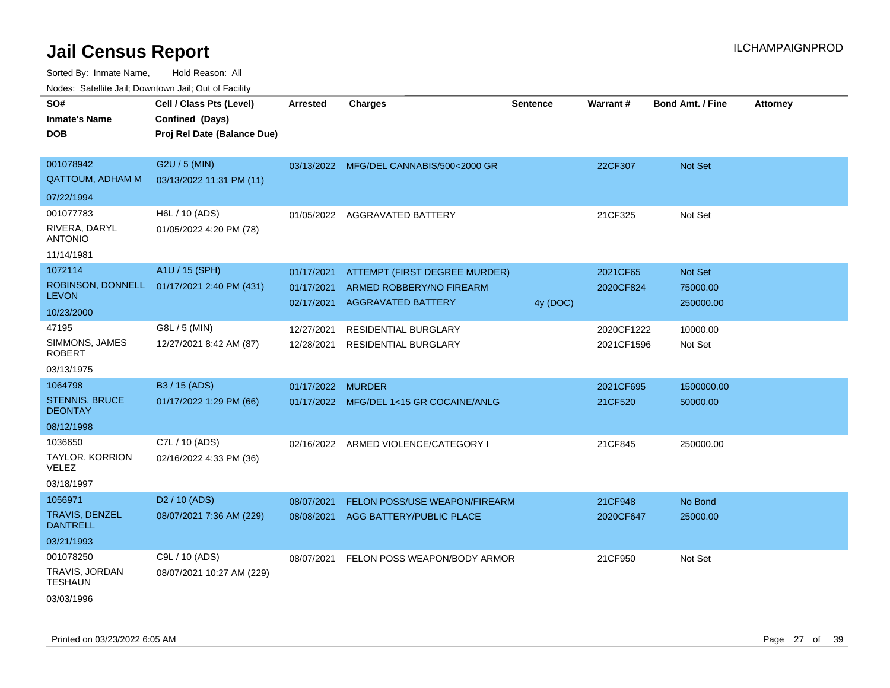| SO#                                      | Cell / Class Pts (Level)    | <b>Arrested</b>   | <b>Charges</b>                          | <b>Sentence</b> | Warrant#   | <b>Bond Amt. / Fine</b> | <b>Attorney</b> |
|------------------------------------------|-----------------------------|-------------------|-----------------------------------------|-----------------|------------|-------------------------|-----------------|
| <b>Inmate's Name</b>                     | Confined (Days)             |                   |                                         |                 |            |                         |                 |
| <b>DOB</b>                               | Proj Rel Date (Balance Due) |                   |                                         |                 |            |                         |                 |
|                                          |                             |                   |                                         |                 |            |                         |                 |
| 001078942                                | G2U / 5 (MIN)               |                   | 03/13/2022 MFG/DEL CANNABIS/500<2000 GR |                 | 22CF307    | Not Set                 |                 |
| <b>QATTOUM, ADHAM M</b>                  | 03/13/2022 11:31 PM (11)    |                   |                                         |                 |            |                         |                 |
| 07/22/1994                               |                             |                   |                                         |                 |            |                         |                 |
| 001077783                                | H6L / 10 (ADS)              |                   | 01/05/2022 AGGRAVATED BATTERY           |                 | 21CF325    | Not Set                 |                 |
| RIVERA, DARYL<br><b>ANTONIO</b>          | 01/05/2022 4:20 PM (78)     |                   |                                         |                 |            |                         |                 |
| 11/14/1981                               |                             |                   |                                         |                 |            |                         |                 |
| 1072114                                  | A1U / 15 (SPH)              | 01/17/2021        | ATTEMPT (FIRST DEGREE MURDER)           |                 | 2021CF65   | Not Set                 |                 |
| ROBINSON, DONNELL                        | 01/17/2021 2:40 PM (431)    | 01/17/2021        | ARMED ROBBERY/NO FIREARM                |                 | 2020CF824  | 75000.00                |                 |
| <b>LEVON</b>                             |                             | 02/17/2021        | <b>AGGRAVATED BATTERY</b>               | 4y (DOC)        |            | 250000.00               |                 |
| 10/23/2000                               |                             |                   |                                         |                 |            |                         |                 |
| 47195                                    | G8L / 5 (MIN)               | 12/27/2021        | RESIDENTIAL BURGLARY                    |                 | 2020CF1222 | 10000.00                |                 |
| SIMMONS, JAMES<br><b>ROBERT</b>          | 12/27/2021 8:42 AM (87)     | 12/28/2021        | <b>RESIDENTIAL BURGLARY</b>             |                 | 2021CF1596 | Not Set                 |                 |
| 03/13/1975                               |                             |                   |                                         |                 |            |                         |                 |
| 1064798                                  | B3 / 15 (ADS)               | 01/17/2022 MURDER |                                         |                 | 2021CF695  | 1500000.00              |                 |
| <b>STENNIS, BRUCE</b><br><b>DEONTAY</b>  | 01/17/2022 1:29 PM (66)     |                   | 01/17/2022 MFG/DEL 1<15 GR COCAINE/ANLG |                 | 21CF520    | 50000.00                |                 |
| 08/12/1998                               |                             |                   |                                         |                 |            |                         |                 |
| 1036650                                  | C7L / 10 (ADS)              |                   | 02/16/2022 ARMED VIOLENCE/CATEGORY I    |                 | 21CF845    | 250000.00               |                 |
| TAYLOR, KORRION<br><b>VELEZ</b>          | 02/16/2022 4:33 PM (36)     |                   |                                         |                 |            |                         |                 |
| 03/18/1997                               |                             |                   |                                         |                 |            |                         |                 |
| 1056971                                  | D <sub>2</sub> / 10 (ADS)   | 08/07/2021        | <b>FELON POSS/USE WEAPON/FIREARM</b>    |                 | 21CF948    | No Bond                 |                 |
| <b>TRAVIS, DENZEL</b><br><b>DANTRELL</b> | 08/07/2021 7:36 AM (229)    |                   | 08/08/2021 AGG BATTERY/PUBLIC PLACE     |                 | 2020CF647  | 25000.00                |                 |
| 03/21/1993                               |                             |                   |                                         |                 |            |                         |                 |
| 001078250                                | C9L / 10 (ADS)              | 08/07/2021        | FELON POSS WEAPON/BODY ARMOR            |                 | 21CF950    | Not Set                 |                 |
| TRAVIS, JORDAN<br><b>TESHAUN</b>         | 08/07/2021 10:27 AM (229)   |                   |                                         |                 |            |                         |                 |
| 03/03/1996                               |                             |                   |                                         |                 |            |                         |                 |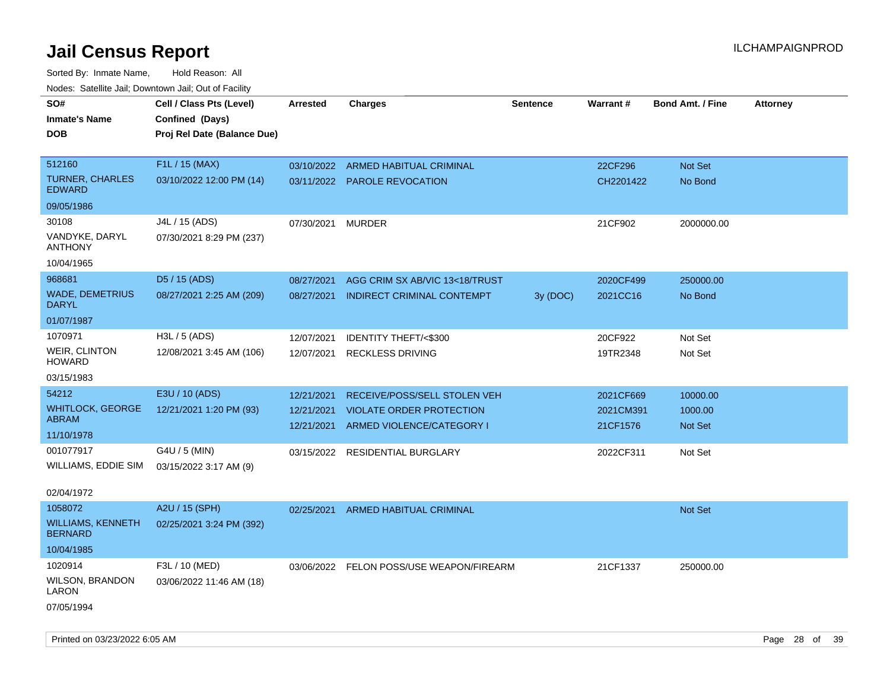| rouco. Calcillo Jali, Downtown Jali, Out of Facility |                             |                 |                                          |                 |           |                         |                 |
|------------------------------------------------------|-----------------------------|-----------------|------------------------------------------|-----------------|-----------|-------------------------|-----------------|
| SO#                                                  | Cell / Class Pts (Level)    | <b>Arrested</b> | <b>Charges</b>                           | <b>Sentence</b> | Warrant#  | <b>Bond Amt. / Fine</b> | <b>Attorney</b> |
| Inmate's Name                                        | Confined (Days)             |                 |                                          |                 |           |                         |                 |
| <b>DOB</b>                                           | Proj Rel Date (Balance Due) |                 |                                          |                 |           |                         |                 |
|                                                      |                             |                 |                                          |                 |           |                         |                 |
| 512160                                               | F1L / 15 (MAX)              | 03/10/2022      | ARMED HABITUAL CRIMINAL                  |                 | 22CF296   | Not Set                 |                 |
| TURNER, CHARLES<br><b>EDWARD</b>                     | 03/10/2022 12:00 PM (14)    |                 | 03/11/2022 PAROLE REVOCATION             |                 | CH2201422 | No Bond                 |                 |
| 09/05/1986                                           |                             |                 |                                          |                 |           |                         |                 |
| 30108                                                | J4L / 15 (ADS)              | 07/30/2021      | <b>MURDER</b>                            |                 | 21CF902   | 2000000.00              |                 |
| VANDYKE, DARYL<br>ANTHONY                            | 07/30/2021 8:29 PM (237)    |                 |                                          |                 |           |                         |                 |
| 10/04/1965                                           |                             |                 |                                          |                 |           |                         |                 |
| 968681                                               | D5 / 15 (ADS)               | 08/27/2021      | AGG CRIM SX AB/VIC 13<18/TRUST           |                 | 2020CF499 | 250000.00               |                 |
| <b>WADE, DEMETRIUS</b><br>DARYL                      | 08/27/2021 2:25 AM (209)    | 08/27/2021      | INDIRECT CRIMINAL CONTEMPT               | 3y(DOC)         | 2021CC16  | No Bond                 |                 |
| 01/07/1987                                           |                             |                 |                                          |                 |           |                         |                 |
| 1070971                                              | H3L / 5 (ADS)               | 12/07/2021      | IDENTITY THEFT/<\$300                    |                 | 20CF922   | Not Set                 |                 |
| WEIR, CLINTON<br>HOWARD                              | 12/08/2021 3:45 AM (106)    | 12/07/2021      | <b>RECKLESS DRIVING</b>                  |                 | 19TR2348  | Not Set                 |                 |
| 03/15/1983                                           |                             |                 |                                          |                 |           |                         |                 |
| 54212                                                | E3U / 10 (ADS)              | 12/21/2021      | RECEIVE/POSS/SELL STOLEN VEH             |                 | 2021CF669 | 10000.00                |                 |
| <b>WHITLOCK, GEORGE</b>                              | 12/21/2021 1:20 PM (93)     | 12/21/2021      | <b>VIOLATE ORDER PROTECTION</b>          |                 | 2021CM391 | 1000.00                 |                 |
| ABRAM                                                |                             | 12/21/2021      | ARMED VIOLENCE/CATEGORY I                |                 | 21CF1576  | <b>Not Set</b>          |                 |
| 11/10/1978                                           |                             |                 |                                          |                 |           |                         |                 |
| 001077917                                            | G4U / 5 (MIN)               | 03/15/2022      | <b>RESIDENTIAL BURGLARY</b>              |                 | 2022CF311 | Not Set                 |                 |
| WILLIAMS, EDDIE SIM                                  | 03/15/2022 3:17 AM (9)      |                 |                                          |                 |           |                         |                 |
| 02/04/1972                                           |                             |                 |                                          |                 |           |                         |                 |
| 1058072                                              | A2U / 15 (SPH)              | 02/25/2021      | ARMED HABITUAL CRIMINAL                  |                 |           | <b>Not Set</b>          |                 |
| WILLIAMS, KENNETH<br><b>BERNARD</b>                  | 02/25/2021 3:24 PM (392)    |                 |                                          |                 |           |                         |                 |
| 10/04/1985                                           |                             |                 |                                          |                 |           |                         |                 |
| 1020914                                              | F3L / 10 (MED)              |                 | 03/06/2022 FELON POSS/USE WEAPON/FIREARM |                 | 21CF1337  | 250000.00               |                 |
| WILSON, BRANDON<br>LARON                             | 03/06/2022 11:46 AM (18)    |                 |                                          |                 |           |                         |                 |
| 07/05/1994                                           |                             |                 |                                          |                 |           |                         |                 |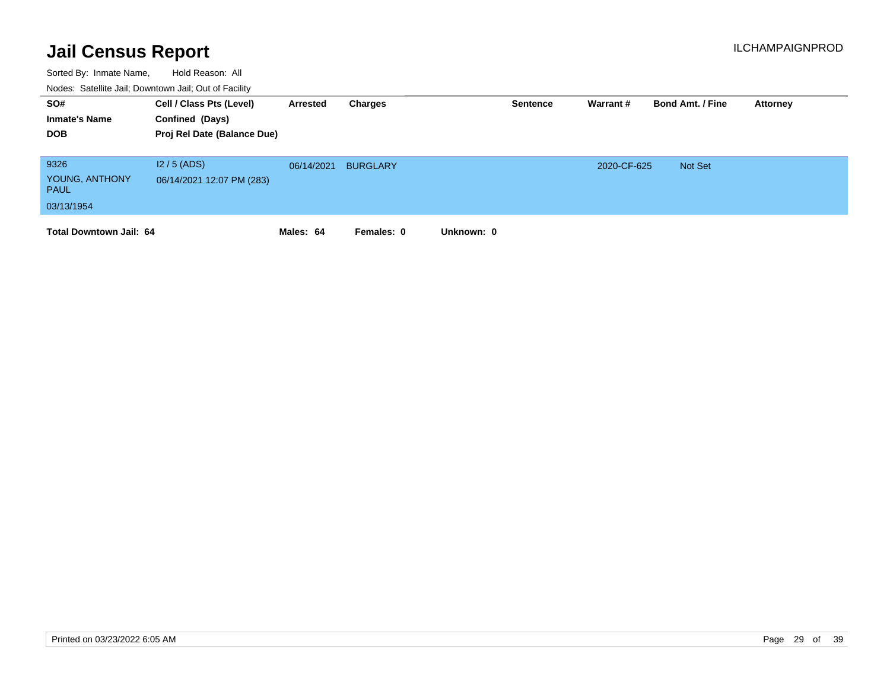| SO#<br><b>Inmate's Name</b><br><b>DOB</b>           | Cell / Class Pts (Level)<br>Confined (Days)<br>Proj Rel Date (Balance Due) | Arrested   | Charges         | <b>Sentence</b> | Warrant #   | <b>Bond Amt. / Fine</b> | Attorney |
|-----------------------------------------------------|----------------------------------------------------------------------------|------------|-----------------|-----------------|-------------|-------------------------|----------|
| 9326<br>YOUNG, ANTHONY<br><b>PAUL</b><br>03/13/1954 | $12/5$ (ADS)<br>06/14/2021 12:07 PM (283)                                  | 06/14/2021 | <b>BURGLARY</b> |                 | 2020-CF-625 | Not Set                 |          |
| <b>Total Downtown Jail: 64</b>                      |                                                                            | Males: 64  | Females: 0      | Unknown: 0      |             |                         |          |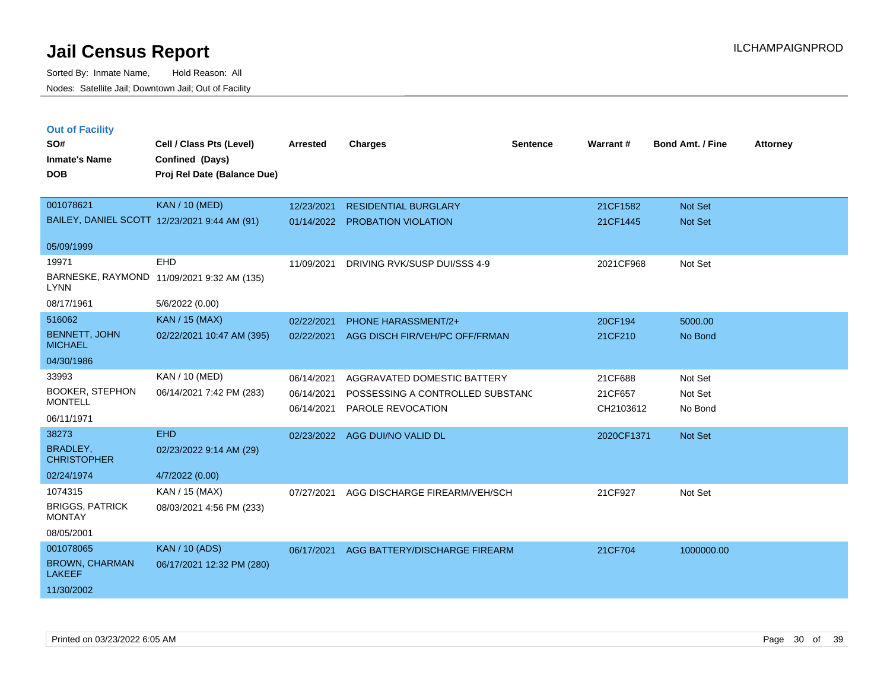Sorted By: Inmate Name, Hold Reason: All Nodes: Satellite Jail; Downtown Jail; Out of Facility

| <b>Out of Facility</b><br>SO#<br><b>Inmate's Name</b><br><b>DOB</b> | Cell / Class Pts (Level)<br>Confined (Days)<br>Proj Rel Date (Balance Due) | Arrested                               | <b>Charges</b>                                                                       | <b>Sentence</b> | Warrant#                        | <b>Bond Amt. / Fine</b>       | <b>Attorney</b> |
|---------------------------------------------------------------------|----------------------------------------------------------------------------|----------------------------------------|--------------------------------------------------------------------------------------|-----------------|---------------------------------|-------------------------------|-----------------|
| 001078621                                                           | <b>KAN / 10 (MED)</b>                                                      | 12/23/2021                             | <b>RESIDENTIAL BURGLARY</b>                                                          |                 | 21CF1582                        | <b>Not Set</b>                |                 |
|                                                                     | BAILEY, DANIEL SCOTT 12/23/2021 9:44 AM (91)                               | 01/14/2022                             | PROBATION VIOLATION                                                                  |                 | 21CF1445                        | <b>Not Set</b>                |                 |
| 05/09/1999                                                          |                                                                            |                                        |                                                                                      |                 |                                 |                               |                 |
| 19971                                                               | EHD                                                                        | 11/09/2021                             | DRIVING RVK/SUSP DUI/SSS 4-9                                                         |                 | 2021CF968                       | Not Set                       |                 |
| <b>LYNN</b>                                                         | BARNESKE, RAYMOND 11/09/2021 9:32 AM (135)                                 |                                        |                                                                                      |                 |                                 |                               |                 |
| 08/17/1961                                                          | 5/6/2022 (0.00)                                                            |                                        |                                                                                      |                 |                                 |                               |                 |
| 516062                                                              | <b>KAN / 15 (MAX)</b>                                                      | 02/22/2021                             | <b>PHONE HARASSMENT/2+</b>                                                           |                 | 20CF194                         | 5000.00                       |                 |
| <b>BENNETT, JOHN</b><br><b>MICHAEL</b>                              | 02/22/2021 10:47 AM (395)                                                  | 02/22/2021                             | AGG DISCH FIR/VEH/PC OFF/FRMAN                                                       |                 | 21CF210                         | No Bond                       |                 |
| 04/30/1986                                                          |                                                                            |                                        |                                                                                      |                 |                                 |                               |                 |
| 33993<br><b>BOOKER, STEPHON</b><br><b>MONTELL</b><br>06/11/1971     | KAN / 10 (MED)<br>06/14/2021 7:42 PM (283)                                 | 06/14/2021<br>06/14/2021<br>06/14/2021 | AGGRAVATED DOMESTIC BATTERY<br>POSSESSING A CONTROLLED SUBSTANC<br>PAROLE REVOCATION |                 | 21CF688<br>21CF657<br>CH2103612 | Not Set<br>Not Set<br>No Bond |                 |
| 38273                                                               | <b>EHD</b>                                                                 | 02/23/2022                             | AGG DUI/NO VALID DL                                                                  |                 | 2020CF1371                      | <b>Not Set</b>                |                 |
| <b>BRADLEY,</b><br><b>CHRISTOPHER</b>                               | 02/23/2022 9:14 AM (29)                                                    |                                        |                                                                                      |                 |                                 |                               |                 |
| 02/24/1974                                                          | 4/7/2022 (0.00)                                                            |                                        |                                                                                      |                 |                                 |                               |                 |
| 1074315<br><b>BRIGGS, PATRICK</b><br><b>MONTAY</b><br>08/05/2001    | KAN / 15 (MAX)<br>08/03/2021 4:56 PM (233)                                 | 07/27/2021                             | AGG DISCHARGE FIREARM/VEH/SCH                                                        |                 | 21CF927                         | Not Set                       |                 |
| 001078065<br><b>BROWN, CHARMAN</b><br><b>LAKEEF</b>                 | <b>KAN / 10 (ADS)</b><br>06/17/2021 12:32 PM (280)                         | 06/17/2021                             | AGG BATTERY/DISCHARGE FIREARM                                                        |                 | 21CF704                         | 1000000.00                    |                 |

11/30/2002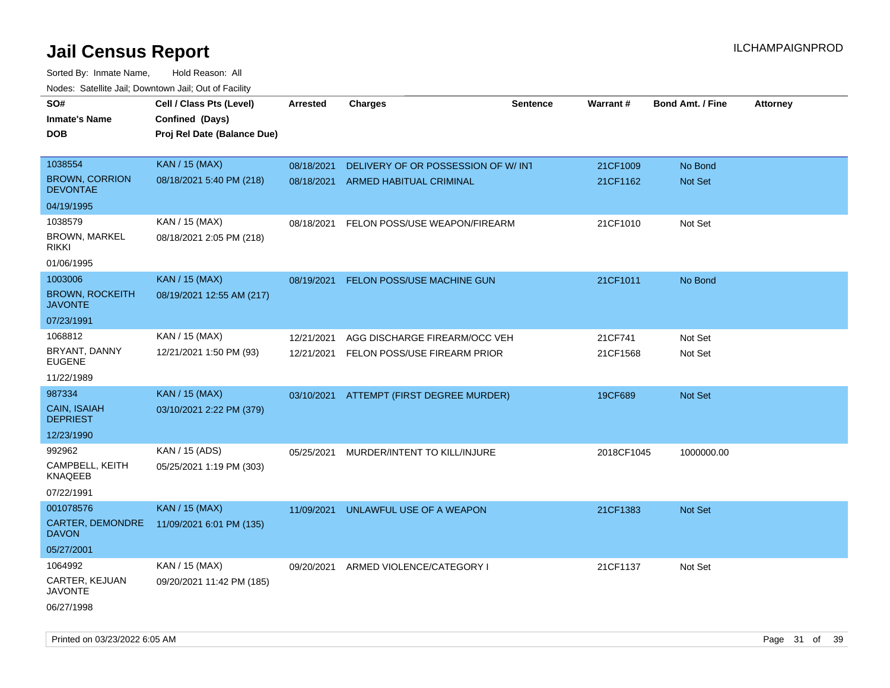| roaco. Catolino dall, Downtown dall, Out of Fability |                             |            |                                          |                 |            |                         |                 |
|------------------------------------------------------|-----------------------------|------------|------------------------------------------|-----------------|------------|-------------------------|-----------------|
| SO#                                                  | Cell / Class Pts (Level)    | Arrested   | <b>Charges</b>                           | <b>Sentence</b> | Warrant#   | <b>Bond Amt. / Fine</b> | <b>Attorney</b> |
| <b>Inmate's Name</b>                                 | Confined (Days)             |            |                                          |                 |            |                         |                 |
| <b>DOB</b>                                           | Proj Rel Date (Balance Due) |            |                                          |                 |            |                         |                 |
|                                                      |                             |            |                                          |                 |            |                         |                 |
| 1038554                                              | <b>KAN / 15 (MAX)</b>       | 08/18/2021 | DELIVERY OF OR POSSESSION OF W/INT       |                 | 21CF1009   | No Bond                 |                 |
| <b>BROWN, CORRION</b><br><b>DEVONTAE</b>             | 08/18/2021 5:40 PM (218)    | 08/18/2021 | ARMED HABITUAL CRIMINAL                  |                 | 21CF1162   | Not Set                 |                 |
| 04/19/1995                                           |                             |            |                                          |                 |            |                         |                 |
| 1038579                                              | KAN / 15 (MAX)              | 08/18/2021 | FELON POSS/USE WEAPON/FIREARM            |                 | 21CF1010   | Not Set                 |                 |
| <b>BROWN, MARKEL</b><br><b>RIKKI</b>                 | 08/18/2021 2:05 PM (218)    |            |                                          |                 |            |                         |                 |
| 01/06/1995                                           |                             |            |                                          |                 |            |                         |                 |
| 1003006                                              | <b>KAN / 15 (MAX)</b>       | 08/19/2021 | FELON POSS/USE MACHINE GUN               |                 | 21CF1011   | No Bond                 |                 |
| <b>BROWN, ROCKEITH</b><br><b>JAVONTE</b>             | 08/19/2021 12:55 AM (217)   |            |                                          |                 |            |                         |                 |
| 07/23/1991                                           |                             |            |                                          |                 |            |                         |                 |
| 1068812                                              | KAN / 15 (MAX)              | 12/21/2021 | AGG DISCHARGE FIREARM/OCC VEH            |                 | 21CF741    | Not Set                 |                 |
| BRYANT, DANNY<br><b>EUGENE</b>                       | 12/21/2021 1:50 PM (93)     | 12/21/2021 | FELON POSS/USE FIREARM PRIOR             |                 | 21CF1568   | Not Set                 |                 |
| 11/22/1989                                           |                             |            |                                          |                 |            |                         |                 |
| 987334                                               | <b>KAN / 15 (MAX)</b>       |            | 03/10/2021 ATTEMPT (FIRST DEGREE MURDER) |                 | 19CF689    | Not Set                 |                 |
| <b>CAIN, ISAIAH</b><br><b>DEPRIEST</b>               | 03/10/2021 2:22 PM (379)    |            |                                          |                 |            |                         |                 |
| 12/23/1990                                           |                             |            |                                          |                 |            |                         |                 |
| 992962                                               | KAN / 15 (ADS)              | 05/25/2021 | MURDER/INTENT TO KILL/INJURE             |                 | 2018CF1045 | 1000000.00              |                 |
| CAMPBELL, KEITH<br>KNAQEEB                           | 05/25/2021 1:19 PM (303)    |            |                                          |                 |            |                         |                 |
| 07/22/1991                                           |                             |            |                                          |                 |            |                         |                 |
| 001078576                                            | <b>KAN / 15 (MAX)</b>       | 11/09/2021 | UNLAWFUL USE OF A WEAPON                 |                 | 21CF1383   | Not Set                 |                 |
| <b>CARTER, DEMONDRE</b><br><b>DAVON</b>              | 11/09/2021 6:01 PM (135)    |            |                                          |                 |            |                         |                 |
| 05/27/2001                                           |                             |            |                                          |                 |            |                         |                 |
| 1064992                                              | KAN / 15 (MAX)              |            | 09/20/2021 ARMED VIOLENCE/CATEGORY I     |                 | 21CF1137   | Not Set                 |                 |
| <b>CARTER, KEJUAN</b><br>JAVONTE                     | 09/20/2021 11:42 PM (185)   |            |                                          |                 |            |                         |                 |
| 06/27/1998                                           |                             |            |                                          |                 |            |                         |                 |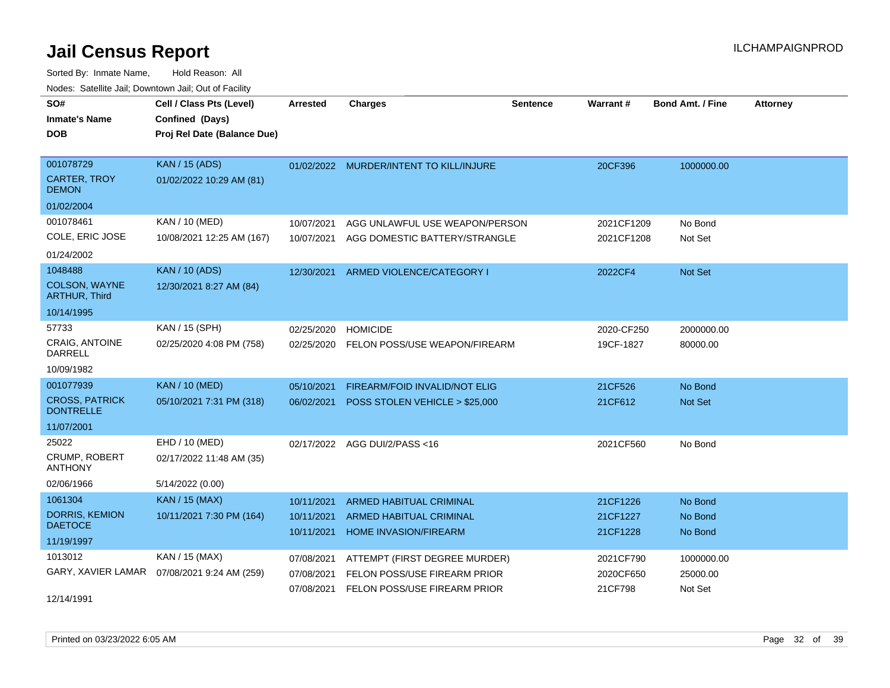| SO#<br><b>Inmate's Name</b><br><b>DOB</b>                            | Cell / Class Pts (Level)<br>Confined (Days)<br>Proj Rel Date (Balance Due) | Arrested                               | <b>Charges</b>                                                                                | <b>Sentence</b> | <b>Warrant#</b>                   | <b>Bond Amt. / Fine</b>           | <b>Attorney</b> |
|----------------------------------------------------------------------|----------------------------------------------------------------------------|----------------------------------------|-----------------------------------------------------------------------------------------------|-----------------|-----------------------------------|-----------------------------------|-----------------|
| 001078729<br><b>CARTER, TROY</b><br><b>DEMON</b><br>01/02/2004       | <b>KAN / 15 (ADS)</b><br>01/02/2022 10:29 AM (81)                          | 01/02/2022                             | MURDER/INTENT TO KILL/INJURE                                                                  |                 | 20CF396                           | 1000000.00                        |                 |
| 001078461<br>COLE, ERIC JOSE<br>01/24/2002                           | KAN / 10 (MED)<br>10/08/2021 12:25 AM (167)                                | 10/07/2021<br>10/07/2021               | AGG UNLAWFUL USE WEAPON/PERSON<br>AGG DOMESTIC BATTERY/STRANGLE                               |                 | 2021CF1209<br>2021CF1208          | No Bond<br>Not Set                |                 |
| 1048488<br>COLSON, WAYNE<br><b>ARTHUR, Third</b><br>10/14/1995       | <b>KAN / 10 (ADS)</b><br>12/30/2021 8:27 AM (84)                           | 12/30/2021                             | ARMED VIOLENCE/CATEGORY I                                                                     |                 | 2022CF4                           | <b>Not Set</b>                    |                 |
| 57733<br>CRAIG, ANTOINE<br><b>DARRELL</b><br>10/09/1982              | KAN / 15 (SPH)<br>02/25/2020 4:08 PM (758)                                 | 02/25/2020<br>02/25/2020               | <b>HOMICIDE</b><br>FELON POSS/USE WEAPON/FIREARM                                              |                 | 2020-CF250<br>19CF-1827           | 2000000.00<br>80000.00            |                 |
| 001077939<br><b>CROSS, PATRICK</b><br><b>DONTRELLE</b><br>11/07/2001 | <b>KAN / 10 (MED)</b><br>05/10/2021 7:31 PM (318)                          | 05/10/2021<br>06/02/2021               | FIREARM/FOID INVALID/NOT ELIG<br>POSS STOLEN VEHICLE > \$25,000                               |                 | 21CF526<br>21CF612                | No Bond<br>Not Set                |                 |
| 25022<br>CRUMP, ROBERT<br><b>ANTHONY</b><br>02/06/1966               | EHD / 10 (MED)<br>02/17/2022 11:48 AM (35)<br>5/14/2022 (0.00)             | 02/17/2022                             | AGG DUI/2/PASS <16                                                                            |                 | 2021CF560                         | No Bond                           |                 |
| 1061304<br><b>DORRIS, KEMION</b><br><b>DAETOCE</b><br>11/19/1997     | <b>KAN / 15 (MAX)</b><br>10/11/2021 7:30 PM (164)                          | 10/11/2021<br>10/11/2021<br>10/11/2021 | ARMED HABITUAL CRIMINAL<br>ARMED HABITUAL CRIMINAL<br><b>HOME INVASION/FIREARM</b>            |                 | 21CF1226<br>21CF1227<br>21CF1228  | No Bond<br>No Bond<br>No Bond     |                 |
| 1013012<br>GARY, XAVIER LAMAR<br>12/14/1991                          | KAN / 15 (MAX)<br>07/08/2021 9:24 AM (259)                                 | 07/08/2021<br>07/08/2021<br>07/08/2021 | ATTEMPT (FIRST DEGREE MURDER)<br>FELON POSS/USE FIREARM PRIOR<br>FELON POSS/USE FIREARM PRIOR |                 | 2021CF790<br>2020CF650<br>21CF798 | 1000000.00<br>25000.00<br>Not Set |                 |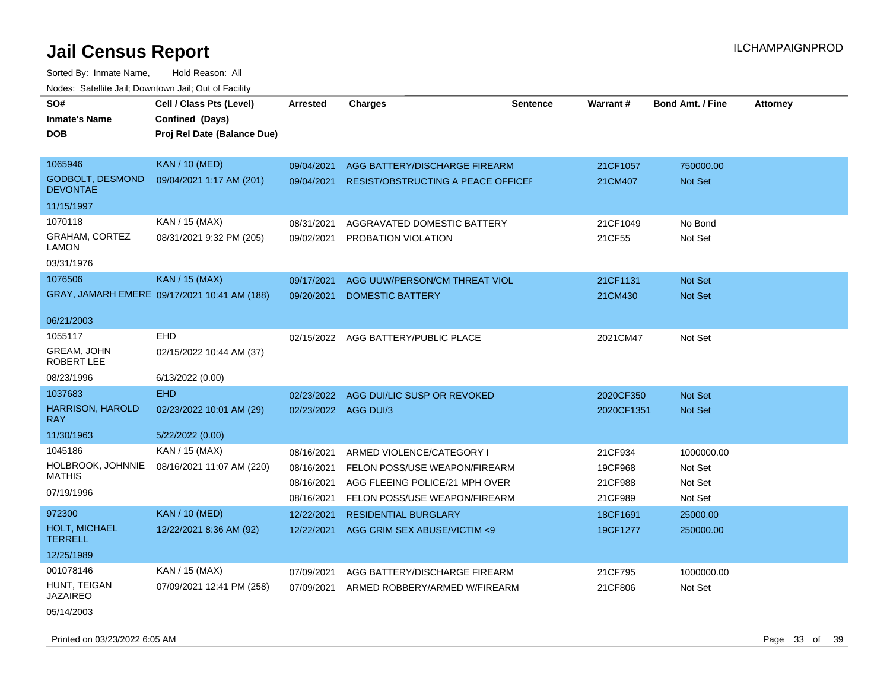| SO#<br><b>Inmate's Name</b><br><b>DOB</b>   | Cell / Class Pts (Level)<br>Confined (Days)<br>Proj Rel Date (Balance Due) | <b>Arrested</b>      | <b>Charges</b>                            | <b>Sentence</b> | Warrant#   | <b>Bond Amt. / Fine</b> | <b>Attorney</b> |
|---------------------------------------------|----------------------------------------------------------------------------|----------------------|-------------------------------------------|-----------------|------------|-------------------------|-----------------|
| 1065946                                     | <b>KAN / 10 (MED)</b>                                                      | 09/04/2021           | AGG BATTERY/DISCHARGE FIREARM             |                 | 21CF1057   | 750000.00               |                 |
| <b>GODBOLT, DESMOND</b><br><b>DEVONTAE</b>  | 09/04/2021 1:17 AM (201)                                                   | 09/04/2021           | <b>RESIST/OBSTRUCTING A PEACE OFFICEF</b> |                 | 21CM407    | Not Set                 |                 |
| 11/15/1997                                  |                                                                            |                      |                                           |                 |            |                         |                 |
| 1070118                                     | KAN / 15 (MAX)                                                             | 08/31/2021           | AGGRAVATED DOMESTIC BATTERY               |                 | 21CF1049   | No Bond                 |                 |
| <b>GRAHAM, CORTEZ</b><br>LAMON              | 08/31/2021 9:32 PM (205)                                                   |                      | 09/02/2021 PROBATION VIOLATION            |                 | 21CF55     | Not Set                 |                 |
| 03/31/1976                                  |                                                                            |                      |                                           |                 |            |                         |                 |
| 1076506                                     | <b>KAN / 15 (MAX)</b>                                                      | 09/17/2021           | AGG UUW/PERSON/CM THREAT VIOL             |                 | 21CF1131   | Not Set                 |                 |
|                                             | GRAY, JAMARH EMERE 09/17/2021 10:41 AM (188)                               | 09/20/2021           | DOMESTIC BATTERY                          |                 | 21CM430    | <b>Not Set</b>          |                 |
| 06/21/2003                                  |                                                                            |                      |                                           |                 |            |                         |                 |
| 1055117<br><b>GREAM, JOHN</b><br>ROBERT LEE | EHD<br>02/15/2022 10:44 AM (37)                                            |                      | 02/15/2022 AGG BATTERY/PUBLIC PLACE       |                 | 2021CM47   | Not Set                 |                 |
| 08/23/1996                                  | 6/13/2022 (0.00)                                                           |                      |                                           |                 |            |                         |                 |
| 1037683                                     | <b>EHD</b>                                                                 | 02/23/2022           | AGG DUI/LIC SUSP OR REVOKED               |                 | 2020CF350  | <b>Not Set</b>          |                 |
| <b>HARRISON, HAROLD</b><br><b>RAY</b>       | 02/23/2022 10:01 AM (29)                                                   | 02/23/2022 AGG DUI/3 |                                           |                 | 2020CF1351 | Not Set                 |                 |
| 11/30/1963                                  | 5/22/2022 (0.00)                                                           |                      |                                           |                 |            |                         |                 |
| 1045186                                     | KAN / 15 (MAX)                                                             | 08/16/2021           | ARMED VIOLENCE/CATEGORY I                 |                 | 21CF934    | 1000000.00              |                 |
| HOLBROOK, JOHNNIE                           | 08/16/2021 11:07 AM (220)                                                  | 08/16/2021           | FELON POSS/USE WEAPON/FIREARM             |                 | 19CF968    | Not Set                 |                 |
| <b>MATHIS</b>                               |                                                                            | 08/16/2021           | AGG FLEEING POLICE/21 MPH OVER            |                 | 21CF988    | Not Set                 |                 |
| 07/19/1996                                  |                                                                            | 08/16/2021           | FELON POSS/USE WEAPON/FIREARM             |                 | 21CF989    | Not Set                 |                 |
| 972300                                      | <b>KAN / 10 (MED)</b>                                                      | 12/22/2021           | <b>RESIDENTIAL BURGLARY</b>               |                 | 18CF1691   | 25000.00                |                 |
| HOLT, MICHAEL<br><b>TERRELL</b>             | 12/22/2021 8:36 AM (92)                                                    | 12/22/2021           | AGG CRIM SEX ABUSE/VICTIM <9              |                 | 19CF1277   | 250000.00               |                 |
| 12/25/1989                                  |                                                                            |                      |                                           |                 |            |                         |                 |
| 001078146                                   | KAN / 15 (MAX)                                                             | 07/09/2021           | AGG BATTERY/DISCHARGE FIREARM             |                 | 21CF795    | 1000000.00              |                 |
| HUNT, TEIGAN<br><b>JAZAIREO</b>             | 07/09/2021 12:41 PM (258)                                                  | 07/09/2021           | ARMED ROBBERY/ARMED W/FIREARM             |                 | 21CF806    | Not Set                 |                 |
| 05/14/2003                                  |                                                                            |                      |                                           |                 |            |                         |                 |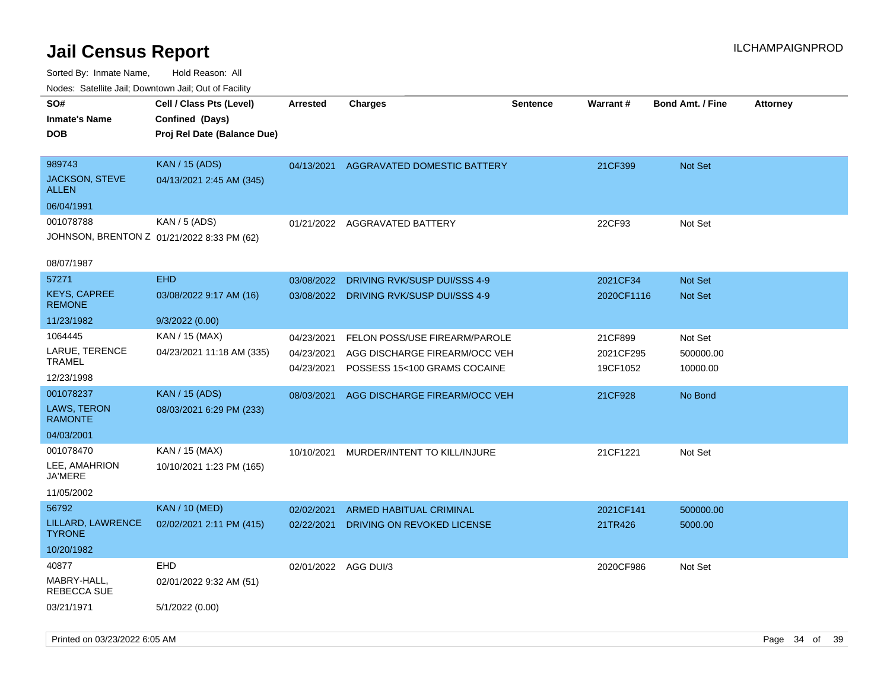| roaco. Catolino dall, Downtown dall, Out of Fability            |                                                                            |                                        |                                                                                                |                 |                                  |                                  |                 |
|-----------------------------------------------------------------|----------------------------------------------------------------------------|----------------------------------------|------------------------------------------------------------------------------------------------|-----------------|----------------------------------|----------------------------------|-----------------|
| SO#<br><b>Inmate's Name</b><br><b>DOB</b>                       | Cell / Class Pts (Level)<br>Confined (Days)<br>Proj Rel Date (Balance Due) | <b>Arrested</b>                        | Charges                                                                                        | <b>Sentence</b> | <b>Warrant#</b>                  | <b>Bond Amt. / Fine</b>          | <b>Attorney</b> |
| 989743<br><b>JACKSON, STEVE</b><br><b>ALLEN</b>                 | <b>KAN / 15 (ADS)</b><br>04/13/2021 2:45 AM (345)                          | 04/13/2021                             | AGGRAVATED DOMESTIC BATTERY                                                                    |                 | 21CF399                          | <b>Not Set</b>                   |                 |
| 06/04/1991                                                      |                                                                            |                                        |                                                                                                |                 |                                  |                                  |                 |
| 001078788                                                       | KAN / 5 (ADS)<br>JOHNSON, BRENTON Z 01/21/2022 8:33 PM (62)                | 01/21/2022                             | AGGRAVATED BATTERY                                                                             |                 | 22CF93                           | Not Set                          |                 |
| 08/07/1987                                                      |                                                                            |                                        |                                                                                                |                 |                                  |                                  |                 |
| 57271<br><b>KEYS, CAPREE</b>                                    | <b>EHD</b><br>03/08/2022 9:17 AM (16)                                      | 03/08/2022<br>03/08/2022               | DRIVING RVK/SUSP DUI/SSS 4-9<br>DRIVING RVK/SUSP DUI/SSS 4-9                                   |                 | 2021CF34<br>2020CF1116           | <b>Not Set</b><br><b>Not Set</b> |                 |
| <b>REMONE</b>                                                   |                                                                            |                                        |                                                                                                |                 |                                  |                                  |                 |
| 11/23/1982                                                      | 9/3/2022 (0.00)                                                            |                                        |                                                                                                |                 |                                  |                                  |                 |
| 1064445<br>LARUE, TERENCE<br>TRAMEL<br>12/23/1998               | KAN / 15 (MAX)<br>04/23/2021 11:18 AM (335)                                | 04/23/2021<br>04/23/2021<br>04/23/2021 | FELON POSS/USE FIREARM/PAROLE<br>AGG DISCHARGE FIREARM/OCC VEH<br>POSSESS 15<100 GRAMS COCAINE |                 | 21CF899<br>2021CF295<br>19CF1052 | Not Set<br>500000.00<br>10000.00 |                 |
| 001078237<br><b>LAWS, TERON</b><br><b>RAMONTE</b><br>04/03/2001 | <b>KAN / 15 (ADS)</b><br>08/03/2021 6:29 PM (233)                          | 08/03/2021                             | AGG DISCHARGE FIREARM/OCC VEH                                                                  |                 | 21CF928                          | No Bond                          |                 |
| 001078470<br>LEE, AMAHRION<br>JA'MERE<br>11/05/2002             | KAN / 15 (MAX)<br>10/10/2021 1:23 PM (165)                                 | 10/10/2021                             | MURDER/INTENT TO KILL/INJURE                                                                   |                 | 21CF1221                         | Not Set                          |                 |
| 56792                                                           | <b>KAN / 10 (MED)</b>                                                      | 02/02/2021                             | ARMED HABITUAL CRIMINAL                                                                        |                 | 2021CF141                        | 500000.00                        |                 |
| LILLARD, LAWRENCE<br><b>TYRONE</b>                              | 02/02/2021 2:11 PM (415)                                                   | 02/22/2021                             | DRIVING ON REVOKED LICENSE                                                                     |                 | 21TR426                          | 5000.00                          |                 |
| 10/20/1982                                                      |                                                                            |                                        |                                                                                                |                 |                                  |                                  |                 |
| 40877<br>MABRY-HALL,<br>REBECCA SUE                             | <b>EHD</b><br>02/01/2022 9:32 AM (51)                                      | 02/01/2022 AGG DUI/3                   |                                                                                                |                 | 2020CF986                        | Not Set                          |                 |
| 03/21/1971                                                      | 5/1/2022 (0.00)                                                            |                                        |                                                                                                |                 |                                  |                                  |                 |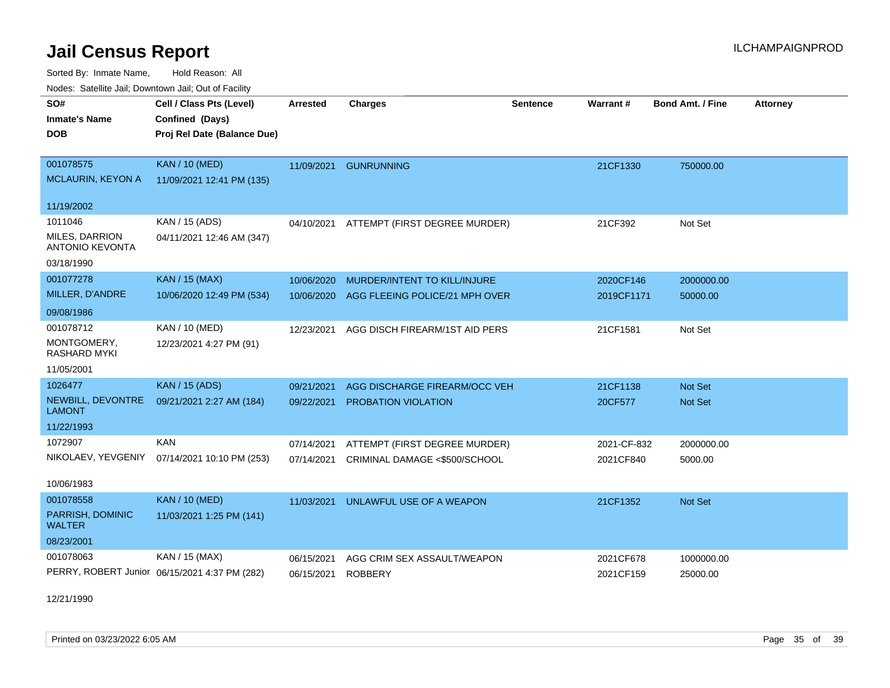Sorted By: Inmate Name, Hold Reason: All Nodes: Satellite Jail; Downtown Jail; Out of Facility

| vouco. Odichite dall, Downtown dall, Out of Facility |                                               |                 |                                |                 |             |                  |                 |
|------------------------------------------------------|-----------------------------------------------|-----------------|--------------------------------|-----------------|-------------|------------------|-----------------|
| SO#                                                  | Cell / Class Pts (Level)                      | <b>Arrested</b> | <b>Charges</b>                 | <b>Sentence</b> | Warrant#    | Bond Amt. / Fine | <b>Attorney</b> |
| <b>Inmate's Name</b>                                 | Confined (Days)                               |                 |                                |                 |             |                  |                 |
| DOB.                                                 | Proj Rel Date (Balance Due)                   |                 |                                |                 |             |                  |                 |
|                                                      |                                               |                 |                                |                 |             |                  |                 |
| 001078575                                            | <b>KAN / 10 (MED)</b>                         | 11/09/2021      | <b>GUNRUNNING</b>              |                 | 21CF1330    | 750000.00        |                 |
| <b>MCLAURIN, KEYON A</b>                             | 11/09/2021 12:41 PM (135)                     |                 |                                |                 |             |                  |                 |
| 11/19/2002                                           |                                               |                 |                                |                 |             |                  |                 |
| 1011046                                              | KAN / 15 (ADS)                                | 04/10/2021      | ATTEMPT (FIRST DEGREE MURDER)  |                 | 21CF392     | Not Set          |                 |
| MILES, DARRION<br><b>ANTONIO KEVONTA</b>             | 04/11/2021 12:46 AM (347)                     |                 |                                |                 |             |                  |                 |
| 03/18/1990                                           |                                               |                 |                                |                 |             |                  |                 |
| 001077278                                            | <b>KAN / 15 (MAX)</b>                         | 10/06/2020      | MURDER/INTENT TO KILL/INJURE   |                 | 2020CF146   | 2000000.00       |                 |
| MILLER, D'ANDRE                                      | 10/06/2020 12:49 PM (534)                     | 10/06/2020      | AGG FLEEING POLICE/21 MPH OVER |                 | 2019CF1171  | 50000.00         |                 |
| 09/08/1986                                           |                                               |                 |                                |                 |             |                  |                 |
| 001078712                                            | <b>KAN / 10 (MED)</b>                         | 12/23/2021      | AGG DISCH FIREARM/1ST AID PERS |                 | 21CF1581    | Not Set          |                 |
| MONTGOMERY,<br><b>RASHARD MYKI</b>                   | 12/23/2021 4:27 PM (91)                       |                 |                                |                 |             |                  |                 |
| 11/05/2001                                           |                                               |                 |                                |                 |             |                  |                 |
| 1026477                                              | <b>KAN / 15 (ADS)</b>                         | 09/21/2021      | AGG DISCHARGE FIREARM/OCC VEH  |                 | 21CF1138    | <b>Not Set</b>   |                 |
| NEWBILL, DEVONTRE<br><b>LAMONT</b>                   | 09/21/2021 2:27 AM (184)                      | 09/22/2021      | <b>PROBATION VIOLATION</b>     |                 | 20CF577     | <b>Not Set</b>   |                 |
| 11/22/1993                                           |                                               |                 |                                |                 |             |                  |                 |
| 1072907                                              | <b>KAN</b>                                    | 07/14/2021      | ATTEMPT (FIRST DEGREE MURDER)  |                 | 2021-CF-832 | 2000000.00       |                 |
| NIKOLAEV, YEVGENIY                                   | 07/14/2021 10:10 PM (253)                     | 07/14/2021      | CRIMINAL DAMAGE <\$500/SCHOOL  |                 | 2021CF840   | 5000.00          |                 |
| 10/06/1983                                           |                                               |                 |                                |                 |             |                  |                 |
| 001078558                                            | <b>KAN / 10 (MED)</b>                         | 11/03/2021      | UNLAWFUL USE OF A WEAPON       |                 | 21CF1352    | Not Set          |                 |
| PARRISH, DOMINIC<br><b>WALTER</b>                    | 11/03/2021 1:25 PM (141)                      |                 |                                |                 |             |                  |                 |
| 08/23/2001                                           |                                               |                 |                                |                 |             |                  |                 |
| 001078063                                            | KAN / 15 (MAX)                                | 06/15/2021      | AGG CRIM SEX ASSAULT/WEAPON    |                 | 2021CF678   | 1000000.00       |                 |
|                                                      | PERRY, ROBERT Junior 06/15/2021 4:37 PM (282) | 06/15/2021      | <b>ROBBERY</b>                 |                 | 2021CF159   | 25000.00         |                 |

12/21/1990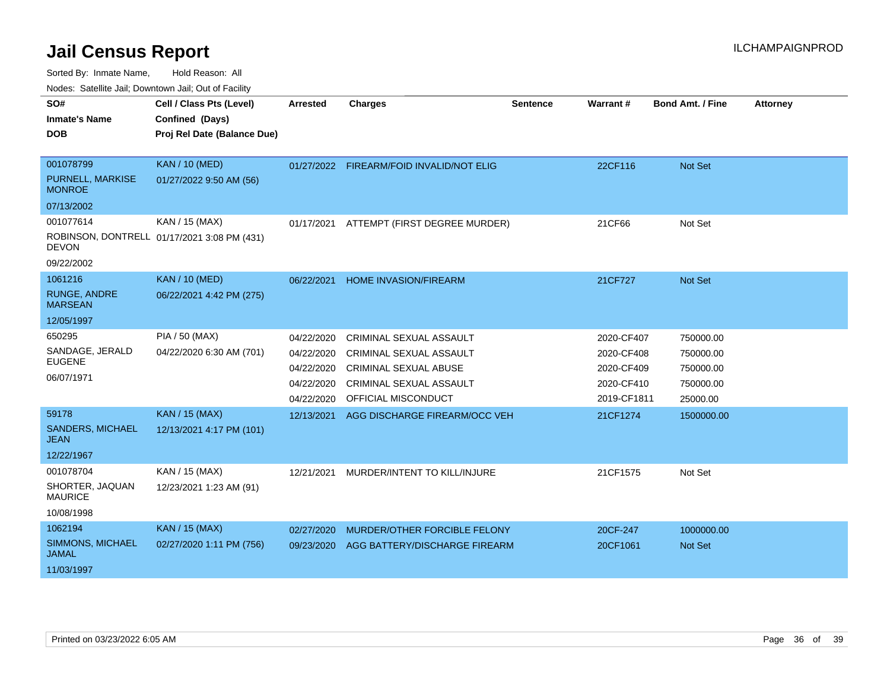Sorted By: Inmate Name, Hold Reason: All

Nodes: Satellite Jail; Downtown Jail; Out of Facility

| SO#                                    | Cell / Class Pts (Level)                    | <b>Arrested</b> | <b>Charges</b>                           | <b>Sentence</b> | <b>Warrant#</b> | <b>Bond Amt. / Fine</b> | <b>Attorney</b> |
|----------------------------------------|---------------------------------------------|-----------------|------------------------------------------|-----------------|-----------------|-------------------------|-----------------|
| <b>Inmate's Name</b>                   | Confined (Days)                             |                 |                                          |                 |                 |                         |                 |
| <b>DOB</b>                             | Proj Rel Date (Balance Due)                 |                 |                                          |                 |                 |                         |                 |
|                                        |                                             |                 |                                          |                 |                 |                         |                 |
| 001078799                              | <b>KAN / 10 (MED)</b>                       |                 | 01/27/2022 FIREARM/FOID INVALID/NOT ELIG |                 | 22CF116         | Not Set                 |                 |
| PURNELL, MARKISE<br><b>MONROE</b>      | 01/27/2022 9:50 AM (56)                     |                 |                                          |                 |                 |                         |                 |
| 07/13/2002                             |                                             |                 |                                          |                 |                 |                         |                 |
| 001077614                              | KAN / 15 (MAX)                              | 01/17/2021      | ATTEMPT (FIRST DEGREE MURDER)            |                 | 21CF66          | Not Set                 |                 |
| <b>DEVON</b>                           | ROBINSON, DONTRELL 01/17/2021 3:08 PM (431) |                 |                                          |                 |                 |                         |                 |
| 09/22/2002                             |                                             |                 |                                          |                 |                 |                         |                 |
| 1061216                                | <b>KAN / 10 (MED)</b>                       | 06/22/2021      | <b>HOME INVASION/FIREARM</b>             |                 | 21CF727         | <b>Not Set</b>          |                 |
| <b>RUNGE, ANDRE</b><br><b>MARSEAN</b>  | 06/22/2021 4:42 PM (275)                    |                 |                                          |                 |                 |                         |                 |
| 12/05/1997                             |                                             |                 |                                          |                 |                 |                         |                 |
| 650295                                 | PIA / 50 (MAX)                              | 04/22/2020      | CRIMINAL SEXUAL ASSAULT                  |                 | 2020-CF407      | 750000.00               |                 |
| SANDAGE, JERALD                        | 04/22/2020 6:30 AM (701)                    | 04/22/2020      | <b>CRIMINAL SEXUAL ASSAULT</b>           |                 | 2020-CF408      | 750000.00               |                 |
| <b>EUGENE</b>                          |                                             | 04/22/2020      | <b>CRIMINAL SEXUAL ABUSE</b>             |                 | 2020-CF409      | 750000.00               |                 |
| 06/07/1971                             |                                             | 04/22/2020      | <b>CRIMINAL SEXUAL ASSAULT</b>           |                 | 2020-CF410      | 750000.00               |                 |
|                                        |                                             | 04/22/2020      | OFFICIAL MISCONDUCT                      |                 | 2019-CF1811     | 25000.00                |                 |
| 59178                                  | <b>KAN / 15 (MAX)</b>                       | 12/13/2021      | AGG DISCHARGE FIREARM/OCC VEH            |                 | 21CF1274        | 1500000.00              |                 |
| <b>SANDERS, MICHAEL</b><br><b>JEAN</b> | 12/13/2021 4:17 PM (101)                    |                 |                                          |                 |                 |                         |                 |
| 12/22/1967                             |                                             |                 |                                          |                 |                 |                         |                 |
| 001078704                              | KAN / 15 (MAX)                              | 12/21/2021      | MURDER/INTENT TO KILL/INJURE             |                 | 21CF1575        | Not Set                 |                 |
| SHORTER, JAQUAN<br><b>MAURICE</b>      | 12/23/2021 1:23 AM (91)                     |                 |                                          |                 |                 |                         |                 |
| 10/08/1998                             |                                             |                 |                                          |                 |                 |                         |                 |
| 1062194                                | <b>KAN / 15 (MAX)</b>                       | 02/27/2020      | MURDER/OTHER FORCIBLE FELONY             |                 | 20CF-247        | 1000000.00              |                 |
| SIMMONS, MICHAEL<br><b>JAMAL</b>       | 02/27/2020 1:11 PM (756)                    | 09/23/2020      | AGG BATTERY/DISCHARGE FIREARM            |                 | 20CF1061        | <b>Not Set</b>          |                 |
| 11/03/1997                             |                                             |                 |                                          |                 |                 |                         |                 |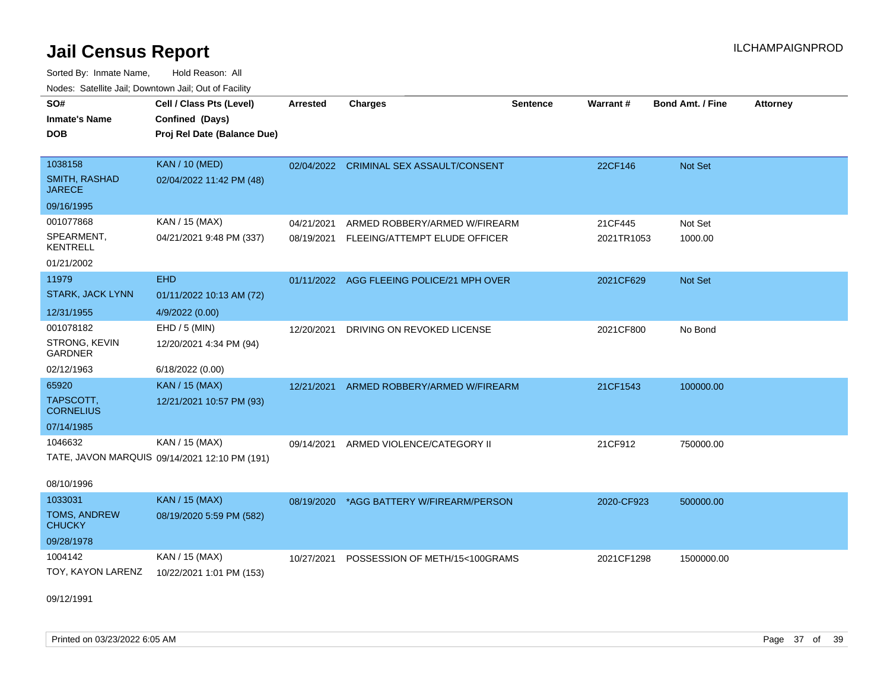Sorted By: Inmate Name, Hold Reason: All Nodes: Satellite Jail; Downtown Jail; Out of Facility

| Noucs. Catchitic sail, Downtown sail, Out of Facility |                                               |                 |                                           |                 |            |                         |                 |
|-------------------------------------------------------|-----------------------------------------------|-----------------|-------------------------------------------|-----------------|------------|-------------------------|-----------------|
| SO#                                                   | Cell / Class Pts (Level)                      | <b>Arrested</b> | <b>Charges</b>                            | <b>Sentence</b> | Warrant#   | <b>Bond Amt. / Fine</b> | <b>Attorney</b> |
| <b>Inmate's Name</b>                                  | Confined (Days)                               |                 |                                           |                 |            |                         |                 |
| <b>DOB</b>                                            | Proj Rel Date (Balance Due)                   |                 |                                           |                 |            |                         |                 |
|                                                       |                                               |                 |                                           |                 |            |                         |                 |
| 1038158                                               | <b>KAN / 10 (MED)</b>                         |                 | 02/04/2022 CRIMINAL SEX ASSAULT/CONSENT   |                 | 22CF146    | Not Set                 |                 |
| SMITH, RASHAD<br><b>JARECE</b>                        | 02/04/2022 11:42 PM (48)                      |                 |                                           |                 |            |                         |                 |
| 09/16/1995                                            |                                               |                 |                                           |                 |            |                         |                 |
| 001077868                                             | KAN / 15 (MAX)                                | 04/21/2021      | ARMED ROBBERY/ARMED W/FIREARM             |                 | 21CF445    | Not Set                 |                 |
| SPEARMENT,<br><b>KENTRELL</b>                         | 04/21/2021 9:48 PM (337)                      | 08/19/2021      | FLEEING/ATTEMPT ELUDE OFFICER             |                 | 2021TR1053 | 1000.00                 |                 |
| 01/21/2002                                            |                                               |                 |                                           |                 |            |                         |                 |
| 11979                                                 | <b>EHD</b>                                    |                 | 01/11/2022 AGG FLEEING POLICE/21 MPH OVER |                 | 2021CF629  | Not Set                 |                 |
| <b>STARK, JACK LYNN</b>                               | 01/11/2022 10:13 AM (72)                      |                 |                                           |                 |            |                         |                 |
| 12/31/1955                                            | 4/9/2022 (0.00)                               |                 |                                           |                 |            |                         |                 |
| 001078182                                             | $EHD / 5$ (MIN)                               | 12/20/2021      | DRIVING ON REVOKED LICENSE                |                 | 2021CF800  | No Bond                 |                 |
| STRONG, KEVIN<br><b>GARDNER</b>                       | 12/20/2021 4:34 PM (94)                       |                 |                                           |                 |            |                         |                 |
| 02/12/1963                                            | 6/18/2022 (0.00)                              |                 |                                           |                 |            |                         |                 |
| 65920                                                 | KAN / 15 (MAX)                                | 12/21/2021      | ARMED ROBBERY/ARMED W/FIREARM             |                 | 21CF1543   | 100000.00               |                 |
| TAPSCOTT,<br><b>CORNELIUS</b>                         | 12/21/2021 10:57 PM (93)                      |                 |                                           |                 |            |                         |                 |
| 07/14/1985                                            |                                               |                 |                                           |                 |            |                         |                 |
| 1046632                                               | KAN / 15 (MAX)                                | 09/14/2021      | ARMED VIOLENCE/CATEGORY II                |                 | 21CF912    | 750000.00               |                 |
|                                                       | TATE, JAVON MARQUIS 09/14/2021 12:10 PM (191) |                 |                                           |                 |            |                         |                 |
| 08/10/1996                                            |                                               |                 |                                           |                 |            |                         |                 |
| 1033031                                               | KAN / 15 (MAX)                                | 08/19/2020      | *AGG BATTERY W/FIREARM/PERSON             |                 | 2020-CF923 | 500000.00               |                 |
| TOMS, ANDREW<br><b>CHUCKY</b>                         | 08/19/2020 5:59 PM (582)                      |                 |                                           |                 |            |                         |                 |
| 09/28/1978                                            |                                               |                 |                                           |                 |            |                         |                 |
| 1004142                                               | KAN / 15 (MAX)                                | 10/27/2021      | POSSESSION OF METH/15<100GRAMS            |                 | 2021CF1298 | 1500000.00              |                 |
| TOY, KAYON LARENZ                                     | 10/22/2021 1:01 PM (153)                      |                 |                                           |                 |            |                         |                 |
|                                                       |                                               |                 |                                           |                 |            |                         |                 |

09/12/1991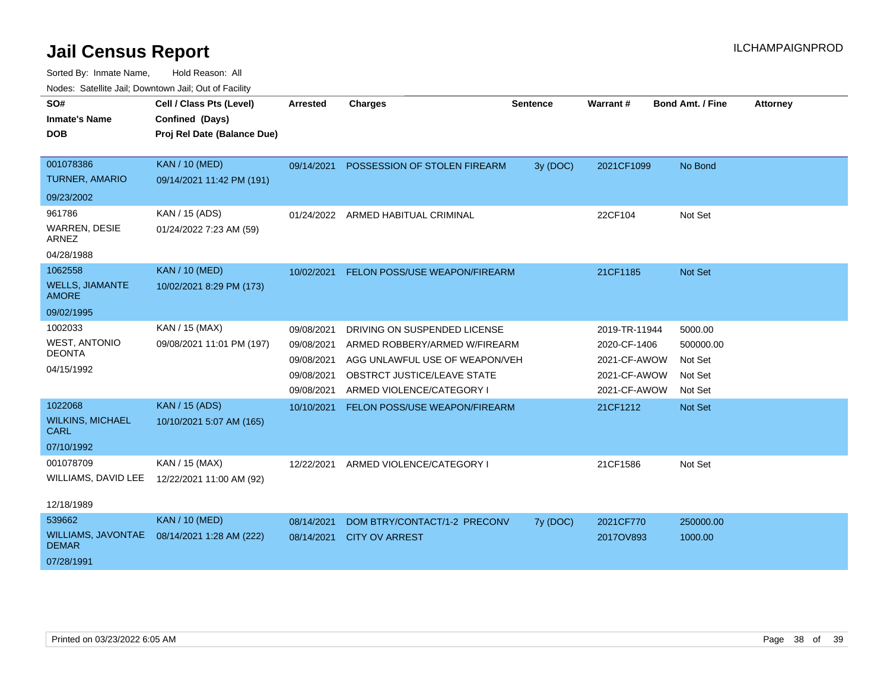| SO#                                       | Cell / Class Pts (Level)    | <b>Arrested</b> | <b>Charges</b>                       | Sentence | Warrant#      | <b>Bond Amt. / Fine</b> | <b>Attorney</b> |
|-------------------------------------------|-----------------------------|-----------------|--------------------------------------|----------|---------------|-------------------------|-----------------|
| <b>Inmate's Name</b>                      | Confined (Days)             |                 |                                      |          |               |                         |                 |
| <b>DOB</b>                                | Proj Rel Date (Balance Due) |                 |                                      |          |               |                         |                 |
| 001078386                                 | <b>KAN / 10 (MED)</b>       | 09/14/2021      |                                      |          |               |                         |                 |
| <b>TURNER, AMARIO</b>                     | 09/14/2021 11:42 PM (191)   |                 | POSSESSION OF STOLEN FIREARM         | 3y (DOC) | 2021CF1099    | No Bond                 |                 |
| 09/23/2002                                |                             |                 |                                      |          |               |                         |                 |
|                                           |                             |                 |                                      |          |               |                         |                 |
| 961786                                    | KAN / 15 (ADS)              |                 | 01/24/2022 ARMED HABITUAL CRIMINAL   |          | 22CF104       | Not Set                 |                 |
| <b>WARREN, DESIE</b><br><b>ARNEZ</b>      | 01/24/2022 7:23 AM (59)     |                 |                                      |          |               |                         |                 |
| 04/28/1988                                |                             |                 |                                      |          |               |                         |                 |
| 1062558                                   | <b>KAN / 10 (MED)</b>       | 10/02/2021      | FELON POSS/USE WEAPON/FIREARM        |          | 21CF1185      | Not Set                 |                 |
| <b>WELLS, JIAMANTE</b><br><b>AMORE</b>    | 10/02/2021 8:29 PM (173)    |                 |                                      |          |               |                         |                 |
| 09/02/1995                                |                             |                 |                                      |          |               |                         |                 |
| 1002033                                   | KAN / 15 (MAX)              | 09/08/2021      | DRIVING ON SUSPENDED LICENSE         |          | 2019-TR-11944 | 5000.00                 |                 |
| <b>WEST, ANTONIO</b>                      | 09/08/2021 11:01 PM (197)   | 09/08/2021      | ARMED ROBBERY/ARMED W/FIREARM        |          | 2020-CF-1406  | 500000.00               |                 |
| <b>DEONTA</b>                             |                             | 09/08/2021      | AGG UNLAWFUL USE OF WEAPON/VEH       |          | 2021-CF-AWOW  | Not Set                 |                 |
| 04/15/1992                                |                             | 09/08/2021      | OBSTRCT JUSTICE/LEAVE STATE          |          | 2021-CF-AWOW  | Not Set                 |                 |
|                                           |                             | 09/08/2021      | ARMED VIOLENCE/CATEGORY I            |          | 2021-CF-AWOW  | Not Set                 |                 |
| 1022068                                   | KAN / 15 (ADS)              | 10/10/2021      | <b>FELON POSS/USE WEAPON/FIREARM</b> |          | 21CF1212      | Not Set                 |                 |
| <b>WILKINS, MICHAEL</b><br><b>CARL</b>    | 10/10/2021 5:07 AM (165)    |                 |                                      |          |               |                         |                 |
| 07/10/1992                                |                             |                 |                                      |          |               |                         |                 |
| 001078709                                 | KAN / 15 (MAX)              | 12/22/2021      | ARMED VIOLENCE/CATEGORY I            |          | 21CF1586      | Not Set                 |                 |
| WILLIAMS, DAVID LEE                       | 12/22/2021 11:00 AM (92)    |                 |                                      |          |               |                         |                 |
| 12/18/1989                                |                             |                 |                                      |          |               |                         |                 |
| 539662                                    | <b>KAN / 10 (MED)</b>       | 08/14/2021      | DOM BTRY/CONTACT/1-2 PRECONV         | 7y (DOC) | 2021CF770     | 250000.00               |                 |
| <b>WILLIAMS, JAVONTAE</b><br><b>DEMAR</b> | 08/14/2021 1:28 AM (222)    | 08/14/2021      | <b>CITY OV ARREST</b>                |          | 2017OV893     | 1000.00                 |                 |
| 07/28/1991                                |                             |                 |                                      |          |               |                         |                 |